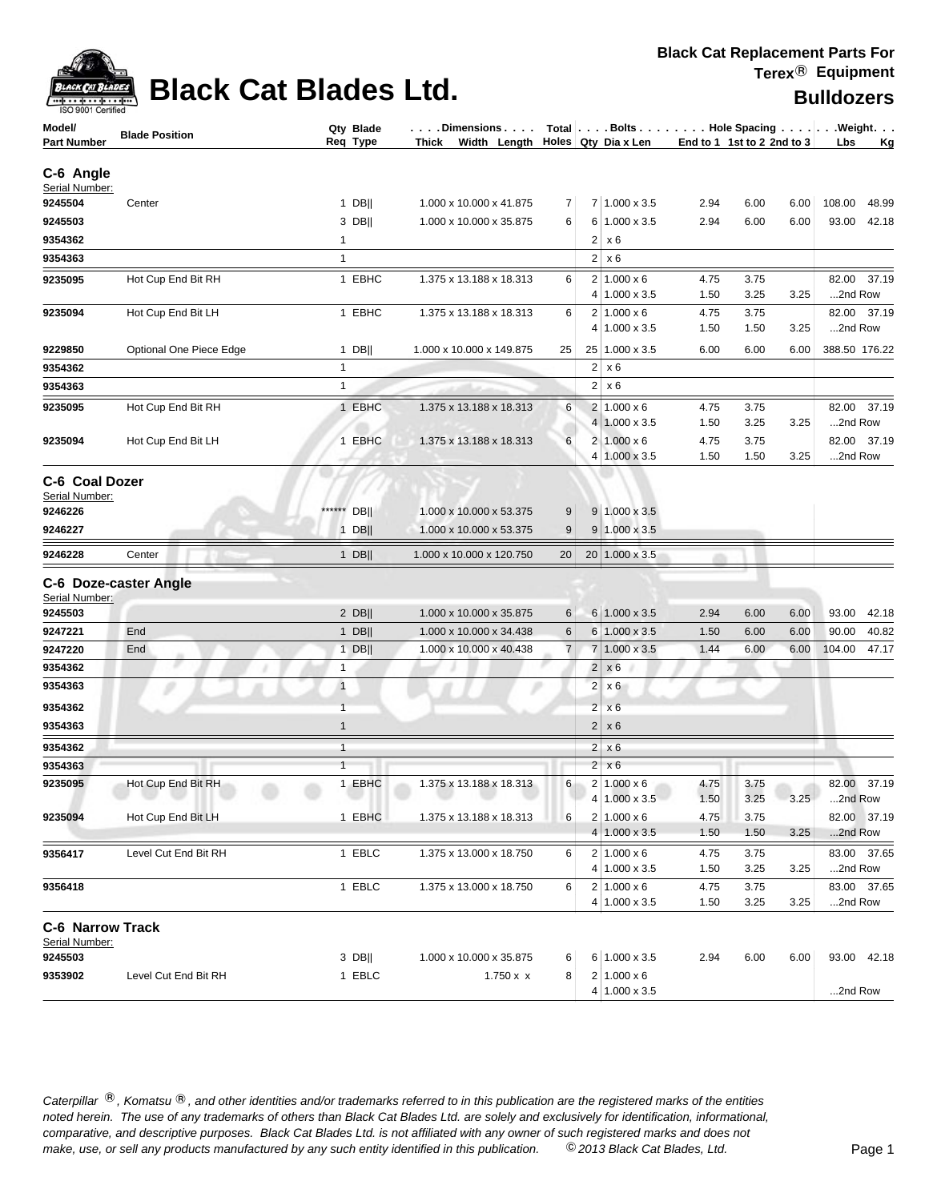| CK CAT         |
|----------------|
| 9001 Certified |

| <b>IOO SUUT CEITIIGO</b><br>Model/<br><b>Part Number</b> | <b>Blade Position</b>   | Qty Blade<br>Req Type | Dimensions   Total   Bolts    Hole Spacing    Weight<br>Thick Width Length $\vert$ Holes Qty Dia x Len |                |                |                                            | End to 1 1st to 2 2nd to 3 |              |      | <b>Lbs</b> | <b>Kg</b>     |
|----------------------------------------------------------|-------------------------|-----------------------|--------------------------------------------------------------------------------------------------------|----------------|----------------|--------------------------------------------|----------------------------|--------------|------|------------|---------------|
| C-6 Angle<br>Serial Number:                              |                         |                       |                                                                                                        |                |                |                                            |                            |              |      |            |               |
| 9245504                                                  | Center                  | $1$ DB                | 1.000 x 10.000 x 41.875                                                                                | 7              |                | 7 1.000 x 3.5                              | 2.94                       | 6.00         | 6.00 | 108.00     | 48.99         |
| 9245503                                                  |                         | 3 DB                  | 1.000 x 10.000 x 35.875                                                                                | 6              |                | 6 1.000 x 3.5                              | 2.94                       | 6.00         | 6.00 | 93.00      | 42.18         |
| 9354362                                                  |                         | $\mathbf{1}$          |                                                                                                        |                |                | $2 \times 6$                               |                            |              |      |            |               |
| 9354363                                                  |                         | $\mathbf{1}$          |                                                                                                        |                |                | $2 \times 6$                               |                            |              |      |            |               |
| 9235095                                                  | Hot Cup End Bit RH      | 1 EBHC                | 1.375 x 13.188 x 18.313                                                                                | 6              |                | $2 1.000 \times 6$<br>$4 1.000 \times 3.5$ | 4.75<br>1.50               | 3.75<br>3.25 | 3.25 | 2nd Row    | 82.00 37.19   |
| 9235094                                                  | Hot Cup End Bit LH      | 1 EBHC                | 1.375 x 13.188 x 18.313                                                                                | 6              |                | $2 1.000 \times 6$<br>$4 1.000 \times 3.5$ | 4.75<br>1.50               | 3.75<br>1.50 | 3.25 | 2nd Row    | 82.00 37.19   |
| 9229850                                                  | Optional One Piece Edge | $1$ DB                | 1.000 x 10.000 x 149.875                                                                               | 25             |                | 25 1.000 x 3.5                             | 6.00                       | 6.00         | 6.00 |            | 388.50 176.22 |
| 9354362                                                  |                         | $\mathbf{1}$          |                                                                                                        |                |                | $2 \times 6$                               |                            |              |      |            |               |
| 9354363                                                  |                         | $\mathbf{1}$          |                                                                                                        |                |                | $2 \times 6$                               |                            |              |      |            |               |
| 9235095                                                  | Hot Cup End Bit RH      | 1 EBHC                | 1.375 x 13.188 x 18.313                                                                                | 6              |                | $2 1.000 \times 6$<br>$4 1.000 \times 3.5$ | 4.75<br>1.50               | 3.75<br>3.25 | 3.25 | 2nd Row    | 82.00 37.19   |
| 9235094                                                  | Hot Cup End Bit LH      | 1 EBHC                | 1.375 x 13.188 x 18.313                                                                                | 6              |                | $2 1.000 \times 6$<br>4 1.000 x 3.5        | 4.75<br>1.50               | 3.75<br>1.50 | 3.25 | 2nd Row    | 82.00 37.19   |
| C-6 Coal Dozer<br>Serial Number:<br>9246226              |                         | ******<br><b>DBII</b> | 1.000 x 10.000 x 53.375                                                                                | 9              |                | $9 1.000 \times 3.5$                       |                            |              |      |            |               |
| 9246227                                                  |                         | $1$ DB                | 1.000 x 10.000 x 53.375                                                                                | 9              |                | $9 1.000 \times 3.5$                       |                            |              |      |            |               |
| 9246228                                                  | Center                  | $1$ DB                | 1.000 x 10.000 x 120.750                                                                               | 20             |                | 20 1.000 x 3.5                             |                            |              |      |            |               |
| Serial Number:                                           | C-6 Doze-caster Angle   |                       |                                                                                                        |                |                |                                            |                            |              |      |            |               |
| 9245503                                                  |                         | $2$ DB                | 1.000 x 10.000 x 35.875                                                                                | 6              |                | 6 1.000 x 3.5                              | 2.94                       | 6.00         | 6.00 | 93.00      | 42.18         |
| 9247221                                                  | End                     | 1 $DB$                | 1.000 x 10.000 x 34.438                                                                                | 6              |                | 6 1.000 x 3.5                              | 1.50                       | 6.00         | 6.00 | 90.00      | 40.82         |
| 9247220                                                  | End                     | 1 DB                  | 1.000 x 10.000 x 40.438                                                                                | $\overline{7}$ |                | 7 1.000 x 3.5                              | 1.44                       | 6.00         | 6.00 | 104.00     | 47.17         |
| 9354362                                                  |                         | 1                     |                                                                                                        |                | 2 <sup>1</sup> | x6                                         |                            |              |      |            |               |
| 9354363                                                  |                         | $\mathbf{1}$          |                                                                                                        |                |                | $2 \times 6$                               |                            |              |      |            |               |
| 9354362                                                  |                         | $\mathbf{1}$          |                                                                                                        |                |                | $2 \times 6$                               |                            |              |      |            |               |
| 9354363                                                  |                         | $\mathbf{1}$          |                                                                                                        |                | 2              | x6                                         |                            |              |      |            |               |
| 9354362                                                  |                         | 1                     |                                                                                                        |                |                | $2 \times 6$                               |                            |              |      |            |               |
| 9354363                                                  |                         | $\mathbf{1}$          |                                                                                                        |                |                | $2 \times 6$                               |                            |              |      |            |               |
| 9235095                                                  | Hot Cup End Bit RH      | 1 EBHC                | 1.375 x 13.188 x 18.313                                                                                | 6              |                | $2 1.000 \times 6$<br>4 1.000 x 3.5        | 4.75<br>1.50               | 3.75<br>3.25 | 3.25 | 2nd Row    | 82.00 37.19   |
| 9235094                                                  | Hot Cup End Bit LH      | 1 EBHC                | 1.375 x 13.188 x 18.313                                                                                | 6              |                | $2 1.000 \times 6$<br>$4 1.000 \times 3.5$ | 4.75<br>1.50               | 3.75<br>1.50 | 3.25 | 2nd Row    | 82.00 37.19   |
| 9356417                                                  | Level Cut End Bit RH    | 1 EBLC                | 1.375 x 13.000 x 18.750                                                                                | $6 \mid$       |                | $2 1.000 \times 6$<br>$4 1.000 \times 3.5$ | 4.75<br>1.50               | 3.75<br>3.25 | 3.25 | 2nd Row    | 83.00 37.65   |
| 9356418                                                  |                         | 1 EBLC                | 1.375 x 13.000 x 18.750                                                                                | 6              |                | $2 1.000 \times 6$<br>$4 1.000 \times 3.5$ | 4.75<br>1.50               | 3.75<br>3.25 | 3.25 | 2nd Row    | 83.00 37.65   |
| <b>C-6 Narrow Track</b><br>Serial Number:                |                         |                       |                                                                                                        |                |                |                                            |                            |              |      |            |               |
| 9245503                                                  |                         | 3 DB                  | 1.000 x 10.000 x 35.875                                                                                | 6              |                | 6 1.000 x 3.5                              | 2.94                       | 6.00         | 6.00 |            | 93.00 42.18   |
| 9353902                                                  | Level Cut End Bit RH    | 1 EBLC                | $1.750 \times x$                                                                                       | 8 <sup>1</sup> |                | $2 1.000 \times 6$<br>4 1.000 x 3.5        |                            |              |      | 2nd Row    |               |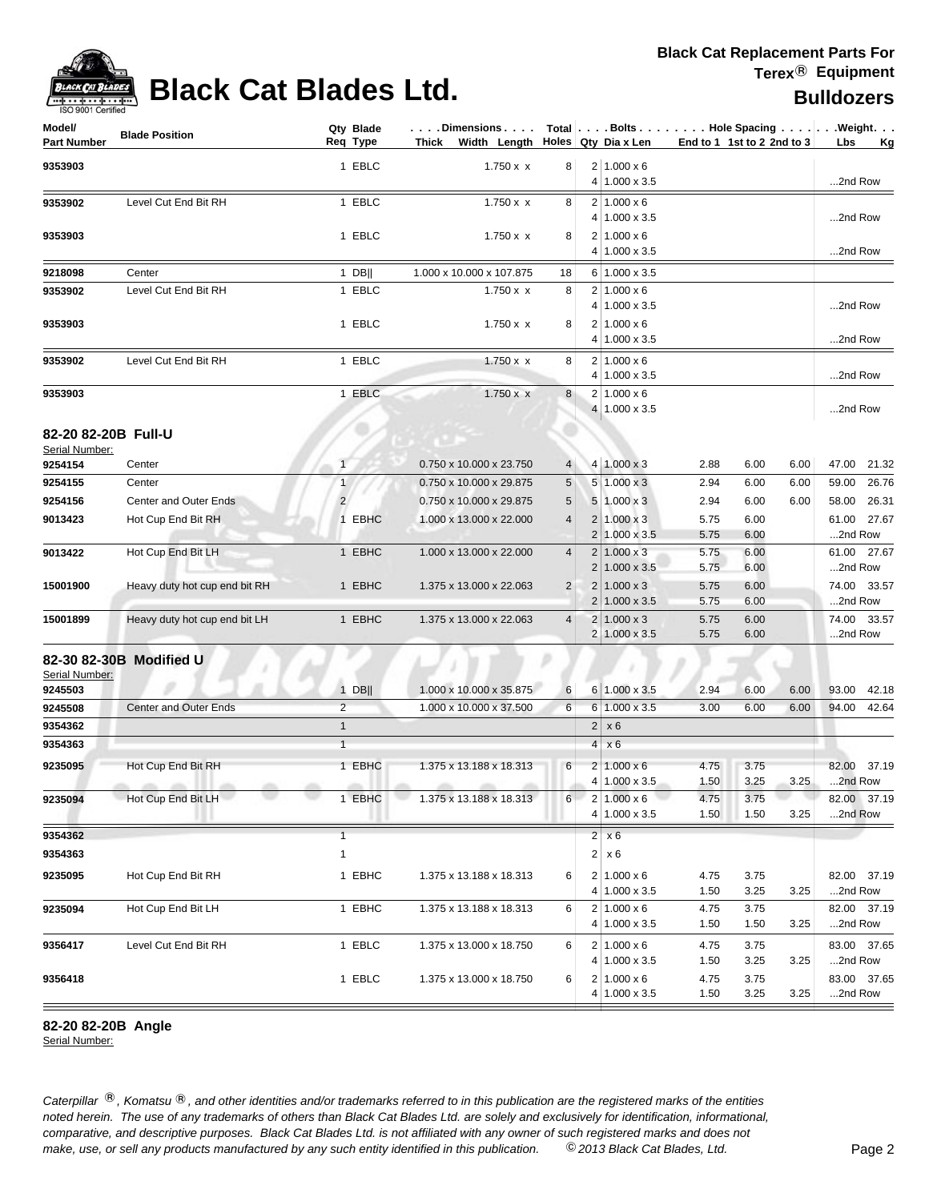| <b>IOO SUUT CEITIIGO</b><br>Model/<br><b>Part Number</b> | <b>Blade Position</b>                  |                | Qty Blade<br>Req Type | $\ldots$ . Dimensions<br>Thick Width Length Holes Qty Dia x Len |                |                                  |                                            | End to 1 1st to 2 2nd to 3 |              |      | Total   Bolts Hole Spacing Weight.<br>Lbs<br>Kg |
|----------------------------------------------------------|----------------------------------------|----------------|-----------------------|-----------------------------------------------------------------|----------------|----------------------------------|--------------------------------------------|----------------------------|--------------|------|-------------------------------------------------|
| 9353903                                                  |                                        |                | 1 EBLC                | $1.750 \times x$                                                | 8              |                                  | $2 1.000 \times 6$<br>4 1.000 x 3.5        |                            |              |      | 2nd Row                                         |
| 9353902                                                  | Level Cut End Bit RH                   |                | 1 EBLC                | $1.750 \times x$                                                | 8              |                                  | $2 1.000 \times 6$<br>4 1.000 x 3.5        |                            |              |      | 2nd Row                                         |
| 9353903                                                  |                                        |                | 1 EBLC                | $1.750 \times x$                                                | 8              |                                  | $2 1.000 \times 6$<br>4 1.000 x 3.5        |                            |              |      | 2nd Row                                         |
| 9218098                                                  | Center                                 |                | $1$ DB                | 1.000 x 10.000 x 107.875                                        | 18             |                                  | 6 1.000 x 3.5                              |                            |              |      |                                                 |
| 9353902                                                  | Level Cut End Bit RH                   |                | 1 EBLC                | $1.750 \times x$                                                | 8              | 41                               | $2 1.000 \times 6$<br>$1.000 \times 3.5$   |                            |              |      | 2nd Row                                         |
| 9353903                                                  |                                        |                | 1 EBLC                | $1.750 \times x$                                                | 8              | 2                                | $1.000 \times 6$<br>4 1.000 x 3.5          |                            |              |      | 2nd Row                                         |
| 9353902                                                  | Level Cut End Bit RH                   |                | 1 EBLC                | $1.750 \times x$                                                | 8              | 2<br>4                           | $1.000 \times 6$<br>$1.000 \times 3.5$     |                            |              |      | 2nd Row                                         |
| 9353903                                                  |                                        |                | 1 EBLC                | $1.750 \times x$                                                | 8              | 4                                | $2 1.000 \times 6$<br>$1.000 \times 3.5$   |                            |              |      | 2nd Row                                         |
| 82-20 82-20B Full-U<br>Serial Number:                    |                                        |                |                       |                                                                 |                |                                  |                                            |                            |              |      |                                                 |
| 9254154                                                  | Center                                 | $\mathbf{1}$   |                       | 0.750 x 10.000 x 23.750                                         | 4              |                                  | $4 1.000 \times 3$                         | 2.88                       | 6.00         | 6.00 | 47.00 21.32                                     |
| 9254155                                                  | Center                                 | $\mathbf{1}$   |                       | 0.750 x 10.000 x 29.875                                         | 5              |                                  | $5 1.000 \times 3$                         | 2.94                       | 6.00         | 6.00 | 59.00 26.76                                     |
| 9254156                                                  | Center and Outer Ends                  | $\overline{2}$ |                       | 0.750 x 10.000 x 29.875                                         | 5              |                                  | $5 1.000 \times 3$                         | 2.94                       | 6.00         | 6.00 | 58.00 26.31                                     |
| 9013423                                                  | Hot Cup End Bit RH                     |                | 1 EBHC                | 1.000 x 13.000 x 22.000                                         | 4              | $\overline{2}$<br>$\overline{2}$ | $1.000 \times 3$<br>$1.000 \times 3.5$     | 5.75<br>5.75               | 6.00<br>6.00 |      | 61.00 27.67<br>2nd Row                          |
| 9013422                                                  | Hot Cup End Bit LH                     |                | 1 EBHC                | 1.000 x 13.000 x 22.000                                         | $\overline{4}$ | $\overline{c}$<br>2              | $1.000 \times 3$<br>$1.000 \times 3.5$     | 5.75<br>5.75               | 6.00<br>6.00 |      | 61.00 27.67<br>2nd Row                          |
| 15001900                                                 | Heavy duty hot cup end bit RH          |                | 1 EBHC                | 1.375 x 13.000 x 22.063                                         | $\overline{2}$ | 2<br>$\overline{2}$              | $1.000 \times 3$<br>$1.000 \times 3.5$     | 5.75<br>5.75               | 6.00<br>6.00 |      | 74.00 33.57<br>2nd Row                          |
| 15001899                                                 | Heavy duty hot cup end bit LH          |                | 1 EBHC                | 1.375 x 13.000 x 22.063                                         | 4              | 2                                | $1.000 \times 3$<br>2 1.000 x 3.5          | 5.75<br>5.75               | 6.00<br>6.00 |      | 74.00 33.57<br>2nd Row                          |
| Serial Number:                                           | 82-30 82-30B Modified U                |                |                       |                                                                 |                |                                  |                                            |                            |              |      |                                                 |
| 9245503                                                  |                                        |                | $1$ DB                | 1.000 x 10.000 x 35.875                                         | 6              |                                  | $6 1.000 \times 3.5$                       | 2.94                       | 6.00         | 6.00 | 93.00<br>42.18                                  |
| 9245508                                                  | <b>Center and Outer Ends</b>           | $\overline{2}$ |                       | 1.000 x 10.000 x 37.500                                         | 6              | 6                                | $1.000 \times 3.5$                         | 3.00                       | 6.00         | 6.00 | 94.00<br>42.64                                  |
| 9354362                                                  |                                        | $\mathbf{1}$   |                       |                                                                 |                | $\overline{c}$                   | x6                                         |                            |              |      |                                                 |
| 9354363                                                  |                                        | $\overline{1}$ |                       |                                                                 |                | 4                                | x6                                         |                            |              |      |                                                 |
| 9235095                                                  | Hot Cup End Bit RH<br>and the state of |                | 1 EBHC<br>all the     | 1.375 x 13.188 x 18.313<br>m<br>affin.                          | 6              | 2                                | $1.000 \times 6$<br>4 1.000 x 3.5          | 4.75<br>1.50               | 3.75<br>3.25 | 3.25 | 82.00 37.19<br>2nd Row                          |
| 9235094                                                  | Hot Cup End Bit LH                     |                | 1 EBHC                | 1.375 x 13.188 x 18.313                                         | 6              |                                  | $2   1.000 \times 6$<br>4 1.000 x 3.5      | 4.75<br>1.50               | 3.75<br>1.50 | 3.25 | 82.00 37.19<br>2nd Row                          |
| 9354362                                                  |                                        | $\mathbf{1}$   |                       |                                                                 |                | $\overline{c}$                   | x 6                                        |                            |              |      |                                                 |
| 9354363                                                  |                                        | $\mathbf{1}$   |                       |                                                                 |                | 2                                | x 6                                        |                            |              |      |                                                 |
| 9235095                                                  | Hot Cup End Bit RH                     |                | 1 EBHC                | 1.375 x 13.188 x 18.313                                         | 6              | 4                                | $2 1.000 \times 6$<br>$1.000 \times 3.5$   | 4.75<br>1.50               | 3.75<br>3.25 | 3.25 | 82.00 37.19<br>2nd Row                          |
| 9235094                                                  | Hot Cup End Bit LH                     |                | 1 EBHC                | 1.375 x 13.188 x 18.313                                         | 6              |                                  | $2 1.000 \times 6$<br>$4 1.000 \times 3.5$ | 4.75<br>1.50               | 3.75<br>1.50 | 3.25 | 82.00 37.19<br>2nd Row                          |
| 9356417                                                  | Level Cut End Bit RH                   |                | 1 EBLC                | 1.375 x 13.000 x 18.750                                         | 6              |                                  | $2 1.000 \times 6$<br>$4 1.000 \times 3.5$ | 4.75<br>1.50               | 3.75<br>3.25 | 3.25 | 83.00 37.65<br>2nd Row                          |
| 9356418                                                  |                                        |                | 1 EBLC                | 1.375 x 13.000 x 18.750                                         | 6              |                                  | $2 1.000 \times 6$<br>4 1.000 x 3.5        | 4.75<br>1.50               | 3.75<br>3.25 | 3.25 | 83.00 37.65<br>2nd Row                          |

**82-20 82-20B Angle**

Serial Number: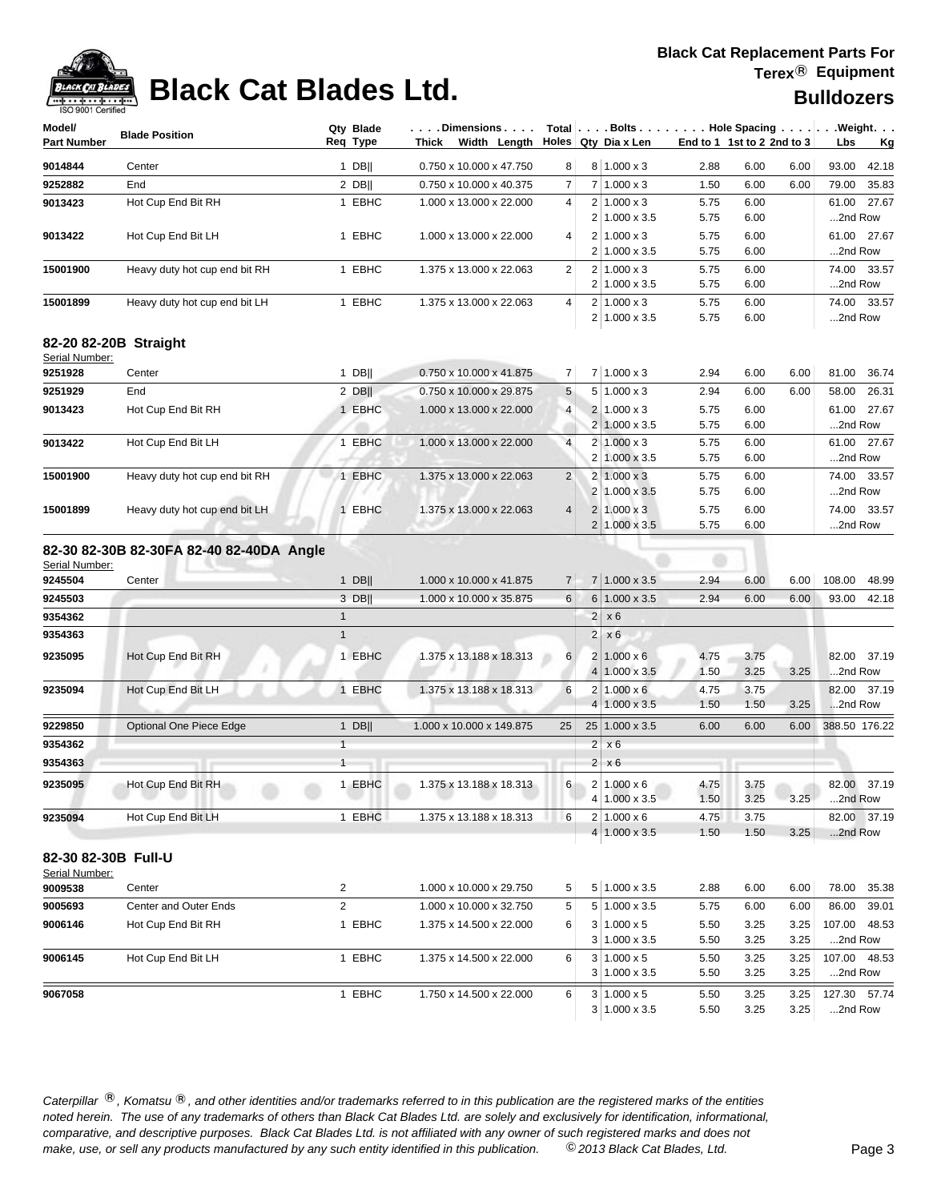

| ISO 9001 Certified                    |                                          |                       |                                    |                |   |                         |                            |              |      |                                                            |
|---------------------------------------|------------------------------------------|-----------------------|------------------------------------|----------------|---|-------------------------|----------------------------|--------------|------|------------------------------------------------------------|
| Model/<br><b>Part Number</b>          | <b>Blade Position</b>                    | Qty Blade<br>Req Type | . Dimensions<br>Thick Width Length |                |   | Holes Qty Dia x Len     | End to 1 1st to 2 2nd to 3 |              |      | Total   Bolts   Hole Spacing   Weight.<br>Lbs<br><u>Kg</u> |
| 9014844                               | Center                                   | $1$ DB                | 0.750 x 10.000 x 47.750            | 8              |   | $8 1.000 \times 3$      | 2.88                       | 6.00         | 6.00 | 93.00<br>42.18                                             |
| 9252882                               | End                                      | $2$ DB                | 0.750 x 10.000 x 40.375            | 7              |   | $7 1.000 \times 3$      | 1.50                       | 6.00         | 6.00 | 35.83<br>79.00                                             |
| 9013423                               | Hot Cup End Bit RH                       | 1 EBHC                | 1.000 x 13.000 x 22.000            | 4              |   | $2 1.000 \times 3$      | 5.75                       | 6.00         |      | 61.00 27.67                                                |
|                                       |                                          |                       |                                    |                |   | $2 1.000 \times 3.5$    | 5.75                       | 6.00         |      | 2nd Row                                                    |
| 9013422                               | Hot Cup End Bit LH                       | 1 EBHC                | 1.000 x 13.000 x 22.000            | 4              |   | $2 1.000 \times 3$      | 5.75                       | 6.00         |      | 27.67<br>61.00                                             |
|                                       |                                          |                       |                                    |                |   | 2 1.000 x 3.5           | 5.75                       | 6.00         |      | 2nd Row                                                    |
| 15001900                              | Heavy duty hot cup end bit RH            | 1 EBHC                | 1.375 x 13.000 x 22.063            | $\overline{2}$ |   | $2 1.000 \times 3$      | 5.75                       | 6.00         |      | 74.00<br>33.57                                             |
|                                       |                                          |                       |                                    |                |   | 2 1.000 x 3.5           | 5.75                       | 6.00         |      | 2nd Row                                                    |
| 15001899                              | Heavy duty hot cup end bit LH            | 1 EBHC                | 1.375 x 13.000 x 22.063            | 4              |   | $2 1.000 \times 3$      | 5.75                       | 6.00         |      | 74.00 33.57                                                |
|                                       |                                          |                       |                                    |                |   | 2 1.000 x 3.5           | 5.75                       | 6.00         |      | 2nd Row                                                    |
| Serial Number:                        | 82-20 82-20B Straight                    |                       |                                    |                |   |                         |                            |              |      |                                                            |
| 9251928                               | Center                                   | $1$ DB                | 0.750 x 10.000 x 41.875            | 7              |   | $7 1.000 \times 3$      | 2.94                       | 6.00         | 6.00 | 81.00<br>36.74                                             |
| 9251929                               | End                                      | $2$ DB                | 0.750 x 10.000 x 29.875            | 5              |   | $5 1.000 \times 3$      | 2.94                       | 6.00         | 6.00 | 58.00<br>26.31                                             |
| 9013423                               | Hot Cup End Bit RH                       | 1 EBHC                | 1.000 x 13.000 x 22.000            | $\overline{4}$ |   | $2 \mid 1.000 \times 3$ | 5.75                       | 6.00         |      | 27.67<br>61.00                                             |
|                                       |                                          |                       |                                    |                |   | $2 1.000 \times 3.5$    | 5.75                       | 6.00         |      | 2nd Row                                                    |
| 9013422                               | Hot Cup End Bit LH                       | 1 EBHC                | 1.000 x 13.000 x 22.000            | $\overline{4}$ |   | $2 1.000 \times 3$      | 5.75                       | 6.00         |      | 27.67<br>61.00                                             |
|                                       |                                          |                       |                                    |                |   | 2 1.000 x 3.5           | 5.75                       | 6.00         |      | 2nd Row                                                    |
| 15001900                              | Heavy duty hot cup end bit RH            | 1 EBHC                | 1.375 x 13.000 x 22.063            | $\overline{c}$ |   | $2 1.000 \times 3$      | 5.75                       | 6.00         |      | 74.00 33.57                                                |
|                                       |                                          |                       |                                    |                |   | 2 1.000 x 3.5           | 5.75                       | 6.00         |      | 2nd Row                                                    |
| 15001899                              | Heavy duty hot cup end bit LH            | 1 EBHC                | 1.375 x 13.000 x 22.063            | 4              |   | $2 1.000 \times 3$      | 5.75                       | 6.00         |      | 33.57<br>74.00                                             |
|                                       |                                          |                       |                                    |                |   | $2 1.000 \times 3.5$    | 5.75                       | 6.00         |      | 2nd Row                                                    |
|                                       | 82-30 82-30B 82-30FA 82-40 82-40DA Angle |                       |                                    |                |   |                         |                            |              |      |                                                            |
| Serial Number:                        |                                          |                       |                                    |                |   |                         |                            |              |      |                                                            |
| 9245504                               | Center                                   | $1$ DB                | 1.000 x 10.000 x 41.875            | $\overline{7}$ |   | 7 1.000 x 3.5           | 2.94                       | 6.00         | 6.00 | 108.00<br>48.99                                            |
| 9245503                               |                                          | 3 DB                  | 1.000 x 10.000 x 35.875            | 6              |   | 6 1.000 x 3.5           | 2.94                       | 6.00         | 6.00 | 93.00<br>42.18                                             |
| 9354362                               |                                          | $\mathbf{1}$          |                                    |                |   | $2 \times 6$            |                            |              |      |                                                            |
| 9354363                               |                                          | $\mathbf{1}$          |                                    |                | 2 | x6                      |                            |              |      |                                                            |
| 9235095                               | Hot Cup End Bit RH                       | 1 EBHC                | 1.375 x 13.188 x 18.313            | 6              |   | $2 1.000 \times 6$      |                            | 3.75         |      | 82.00<br>37.19                                             |
|                                       |                                          |                       |                                    |                |   | $4 1.000 \times 3.5$    | 4.75<br>1.50               | 3.25         | 3.25 | 2nd Row                                                    |
| 9235094                               | Hot Cup End Bit LH                       | 1 EBHC                | 1.375 x 13.188 x 18.313            | 6              |   | $2 1.000 \times 6$      | 4.75                       | 3.75         |      | 82.00 37.19                                                |
|                                       |                                          |                       |                                    |                |   | $4 1.000 \times 3.5$    | 1.50                       | 1.50         | 3.25 | 2nd Row                                                    |
| 9229850                               | <b>Optional One Piece Edge</b>           | $1$ DB                | 1.000 x 10.000 x 149.875           | 25             |   | 25 1.000 x 3.5          | 6.00                       | 6.00         | 6.00 | 388.50 176.22                                              |
| 9354362                               |                                          | $\mathbf{1}$          |                                    |                |   | $2 \times 6$            |                            |              |      |                                                            |
| 9354363                               |                                          | $\mathbf{1}$          |                                    |                |   | $2 \times 6$            |                            |              |      |                                                            |
| 9235095                               |                                          | 1 EBHC                |                                    | 6              |   | $2 1.000 \times 6$      | 4.75                       |              |      |                                                            |
|                                       | Hot Cup End Bit RH                       |                       | 1.375 x 13.188 x 18.313            |                |   | 4 1.000 x 3.5           | 1.50                       | 3.75<br>3.25 | 3.25 | 82.00<br>37.19<br>2nd Row                                  |
| 9235094                               | Hot Cup End Bit LH                       | 1 EBHC                | 1.375 x 13.188 x 18.313            | 6              |   | $2 1.000 \times 6$      | 4.75                       | 3.75         |      | 82.00 37.19                                                |
|                                       |                                          |                       |                                    |                |   | $4 1.000 \times 3.5$    | 1.50                       | 1.50         | 3.25 | 2nd Row                                                    |
|                                       |                                          |                       |                                    |                |   |                         |                            |              |      |                                                            |
| 82-30 82-30B Full-U<br>Serial Number: |                                          |                       |                                    |                |   |                         |                            |              |      |                                                            |
| 9009538                               | Center                                   | 2                     | 1.000 x 10.000 x 29.750            | 5 <sup>2</sup> |   | 5 1.000 x 3.5           | 2.88                       | 6.00         | 6.00 | 78.00<br>35.38                                             |
| 9005693                               | Center and Outer Ends                    | $\overline{2}$        | 1.000 x 10.000 x 32.750            | 5              |   | $5 1.000 \times 3.5$    | 5.75                       | 6.00         | 6.00 | 86.00<br>39.01                                             |
| 9006146                               | Hot Cup End Bit RH                       | 1 EBHC                | 1.375 x 14.500 x 22.000            | 6              |   | $3 1.000 \times 5$      | 5.50                       | 3.25         | 3.25 | 107.00 48.53                                               |
|                                       |                                          |                       |                                    |                |   | $3 1.000 \times 3.5$    | 5.50                       | 3.25         | 3.25 | 2nd Row                                                    |
| 9006145                               | Hot Cup End Bit LH                       | 1 EBHC                | 1.375 x 14.500 x 22.000            | 6              |   | $3 1.000 \times 5$      | 5.50                       | 3.25         | 3.25 | 107.00 48.53                                               |
|                                       |                                          |                       |                                    |                |   | $3 1.000 \times 3.5$    | 5.50                       | 3.25         | 3.25 | 2nd Row                                                    |
| 9067058                               |                                          | 1 EBHC                | 1.750 x 14.500 x 22.000            | 6              |   | $3 1.000 \times 5$      | 5.50                       | 3.25         | 3.25 | 127.30 57.74                                               |
|                                       |                                          |                       |                                    |                |   | $3 1.000 \times 3.5$    | 5.50                       | 3.25         | 3.25 | 2nd Row                                                    |
|                                       |                                          |                       |                                    |                |   |                         |                            |              |      |                                                            |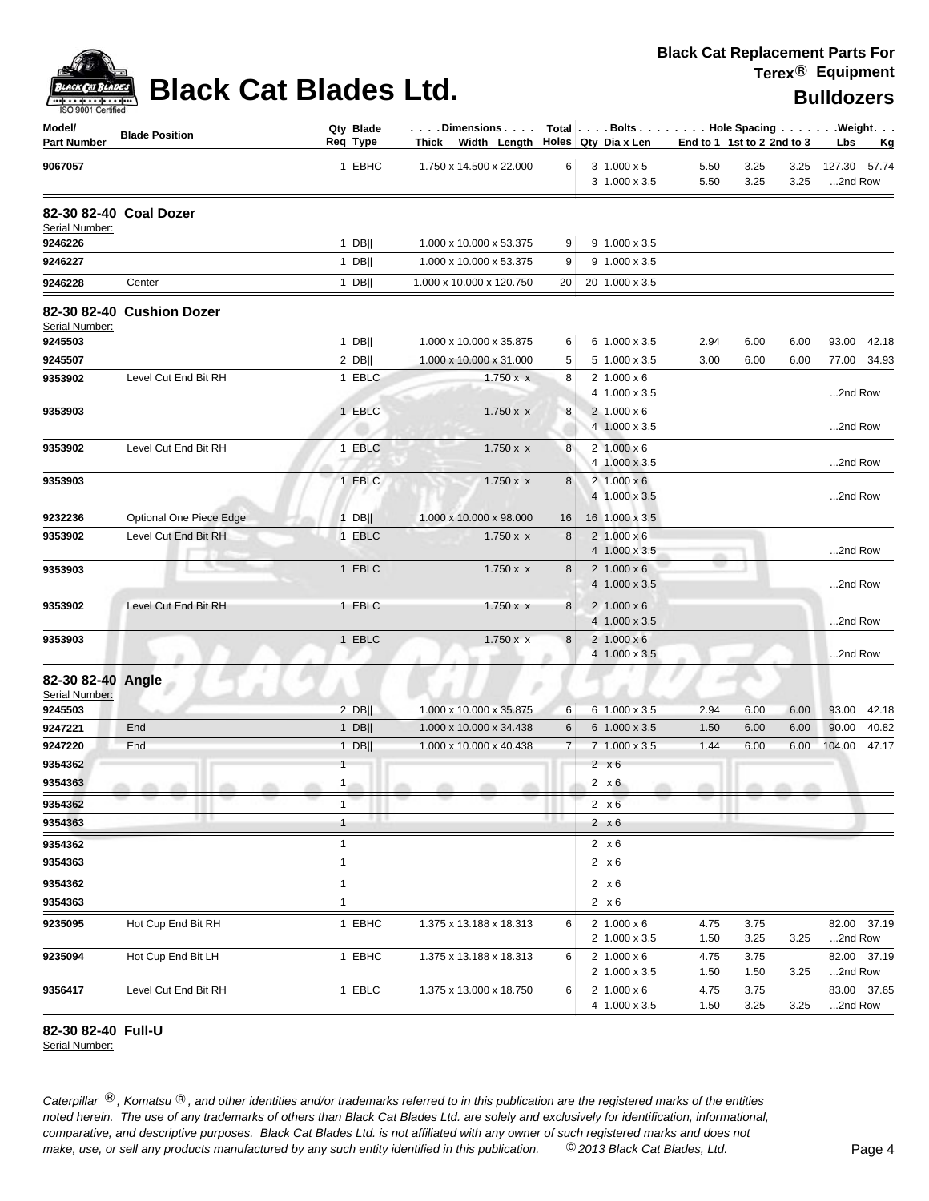| <b>ACK CAT</b> |
|----------------|
| 9001 Certified |

| Model/<br><b>Part Number</b>        | <b>Blade Position</b>     | Qty Blade<br>Req Type      | Dimensions   Total   Bolts    Hole Spacing     Weight<br>Thick Width Length Holes Qty Dia x Len |                 |   |                                             | End to 1 1st to 2 2nd to 3 |              |              | Lbs                     | <u>Kg</u>   |
|-------------------------------------|---------------------------|----------------------------|-------------------------------------------------------------------------------------------------|-----------------|---|---------------------------------------------|----------------------------|--------------|--------------|-------------------------|-------------|
| 9067057                             |                           | 1 EBHC                     | 1.750 x 14.500 x 22.000                                                                         | 6               |   | $3 1.000 \times 5$<br>$3 1.000 \times 3.5$  | 5.50<br>5.50               | 3.25<br>3.25 | 3.25<br>3.25 | 127.30 57.74<br>2nd Row |             |
| Serial Number:                      | 82-30 82-40 Coal Dozer    |                            |                                                                                                 |                 |   |                                             |                            |              |              |                         |             |
| 9246226                             |                           | $1$ DB                     | 1.000 x 10.000 x 53.375                                                                         | 9               |   | $9 1.000 \times 3.5$                        |                            |              |              |                         |             |
| 9246227                             |                           | $1$ DB                     | 1.000 x 10.000 x 53.375                                                                         | 9               |   | $9 1.000 \times 3.5$                        |                            |              |              |                         |             |
| 9246228                             | Center                    | $1$ DB                     | 1.000 x 10.000 x 120.750                                                                        | 20 <sub>1</sub> |   | 20 1.000 x 3.5                              |                            |              |              |                         |             |
| Serial Number:                      | 82-30 82-40 Cushion Dozer |                            |                                                                                                 |                 |   |                                             |                            |              |              |                         |             |
| 9245503                             |                           | $1$ DB                     | 1.000 x 10.000 x 35.875                                                                         | 6               |   | 6 1.000 x 3.5                               | 2.94                       | 6.00         | 6.00         |                         | 93.00 42.18 |
| 9245507                             |                           | $2$ DB                     | 1.000 x 10.000 x 31.000                                                                         | 5               |   | $5 1.000 \times 3.5$                        | 3.00                       | 6.00         | 6.00         |                         | 77.00 34.93 |
| 9353902                             | Level Cut End Bit RH      | 1 EBLC                     | $1.750 \times x$                                                                                | 8               |   | $2 1.000 \times 6$                          |                            |              |              | 2nd Row                 |             |
| 9353903                             |                           | 1 EBLC                     |                                                                                                 | 8               |   | 4 1.000 x 3.5<br>$2 1.000 \times 6$         |                            |              |              |                         |             |
|                                     |                           |                            | $1.750 \times x$                                                                                |                 |   | $4 1.000 \times 3.5$                        |                            |              |              | 2nd Row                 |             |
| 9353902                             | Level Cut End Bit RH      | 1 EBLC                     | $1.750 \times x$                                                                                | 8               |   | $2 1.000 \times 6$                          |                            |              |              |                         |             |
|                                     |                           |                            |                                                                                                 |                 |   | 4 1.000 x 3.5                               |                            |              |              | 2nd Row                 |             |
| 9353903                             |                           | 1 EBLC                     | $1.750 \times x$                                                                                | 8               |   | $2 1.000 \times 6$                          |                            |              |              |                         |             |
|                                     |                           |                            |                                                                                                 |                 |   | 4 1.000 x 3.5                               |                            |              |              | 2nd Row                 |             |
| 9232236                             | Optional One Piece Edge   | $1$ DB                     | 1.000 x 10.000 x 98.000                                                                         | 16              |   | 16 1.000 x 3.5                              |                            |              |              |                         |             |
| 9353902                             | Level Cut End Bit RH      | 1 EBLC                     | $1.750 \times x$                                                                                | 8               |   | $2 1.000 \times 6$                          |                            |              |              |                         |             |
|                                     |                           |                            |                                                                                                 |                 |   | $4 1.000 \times 3.5$                        | ÷                          |              |              | 2nd Row                 |             |
| 9353903                             |                           | 1 EBLC                     | $1.750 \times x$                                                                                | 8               |   | $2 1.000 \times 6$<br>$4 1.000 \times 3.5$  |                            |              |              | 2nd Row                 |             |
| 9353902                             | Level Cut End Bit RH      | 1 EBLC                     | $1.750 \times x$                                                                                | 8               |   | $2 1.000 \times 6$<br>$4 1.000 \times 3.5$  |                            |              |              | 2nd Row                 |             |
| 9353903                             |                           | 1 EBLC                     | 1.750 x x                                                                                       | 8               |   | $2 1.000 \times 6$<br>$4 1.000 \times 3.5 $ |                            |              |              | 2nd Row                 |             |
| 82-30 82-40 Angle<br>Serial Number: |                           |                            |                                                                                                 |                 |   |                                             | m                          |              |              |                         |             |
| 9245503                             |                           | $2$ DB                     | 1.000 x 10.000 x 35.875                                                                         | 6               |   | 6 1.000 x 3.5                               | 2.94                       | 6.00         | 6.00         |                         | 93.00 42.18 |
| 9247221                             | End                       | $1$ DB                     | 1.000 x 10.000 x 34.438                                                                         | 6               |   | $6 1.000 \times 3.5$                        | 1.50                       | 6.00         | 6.00         | 90.00                   | 40.82       |
| 9247220                             | End                       | $1$ DB                     | 1.000 x 10.000 x 40.438                                                                         | $\overline{7}$  |   | $7 1.000 \times 3.5$                        | 1.44                       | 6.00         | 6.00         | 104.00                  | 47.17       |
| 9354362                             |                           | $\mathbf{1}$               |                                                                                                 |                 |   | $2 \times 6$                                |                            |              |              |                         |             |
| 9354363                             | $\alpha$ and              | $\mathbf{1}$               | m                                                                                               |                 |   | $2 \times 6$                                |                            | m            |              |                         |             |
| 9354362                             |                           | $\mathbf{1}$               |                                                                                                 |                 |   | $2 \times 6$                                |                            |              |              |                         |             |
| 9354363                             |                           | <b>191</b><br>$\mathbf{1}$ |                                                                                                 |                 |   | $2 \times 6$                                | o po                       |              |              |                         |             |
| 9354362                             |                           | $\mathbf{1}$               |                                                                                                 |                 | 2 | x 6                                         |                            |              |              |                         |             |
| 9354363                             |                           | $\mathbf{1}$               |                                                                                                 |                 |   | $2 \times 6$                                |                            |              |              |                         |             |
| 9354362                             |                           | $\mathbf{1}$               |                                                                                                 |                 |   | $2 \times 6$                                |                            |              |              |                         |             |
| 9354363                             |                           | $\mathbf{1}$               |                                                                                                 |                 |   | $2 \times 6$                                |                            |              |              |                         |             |
| 9235095                             | Hot Cup End Bit RH        | 1 EBHC                     | 1.375 x 13.188 x 18.313                                                                         | 6               |   | $2 1.000 \times 6$                          | 4.75                       | 3.75         |              |                         | 82.00 37.19 |
|                                     |                           |                            |                                                                                                 |                 |   | 2 1.000 x 3.5                               | 1.50                       | 3.25         | 3.25         | 2nd Row                 |             |
| 9235094                             | Hot Cup End Bit LH        | 1 EBHC                     | 1.375 x 13.188 x 18.313                                                                         | 6               |   | $2 1.000 \times 6$                          | 4.75                       | 3.75         |              |                         | 82.00 37.19 |
|                                     |                           |                            |                                                                                                 |                 |   | $2 \mid 1.000 \times 3.5$                   | 1.50                       | 1.50         | 3.25         | 2nd Row                 |             |
| 9356417                             | Level Cut End Bit RH      | 1 EBLC                     | 1.375 x 13.000 x 18.750                                                                         | 6               |   | $2 1.000 \times 6$<br>4 1.000 x 3.5         | 4.75<br>1.50               | 3.75<br>3.25 | 3.25         | 2nd Row                 | 83.00 37.65 |

### **82-30 82-40 Full-U**

Serial Number: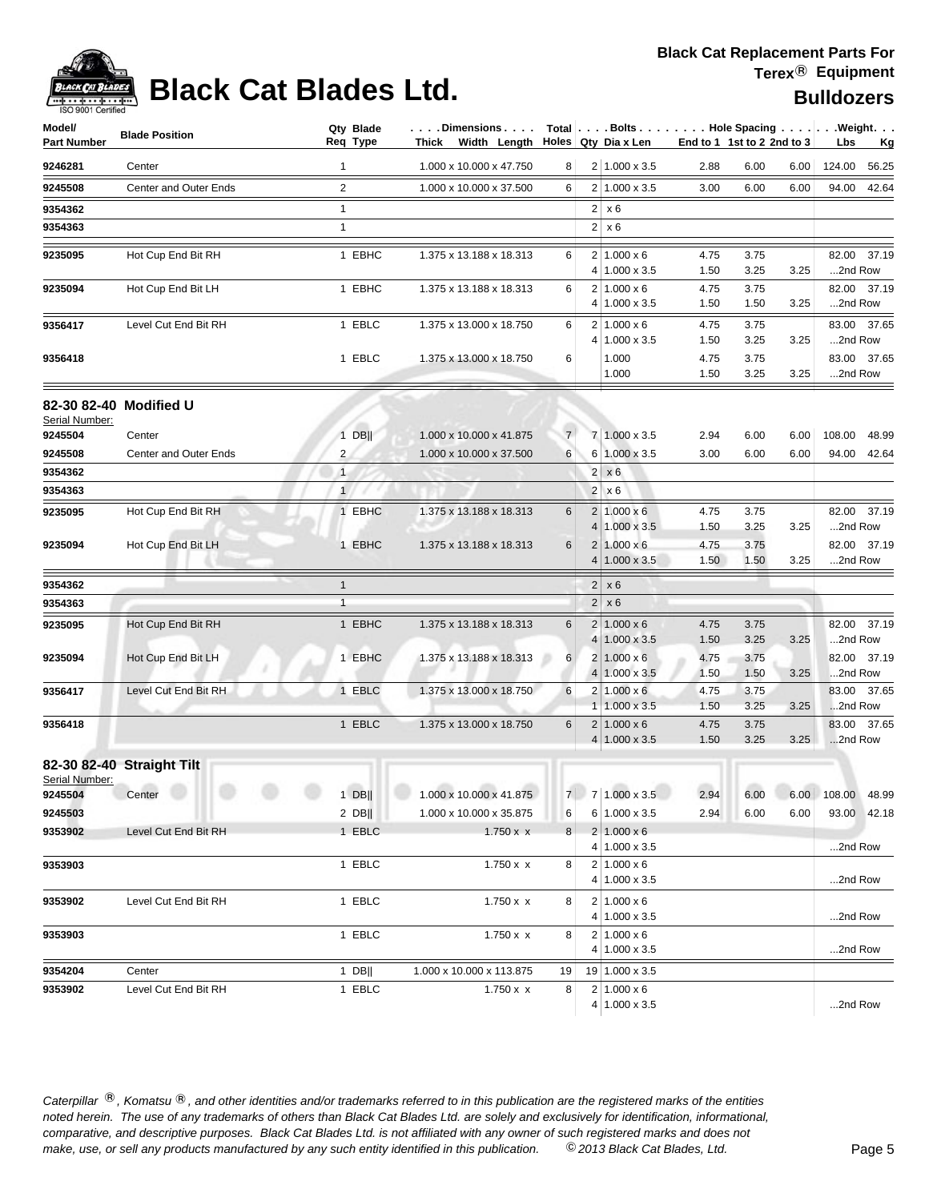

# **Black Cat Blades Ltd. Black Cat Blades Ltd. Bulldozers**

| Model/<br><b>Part Number</b> | <b>Blade Position</b>     | Qty Blade<br>Req Type | Dimensions<br>Thick Width Length $\vert$ Holes Qty Dia x Len |                |                | Total Bolts Hole Spacing Weight.            |              | End to 1 1st to 2 2nd to 3  |      | Lbs     | <u>Kg</u>   |
|------------------------------|---------------------------|-----------------------|--------------------------------------------------------------|----------------|----------------|---------------------------------------------|--------------|-----------------------------|------|---------|-------------|
| 9246281                      | Center                    | 1                     | 1.000 x 10.000 x 47.750                                      | 8              |                | $2 1.000 \times 3.5$                        | 2.88         | 6.00                        | 6.00 | 124.00  | 56.25       |
| 9245508                      | Center and Outer Ends     | 2                     | 1.000 x 10.000 x 37.500                                      | 6              |                | $2 1.000 \times 3.5$                        | 3.00         | 6.00                        | 6.00 | 94.00   | 42.64       |
| 9354362                      |                           | $\mathbf{1}$          |                                                              |                |                | $2 \times 6$                                |              |                             |      |         |             |
| 9354363                      |                           | $\mathbf{1}$          |                                                              |                |                | $2 \times 6$                                |              |                             |      |         |             |
| 9235095                      | Hot Cup End Bit RH        | 1 EBHC                | 1.375 x 13.188 x 18.313                                      | 6              |                | $2 1.000 \times 6$<br>4   1.000 x 3.5       | 4.75<br>1.50 | 3.75<br>3.25                | 3.25 | 2nd Row | 82.00 37.19 |
| 9235094                      | Hot Cup End Bit LH        | 1 EBHC                | 1.375 x 13.188 x 18.313                                      | 6              |                | $2 1.000 \times 6$<br>4 1.000 x 3.5         | 4.75<br>1.50 | 3.75<br>1.50                | 3.25 | 2nd Row | 82.00 37.19 |
| 9356417                      | Level Cut End Bit RH      | 1 EBLC                | 1.375 x 13.000 x 18.750                                      | 6              |                | $2 1.000 \times 6$<br>4 1.000 x 3.5         | 4.75<br>1.50 | 3.75<br>3.25                | 3.25 | 2nd Row | 83.00 37.65 |
| 9356418                      |                           | 1 EBLC                | 1.375 x 13.000 x 18.750                                      | 6              |                | 1.000<br>1.000                              | 4.75<br>1.50 | 3.75<br>3.25                | 3.25 | 2nd Row | 83.00 37.65 |
|                              | 82-30 82-40 Modified U    |                       |                                                              |                |                |                                             |              |                             |      |         |             |
| Serial Number:<br>9245504    | Center                    | $1$ DB                | 1.000 x 10.000 x 41.875                                      | $\overline{7}$ |                | 7 1.000 x 3.5                               | 2.94         | 6.00                        | 6.00 | 108.00  | 48.99       |
| 9245508                      | Center and Outer Ends     | 2                     | 1.000 x 10.000 x 37.500                                      | 6              |                | 6 1.000 x 3.5                               | 3.00         | 6.00                        | 6.00 | 94.00   | 42.64       |
| 9354362                      |                           | $\mathbf{1}$          |                                                              |                |                | $2 \times 6$                                |              |                             |      |         |             |
| 9354363                      |                           | $\mathbf{1}$          |                                                              |                |                | $2 \times 6$                                |              |                             |      |         |             |
| 9235095                      | Hot Cup End Bit RH        | 1 EBHC                | 1.375 x 13.188 x 18.313                                      | 6              |                | $2 1.000 \times 6$<br>$4 1.000 \times 3.5$  | 4.75<br>1.50 | 3.75<br>3.25                | 3.25 | 2nd Row | 82.00 37.19 |
| 9235094                      | Hot Cup End Bit LH        | 1 EBHC                | 1.375 x 13.188 x 18.313                                      | 6              |                | $2 1.000 \times 6$<br>$4 1.000 \times 3.5$  | 4.75<br>1.50 | 3.75<br>1.50                | 3.25 | 2nd Row | 82.00 37.19 |
| 9354362                      |                           | $\mathbf{1}$          |                                                              |                | $\overline{2}$ | x6                                          |              |                             |      |         |             |
| 9354363                      |                           | $\mathbf{1}$          |                                                              |                | 2 <sup>1</sup> | x6                                          |              |                             |      |         |             |
| 9235095                      | Hot Cup End Bit RH        | 1 EBHC                | 1.375 x 13.188 x 18.313                                      | 6              |                | $2 1.000 \times 6$<br>$4 1.000 \times 3.5$  | 4.75<br>1.50 | 3.75<br>3.25                | 3.25 | 2nd Row | 82.00 37.19 |
| 9235094                      | Hot Cup End Bit LH        | 1 EBHC                | 1.375 x 13.188 x 18.313                                      | 6              |                | $2 1.000 \times 6$<br>$4 1.000 \times 3.5 $ | 4.75<br>1.50 | 3.75<br>1.50                | 3.25 | 2nd Row | 82.00 37.19 |
| 9356417                      | Level Cut End Bit RH      | 1 EBLC                | 1.375 x 13.000 x 18.750                                      | 6              |                | $2 1.000 \times 6 $<br>$1 1.000 \times 3.5$ | 4.75<br>1.50 | 3.75<br>3.25                | 3.25 | 2nd Row | 83.00 37.65 |
| 9356418                      |                           | 1 EBLC                | 1.375 x 13.000 x 18.750                                      | 6              |                | $2 1.000 \times 6$<br>$4 1.000 \times 3.5$  | 4.75<br>1.50 | 3.75<br>3.25                | 3.25 | 2nd Row | 83.00 37.65 |
| Serial Number:               | 82-30 82-40 Straight Tilt |                       |                                                              |                |                |                                             |              |                             |      |         |             |
| 9245504                      | Center                    |                       | 1 DB     1.000 x 10.000 x 41.875                             |                |                | $7   7   1.000 \times 3.5$                  |              | 2.94 6.00 6.00 108.00 48.99 |      |         |             |
| 9245503                      |                           | $2$ DB                | 1.000 x 10.000 x 35.875                                      | $6 \mid$       |                | $6 1.000 \times 3.5$                        | 2.94         | 6.00                        | 6.00 |         | 93.00 42.18 |
| 9353902                      | Level Cut End Bit RH      | 1 EBLC                | $1.750 \times x$                                             | 8 <sup>1</sup> |                | $2 1.000 \times 6$<br>4 1.000 x 3.5         |              |                             |      | 2nd Row |             |
| 9353903                      |                           | 1 EBLC                | $1.750 \times x$                                             | 8              |                | $2 1.000 \times 6$<br>4 1.000 x 3.5         |              |                             |      | 2nd Row |             |
| 9353902                      | Level Cut End Bit RH      | 1 EBLC                | $1.750 \times x$                                             | 8              |                | $2 1.000 \times 6$<br>4 1.000 x 3.5         |              |                             |      | 2nd Row |             |
| 9353903                      |                           | 1 EBLC                | $1.750 \times x$                                             | 8              |                | $2 1.000 \times 6$<br>4 1.000 x 3.5         |              |                             |      | 2nd Row |             |
| 9354204                      | Center                    | 1 DB $  $             | 1.000 x 10.000 x 113.875                                     | 19             |                | $19$   1.000 x 3.5                          |              |                             |      |         |             |
| 9353902                      | Level Cut End Bit RH      | 1 EBLC                | 1.750 x x                                                    | 8              |                | $2 1.000 \times 6$<br>$4 1.000 \times 3.5$  |              |                             |      | 2nd Row |             |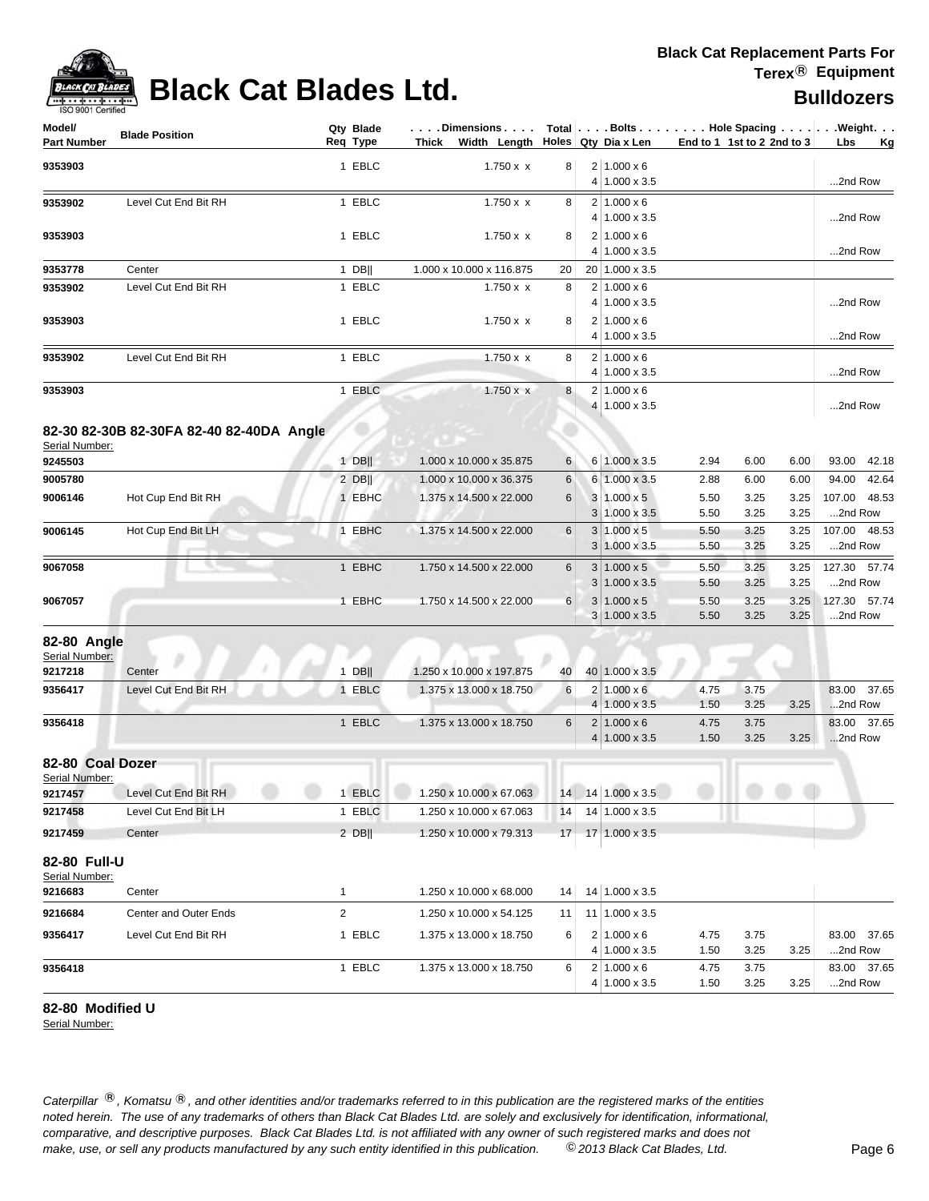

# **Black Cat Blades Ltd. Black Cat Blades Ltd. Black Cat Blades Ltd.**

| Model/<br>Part Number          | <b>Blade Position</b>                    |              | Qty Blade<br>Req Type | Dimensions<br>Thick<br>Width Length                      |                 | Holes Qty Dia x Len                        | End to 1 1st to 2 2nd to 3 |              |              | $Total   \ldots$ Bolts $\ldots   \ldots$ . Hole Spacing $\ldots   \ldots$ . Weight. $\ldots$<br>Lbs<br>Kg |
|--------------------------------|------------------------------------------|--------------|-----------------------|----------------------------------------------------------|-----------------|--------------------------------------------|----------------------------|--------------|--------------|-----------------------------------------------------------------------------------------------------------|
| 9353903                        |                                          |              | 1 EBLC                | $1.750 \times x$                                         | 8               | $2 1.000 \times 6$<br>4 1.000 x 3.5        |                            |              |              | 2nd Row                                                                                                   |
| 9353902                        | Level Cut End Bit RH                     |              | 1 EBLC                | 1.750 x x                                                | 8               | $2 1.000 \times 6$<br>4 1.000 x 3.5        |                            |              |              | 2nd Row                                                                                                   |
| 9353903                        |                                          |              | 1 EBLC                | 1.750 x x                                                | 8               | $2 1.000 \times 6$<br>4 1.000 x 3.5        |                            |              |              | 2nd Row                                                                                                   |
| 9353778                        | Center                                   |              | 1 DB                  | 1.000 x 10.000 x 116.875                                 | 20              | 20 1.000 x 3.5                             |                            |              |              |                                                                                                           |
| 9353902                        | Level Cut End Bit RH                     |              | 1 EBLC                | 1.750 x x                                                | 8               | $2 1.000 \times 6$<br>4 1.000 x 3.5        |                            |              |              | 2nd Row                                                                                                   |
| 9353903                        |                                          |              | 1 EBLC                | 1.750 x x                                                | 8               | $2 1.000 \times 6$<br>4 1.000 x 3.5        |                            |              |              | 2nd Row                                                                                                   |
| 9353902                        | Level Cut End Bit RH                     |              | 1 EBLC                | $1.750 \times x$                                         | 8               | $2 1.000 \times 6$<br>4 1.000 x 3.5        |                            |              |              | 2nd Row                                                                                                   |
| 9353903                        |                                          |              | 1 EBLC                | $1.750 \times x$                                         | 8               | $2 1.000 \times 6$<br>4 1.000 x 3.5        |                            |              |              | 2nd Row                                                                                                   |
|                                | 82-30 82-30B 82-30FA 82-40 82-40DA Angle |              |                       |                                                          |                 |                                            |                            |              |              |                                                                                                           |
| Serial Number:<br>9245503      |                                          |              | $1$ DB                | 1.000 x 10.000 x 35.875                                  | 6               | 6 1.000 x 3.5                              | 2.94                       | 6.00         | 6.00         | 93.00<br>42.18                                                                                            |
| 9005780                        |                                          |              | $2$ DB                | 1.000 x 10.000 x 36.375                                  |                 | 6 1.000 x 3.5                              | 2.88                       | 6.00         | 6.00         | 94.00<br>42.64                                                                                            |
| 9006146                        | Hot Cup End Bit RH                       |              | 1 EBHC                | 1.375 x 14.500 x 22.000                                  | 6<br>6          | $3 1.000 \times 5$                         | 5.50                       | 3.25         | 3.25         | 48.53<br>107.00                                                                                           |
|                                |                                          |              |                       |                                                          |                 | $3 1.000 \times 3.5$                       | 5.50                       | 3.25         | 3.25         | 2nd Row                                                                                                   |
| 9006145                        | Hot Cup End Bit LH                       |              | 1 EBHC                | 1.375 x 14.500 x 22.000                                  | 6               | $3 1.000 \times 5$                         | 5.50                       | 3.25         | 3.25         | 107.00 48.53                                                                                              |
|                                |                                          |              |                       |                                                          |                 | $3 1.000 \times 3.5$                       | 5.50                       | 3.25         | 3.25         | 2nd Row                                                                                                   |
| 9067058                        | 9, TU                                    |              | 1 EBHC                | 1.750 x 14.500 x 22.000                                  | 6               | $3 1.000 \times 5$<br>$3 1.000 \times 3.5$ | 5.50<br>5.50               | 3.25<br>3.25 | 3.25<br>3.25 | 127.30<br>57.74<br>2nd Row                                                                                |
| 9067057                        |                                          |              | 1 EBHC                | 1.750 x 14.500 x 22.000                                  | 6               | $3 1.000 \times 5$<br>$3 1.000 \times 3.5$ | 5.50<br>5.50               | 3.25<br>3.25 | 3.25<br>3.25 | 127.30 57.74<br>2nd Row                                                                                   |
| 82-80 Angle<br>Serial Number:  |                                          |              |                       |                                                          |                 |                                            |                            |              |              |                                                                                                           |
| 9217218                        | Center                                   |              | $1$ DB                | 1.250 x 10.000 x 197.875                                 | 40              | 40 1.000 x 3.5                             |                            |              |              |                                                                                                           |
| 9356417                        | Level Cut End Bit RH                     |              | 1 EBLC                | 1.375 x 13.000 x 18.750                                  | $6\phantom{1}6$ | $2 1.000 \times 6$<br>$4 1.000 \times 3.5$ | 4.75<br>1.50               | 3.75<br>3.25 | 3.25         | 83.00 37.65<br>2nd Row                                                                                    |
| 9356418                        |                                          |              | 1 EBLC                | 1.375 x 13.000 x 18.750                                  | 6               | $2 1.000 \times 6$<br>$4 1.000 \times 3.5$ | 4.75<br>1.50               | 3.75<br>3.25 | 3.25         | 83.00 37.65<br>2nd Row                                                                                    |
| 82-80 Coal Dozer               |                                          |              |                       |                                                          |                 |                                            |                            |              |              |                                                                                                           |
| Serial Number:<br>9217457      | Level Cut End Bit RH                     |              |                       | 1 EBLC   1.250 x 10.000 x 67.063   14   14   1.000 x 3.5 |                 |                                            |                            |              |              |                                                                                                           |
| 9217458                        | Level Cut End Bit LH                     |              | 1 EBLC                | 1.250 x 10.000 x 67.063                                  | 14              | 14 1.000 x 3.5                             |                            |              |              |                                                                                                           |
|                                |                                          |              |                       |                                                          |                 |                                            |                            |              |              |                                                                                                           |
| 9217459                        | Center                                   |              | $2$ DB                | 1.250 x 10.000 x 79.313                                  | 17              | 17 1.000 x 3.5                             |                            |              |              |                                                                                                           |
| 82-80 Full-U<br>Serial Number: |                                          |              |                       |                                                          |                 |                                            |                            |              |              |                                                                                                           |
| 9216683                        | Center                                   | $\mathbf{1}$ |                       | 1.250 x 10.000 x 68.000                                  | 14              | 14 1.000 x 3.5                             |                            |              |              |                                                                                                           |
| 9216684                        | Center and Outer Ends                    | 2            |                       | 1.250 x 10.000 x 54.125                                  | 11              | $11$   1.000 x 3.5                         |                            |              |              |                                                                                                           |
| 9356417                        | Level Cut End Bit RH                     |              | 1 EBLC                | 1.375 x 13.000 x 18.750                                  | 6               | $2 1.000 \times 6$                         | 4.75                       | 3.75         |              | 83.00 37.65                                                                                               |
|                                |                                          |              |                       |                                                          |                 | 4 1.000 x 3.5                              | 1.50                       | 3.25         | 3.25         | 2nd Row                                                                                                   |
| 9356418                        |                                          |              | 1 EBLC                | 1.375 x 13.000 x 18.750                                  | 6               | $2 1.000 \times 6$<br>4 1.000 x 3.5        | 4.75<br>1.50               | 3.75<br>3.25 | 3.25         | 83.00 37.65<br>2nd Row                                                                                    |

### **82-80 Modified U**

Serial Number: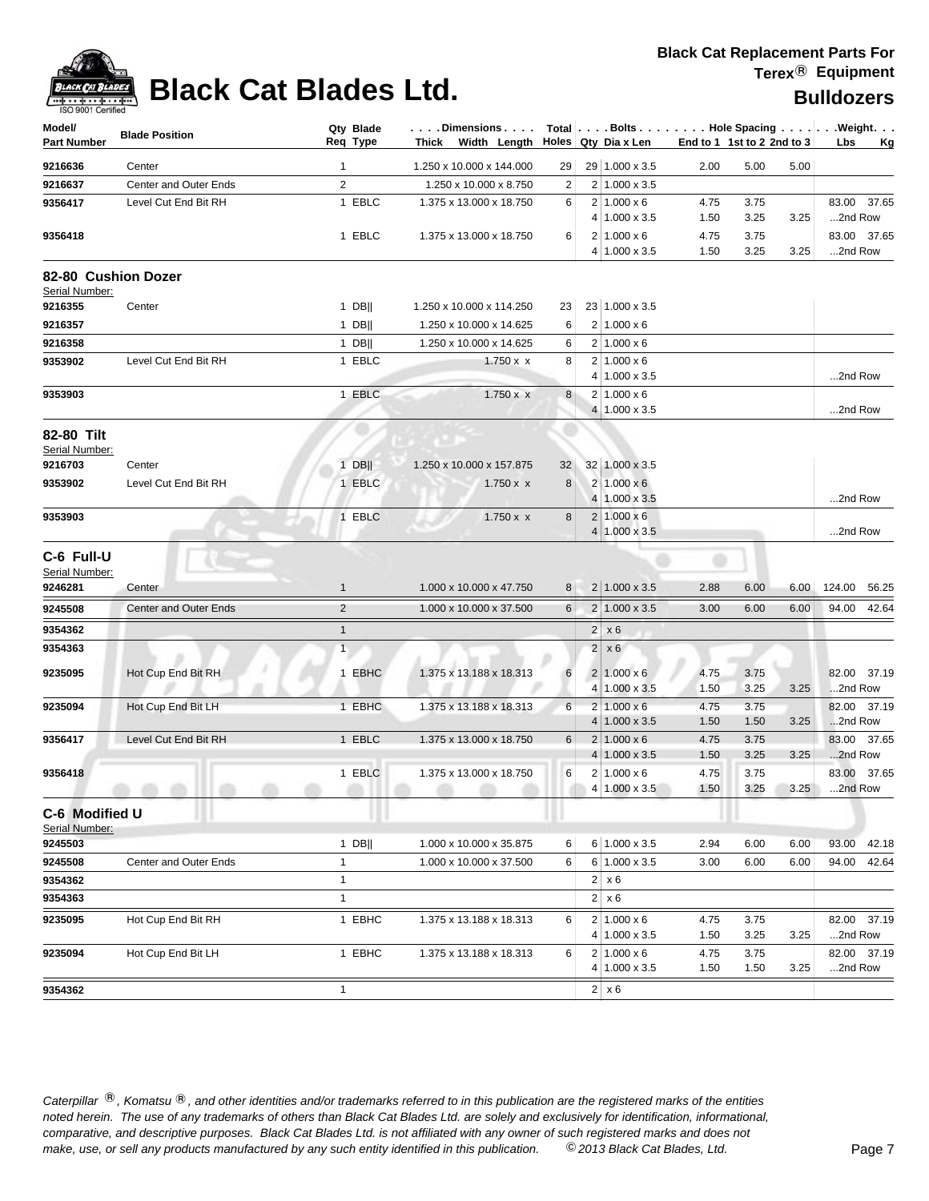

| 1.250 x 10.000 x 144.000<br>29 1.000 x 3.5<br>9216636<br>2.00<br>5.00<br>5.00<br>Center<br>29<br>1<br>9216637<br>Center and Outer Ends<br>$\overline{2}$<br>2 1.000 x 3.5<br>1.250 x 10.000 x 8.750<br>2<br>1 EBLC<br>$2 1.000 \times 6$<br>9356417<br>Level Cut End Bit RH<br>1.375 x 13.000 x 18.750<br>83.00 37.65<br>6<br>4.75<br>3.75<br>4 1.000 x 3.5<br>1.50<br>3.25<br>3.25<br>2nd Row<br>1 EBLC<br>9356418<br>1.375 x 13.000 x 18.750<br>6<br>$2 1.000 \times 6$<br>4.75<br>3.75<br>83.00 37.65<br>4 1.000 x 3.5<br>1.50<br>3.25<br>3.25<br>2nd Row<br>82-80 Cushion Dozer<br>Serial Number:<br>23 1.000 x 3.5<br>9216355<br>$1$ DB  <br>1.250 x 10.000 x 114.250<br>Center<br>23<br>9216357<br>$1$ DB  <br>$2 1.000 \times 6$<br>1.250 x 10.000 x 14.625<br>6<br>$1$ DB  <br>9216358<br>1.250 x 10.000 x 14.625<br>$2 1.000 \times 6$<br>6<br>$2 1.000 \times 6$<br>9353902<br>Level Cut End Bit RH<br>1 EBLC<br>$1.750 \times x$<br>8<br>2nd Row<br>$4 1.000 \times 3.5$<br>1 EBLC<br>$2 1.000 \times 6$<br>$1.750 \times x$<br>8<br>9353903<br>2nd Row<br>4 1.000 x 3.5<br>Serial Number:<br>$1$ DB  <br>1.250 x 10.000 x 157.875<br>32 1.000 x 3.5<br>9216703<br>Center<br>32<br>9353902<br>Level Cut End Bit RH<br>1 EBLC<br>8<br>$2 1.000 \times 6$<br>$1.750 \times x$<br>4 1.000 x 3.5<br>2nd Row<br>1 EBLC<br>$2 1.000 \times 6$<br>$1.750 \times x$<br>9353903<br>8<br>$4 1.000 \times 3.5$<br>2nd Row<br>C-6 Full-U<br>Serial Number:<br>1.000 x 10.000 x 47.750<br>$2 1.000 \times 3.5 $<br>2.88<br>6.00<br>124.00 56.25<br>9246281<br>Center<br>$\mathbf{1}$<br>8 <sup>1</sup><br>6.00<br>$\overline{2}$<br>9245508<br>$2 1.000 \times 3.5 $<br>94.00 42.64<br><b>Center and Outer Ends</b><br>1.000 x 10.000 x 37.500<br>6<br>3.00<br>6.00<br>6.00<br>9354362<br>$\mathbf{1}$<br>$2 \times 6$<br>9354363<br>$\mathbf{1}$<br>$2 \times 6$<br>Hot Cup End Bit RH<br>1 EBHC<br>1.375 x 13.188 x 18.313<br>$2 1.000 \times 6$<br>82.00 37.19<br>9235095<br>6<br>4.75<br>3.75<br>3.25<br>2nd Row<br>$4 1.000 \times 3.5$<br>1.50<br>3.25<br>$2 1.000 \times 6$<br>3.75<br>Hot Cup End Bit LH<br>1 EBHC<br>1.375 x 13.188 x 18.313<br>6<br>4.75<br>82.00 37.19<br>$4 1.000 \times 3.5$<br>3.25<br>2nd Row<br>1.50<br>1.50<br>$2 1.000 \times 6$<br>4.75<br>83.00 37.65<br>9356417<br>Level Cut End Bit RH<br>1 EBLC<br>1.375 x 13.000 x 18.750<br>6<br>3.75<br>1.50<br>3.25<br>3.25<br>2nd Row<br>$4 1.000 \times 3.5$<br>1 EBLC<br>1.375 x 13.000 x 18.750<br>6<br>$2 1.000 \times 6$<br>4.75<br>3.75<br>83.00 37.65<br>3.25<br>$4 1.000 \times 3.5 $<br>1.50<br>2nd Row<br>3.25<br>C-6 Modified U<br>Serial Number:<br>6 1.000 x 3.5<br>9245503<br>$1$ DB  <br>1.000 x 10.000 x 35.875<br>6.00<br>93.00<br>6<br>2.94<br>6.00<br>42.18<br>Center and Outer Ends<br>6<br>6 1.000 x 3.5<br>9245508<br>1<br>1.000 x 10.000 x 37.500<br>3.00<br>6.00<br>6.00<br>94.00<br>42.64<br>$\mathbf{1}$<br>$2 \times 6$<br>9354362<br>$\mathbf{1}$<br>$2 \times 6$<br>9354363<br>1 EBHC<br>$2 1.000 \times 6$<br>82.00 37.19<br>9235095<br>Hot Cup End Bit RH<br>1.375 x 13.188 x 18.313<br>6<br>3.75<br>4.75<br>$4 1.000 \times 3.5$<br>3.25<br>3.25<br>2nd Row<br>1.50<br>Hot Cup End Bit LH<br>1 EBHC<br>$2 1.000 \times 6$<br>82.00 37.19<br>9235094<br>1.375 x 13.188 x 18.313<br>6<br>4.75<br>3.75<br>$4 1.000 \times 3.5$<br>1.50<br>3.25<br>2nd Row<br>1.50<br>9354362<br>$\mathbf{1}$<br>$2 \times 6$ | Model/<br><b>Part Number</b> | <b>Blade Position</b> | Qty Blade<br>Req Type | . Dimensions<br>Thick Width Length |  | Holes Qty Dia x Len | End to 1 1st to 2 2nd to 3 | Total   Bolts   Hole Spacing   Weight.<br>Lbs<br>Kg |
|---------------------------------------------------------------------------------------------------------------------------------------------------------------------------------------------------------------------------------------------------------------------------------------------------------------------------------------------------------------------------------------------------------------------------------------------------------------------------------------------------------------------------------------------------------------------------------------------------------------------------------------------------------------------------------------------------------------------------------------------------------------------------------------------------------------------------------------------------------------------------------------------------------------------------------------------------------------------------------------------------------------------------------------------------------------------------------------------------------------------------------------------------------------------------------------------------------------------------------------------------------------------------------------------------------------------------------------------------------------------------------------------------------------------------------------------------------------------------------------------------------------------------------------------------------------------------------------------------------------------------------------------------------------------------------------------------------------------------------------------------------------------------------------------------------------------------------------------------------------------------------------------------------------------------------------------------------------------------------------------------------------------------------------------------------------------------------------------------------------------------------------------------------------------------------------------------------------------------------------------------------------------------------------------------------------------------------------------------------------------------------------------------------------------------------------------------------------------------------------------------------------------------------------------------------------------------------------------------------------------------------------------------------------------------------------------------------------------------------------------------------------------------------------------------------------------------------------------------------------------------------------------------------------------------------------------------------------------------------------------------------------------------------------------------------------------------------------------------------------------------------------------------------------------------------------------------------------------------------------------------------------------------------------------------------------------------------------------------------------------------------------------------------------------|------------------------------|-----------------------|-----------------------|------------------------------------|--|---------------------|----------------------------|-----------------------------------------------------|
|                                                                                                                                                                                                                                                                                                                                                                                                                                                                                                                                                                                                                                                                                                                                                                                                                                                                                                                                                                                                                                                                                                                                                                                                                                                                                                                                                                                                                                                                                                                                                                                                                                                                                                                                                                                                                                                                                                                                                                                                                                                                                                                                                                                                                                                                                                                                                                                                                                                                                                                                                                                                                                                                                                                                                                                                                                                                                                                                                                                                                                                                                                                                                                                                                                                                                                                                                                                                                     |                              |                       |                       |                                    |  |                     |                            |                                                     |
|                                                                                                                                                                                                                                                                                                                                                                                                                                                                                                                                                                                                                                                                                                                                                                                                                                                                                                                                                                                                                                                                                                                                                                                                                                                                                                                                                                                                                                                                                                                                                                                                                                                                                                                                                                                                                                                                                                                                                                                                                                                                                                                                                                                                                                                                                                                                                                                                                                                                                                                                                                                                                                                                                                                                                                                                                                                                                                                                                                                                                                                                                                                                                                                                                                                                                                                                                                                                                     |                              |                       |                       |                                    |  |                     |                            |                                                     |
|                                                                                                                                                                                                                                                                                                                                                                                                                                                                                                                                                                                                                                                                                                                                                                                                                                                                                                                                                                                                                                                                                                                                                                                                                                                                                                                                                                                                                                                                                                                                                                                                                                                                                                                                                                                                                                                                                                                                                                                                                                                                                                                                                                                                                                                                                                                                                                                                                                                                                                                                                                                                                                                                                                                                                                                                                                                                                                                                                                                                                                                                                                                                                                                                                                                                                                                                                                                                                     |                              |                       |                       |                                    |  |                     |                            |                                                     |
|                                                                                                                                                                                                                                                                                                                                                                                                                                                                                                                                                                                                                                                                                                                                                                                                                                                                                                                                                                                                                                                                                                                                                                                                                                                                                                                                                                                                                                                                                                                                                                                                                                                                                                                                                                                                                                                                                                                                                                                                                                                                                                                                                                                                                                                                                                                                                                                                                                                                                                                                                                                                                                                                                                                                                                                                                                                                                                                                                                                                                                                                                                                                                                                                                                                                                                                                                                                                                     |                              |                       |                       |                                    |  |                     |                            |                                                     |
|                                                                                                                                                                                                                                                                                                                                                                                                                                                                                                                                                                                                                                                                                                                                                                                                                                                                                                                                                                                                                                                                                                                                                                                                                                                                                                                                                                                                                                                                                                                                                                                                                                                                                                                                                                                                                                                                                                                                                                                                                                                                                                                                                                                                                                                                                                                                                                                                                                                                                                                                                                                                                                                                                                                                                                                                                                                                                                                                                                                                                                                                                                                                                                                                                                                                                                                                                                                                                     |                              |                       |                       |                                    |  |                     |                            |                                                     |
|                                                                                                                                                                                                                                                                                                                                                                                                                                                                                                                                                                                                                                                                                                                                                                                                                                                                                                                                                                                                                                                                                                                                                                                                                                                                                                                                                                                                                                                                                                                                                                                                                                                                                                                                                                                                                                                                                                                                                                                                                                                                                                                                                                                                                                                                                                                                                                                                                                                                                                                                                                                                                                                                                                                                                                                                                                                                                                                                                                                                                                                                                                                                                                                                                                                                                                                                                                                                                     |                              |                       |                       |                                    |  |                     |                            |                                                     |
|                                                                                                                                                                                                                                                                                                                                                                                                                                                                                                                                                                                                                                                                                                                                                                                                                                                                                                                                                                                                                                                                                                                                                                                                                                                                                                                                                                                                                                                                                                                                                                                                                                                                                                                                                                                                                                                                                                                                                                                                                                                                                                                                                                                                                                                                                                                                                                                                                                                                                                                                                                                                                                                                                                                                                                                                                                                                                                                                                                                                                                                                                                                                                                                                                                                                                                                                                                                                                     |                              |                       |                       |                                    |  |                     |                            |                                                     |
|                                                                                                                                                                                                                                                                                                                                                                                                                                                                                                                                                                                                                                                                                                                                                                                                                                                                                                                                                                                                                                                                                                                                                                                                                                                                                                                                                                                                                                                                                                                                                                                                                                                                                                                                                                                                                                                                                                                                                                                                                                                                                                                                                                                                                                                                                                                                                                                                                                                                                                                                                                                                                                                                                                                                                                                                                                                                                                                                                                                                                                                                                                                                                                                                                                                                                                                                                                                                                     |                              |                       |                       |                                    |  |                     |                            |                                                     |
|                                                                                                                                                                                                                                                                                                                                                                                                                                                                                                                                                                                                                                                                                                                                                                                                                                                                                                                                                                                                                                                                                                                                                                                                                                                                                                                                                                                                                                                                                                                                                                                                                                                                                                                                                                                                                                                                                                                                                                                                                                                                                                                                                                                                                                                                                                                                                                                                                                                                                                                                                                                                                                                                                                                                                                                                                                                                                                                                                                                                                                                                                                                                                                                                                                                                                                                                                                                                                     |                              |                       |                       |                                    |  |                     |                            |                                                     |
|                                                                                                                                                                                                                                                                                                                                                                                                                                                                                                                                                                                                                                                                                                                                                                                                                                                                                                                                                                                                                                                                                                                                                                                                                                                                                                                                                                                                                                                                                                                                                                                                                                                                                                                                                                                                                                                                                                                                                                                                                                                                                                                                                                                                                                                                                                                                                                                                                                                                                                                                                                                                                                                                                                                                                                                                                                                                                                                                                                                                                                                                                                                                                                                                                                                                                                                                                                                                                     |                              |                       |                       |                                    |  |                     |                            |                                                     |
|                                                                                                                                                                                                                                                                                                                                                                                                                                                                                                                                                                                                                                                                                                                                                                                                                                                                                                                                                                                                                                                                                                                                                                                                                                                                                                                                                                                                                                                                                                                                                                                                                                                                                                                                                                                                                                                                                                                                                                                                                                                                                                                                                                                                                                                                                                                                                                                                                                                                                                                                                                                                                                                                                                                                                                                                                                                                                                                                                                                                                                                                                                                                                                                                                                                                                                                                                                                                                     |                              |                       |                       |                                    |  |                     |                            |                                                     |
|                                                                                                                                                                                                                                                                                                                                                                                                                                                                                                                                                                                                                                                                                                                                                                                                                                                                                                                                                                                                                                                                                                                                                                                                                                                                                                                                                                                                                                                                                                                                                                                                                                                                                                                                                                                                                                                                                                                                                                                                                                                                                                                                                                                                                                                                                                                                                                                                                                                                                                                                                                                                                                                                                                                                                                                                                                                                                                                                                                                                                                                                                                                                                                                                                                                                                                                                                                                                                     |                              |                       |                       |                                    |  |                     |                            |                                                     |
|                                                                                                                                                                                                                                                                                                                                                                                                                                                                                                                                                                                                                                                                                                                                                                                                                                                                                                                                                                                                                                                                                                                                                                                                                                                                                                                                                                                                                                                                                                                                                                                                                                                                                                                                                                                                                                                                                                                                                                                                                                                                                                                                                                                                                                                                                                                                                                                                                                                                                                                                                                                                                                                                                                                                                                                                                                                                                                                                                                                                                                                                                                                                                                                                                                                                                                                                                                                                                     |                              |                       |                       |                                    |  |                     |                            |                                                     |
|                                                                                                                                                                                                                                                                                                                                                                                                                                                                                                                                                                                                                                                                                                                                                                                                                                                                                                                                                                                                                                                                                                                                                                                                                                                                                                                                                                                                                                                                                                                                                                                                                                                                                                                                                                                                                                                                                                                                                                                                                                                                                                                                                                                                                                                                                                                                                                                                                                                                                                                                                                                                                                                                                                                                                                                                                                                                                                                                                                                                                                                                                                                                                                                                                                                                                                                                                                                                                     |                              |                       |                       |                                    |  |                     |                            |                                                     |
|                                                                                                                                                                                                                                                                                                                                                                                                                                                                                                                                                                                                                                                                                                                                                                                                                                                                                                                                                                                                                                                                                                                                                                                                                                                                                                                                                                                                                                                                                                                                                                                                                                                                                                                                                                                                                                                                                                                                                                                                                                                                                                                                                                                                                                                                                                                                                                                                                                                                                                                                                                                                                                                                                                                                                                                                                                                                                                                                                                                                                                                                                                                                                                                                                                                                                                                                                                                                                     | 82-80 Tilt                   |                       |                       |                                    |  |                     |                            |                                                     |
|                                                                                                                                                                                                                                                                                                                                                                                                                                                                                                                                                                                                                                                                                                                                                                                                                                                                                                                                                                                                                                                                                                                                                                                                                                                                                                                                                                                                                                                                                                                                                                                                                                                                                                                                                                                                                                                                                                                                                                                                                                                                                                                                                                                                                                                                                                                                                                                                                                                                                                                                                                                                                                                                                                                                                                                                                                                                                                                                                                                                                                                                                                                                                                                                                                                                                                                                                                                                                     |                              |                       |                       |                                    |  |                     |                            |                                                     |
|                                                                                                                                                                                                                                                                                                                                                                                                                                                                                                                                                                                                                                                                                                                                                                                                                                                                                                                                                                                                                                                                                                                                                                                                                                                                                                                                                                                                                                                                                                                                                                                                                                                                                                                                                                                                                                                                                                                                                                                                                                                                                                                                                                                                                                                                                                                                                                                                                                                                                                                                                                                                                                                                                                                                                                                                                                                                                                                                                                                                                                                                                                                                                                                                                                                                                                                                                                                                                     |                              |                       |                       |                                    |  |                     |                            |                                                     |
|                                                                                                                                                                                                                                                                                                                                                                                                                                                                                                                                                                                                                                                                                                                                                                                                                                                                                                                                                                                                                                                                                                                                                                                                                                                                                                                                                                                                                                                                                                                                                                                                                                                                                                                                                                                                                                                                                                                                                                                                                                                                                                                                                                                                                                                                                                                                                                                                                                                                                                                                                                                                                                                                                                                                                                                                                                                                                                                                                                                                                                                                                                                                                                                                                                                                                                                                                                                                                     |                              |                       |                       |                                    |  |                     |                            |                                                     |
|                                                                                                                                                                                                                                                                                                                                                                                                                                                                                                                                                                                                                                                                                                                                                                                                                                                                                                                                                                                                                                                                                                                                                                                                                                                                                                                                                                                                                                                                                                                                                                                                                                                                                                                                                                                                                                                                                                                                                                                                                                                                                                                                                                                                                                                                                                                                                                                                                                                                                                                                                                                                                                                                                                                                                                                                                                                                                                                                                                                                                                                                                                                                                                                                                                                                                                                                                                                                                     |                              |                       |                       |                                    |  |                     |                            |                                                     |
|                                                                                                                                                                                                                                                                                                                                                                                                                                                                                                                                                                                                                                                                                                                                                                                                                                                                                                                                                                                                                                                                                                                                                                                                                                                                                                                                                                                                                                                                                                                                                                                                                                                                                                                                                                                                                                                                                                                                                                                                                                                                                                                                                                                                                                                                                                                                                                                                                                                                                                                                                                                                                                                                                                                                                                                                                                                                                                                                                                                                                                                                                                                                                                                                                                                                                                                                                                                                                     |                              |                       |                       |                                    |  |                     |                            |                                                     |
|                                                                                                                                                                                                                                                                                                                                                                                                                                                                                                                                                                                                                                                                                                                                                                                                                                                                                                                                                                                                                                                                                                                                                                                                                                                                                                                                                                                                                                                                                                                                                                                                                                                                                                                                                                                                                                                                                                                                                                                                                                                                                                                                                                                                                                                                                                                                                                                                                                                                                                                                                                                                                                                                                                                                                                                                                                                                                                                                                                                                                                                                                                                                                                                                                                                                                                                                                                                                                     |                              |                       |                       |                                    |  |                     |                            |                                                     |
|                                                                                                                                                                                                                                                                                                                                                                                                                                                                                                                                                                                                                                                                                                                                                                                                                                                                                                                                                                                                                                                                                                                                                                                                                                                                                                                                                                                                                                                                                                                                                                                                                                                                                                                                                                                                                                                                                                                                                                                                                                                                                                                                                                                                                                                                                                                                                                                                                                                                                                                                                                                                                                                                                                                                                                                                                                                                                                                                                                                                                                                                                                                                                                                                                                                                                                                                                                                                                     |                              |                       |                       |                                    |  |                     |                            |                                                     |
|                                                                                                                                                                                                                                                                                                                                                                                                                                                                                                                                                                                                                                                                                                                                                                                                                                                                                                                                                                                                                                                                                                                                                                                                                                                                                                                                                                                                                                                                                                                                                                                                                                                                                                                                                                                                                                                                                                                                                                                                                                                                                                                                                                                                                                                                                                                                                                                                                                                                                                                                                                                                                                                                                                                                                                                                                                                                                                                                                                                                                                                                                                                                                                                                                                                                                                                                                                                                                     |                              |                       |                       |                                    |  |                     |                            |                                                     |
|                                                                                                                                                                                                                                                                                                                                                                                                                                                                                                                                                                                                                                                                                                                                                                                                                                                                                                                                                                                                                                                                                                                                                                                                                                                                                                                                                                                                                                                                                                                                                                                                                                                                                                                                                                                                                                                                                                                                                                                                                                                                                                                                                                                                                                                                                                                                                                                                                                                                                                                                                                                                                                                                                                                                                                                                                                                                                                                                                                                                                                                                                                                                                                                                                                                                                                                                                                                                                     |                              |                       |                       |                                    |  |                     |                            |                                                     |
|                                                                                                                                                                                                                                                                                                                                                                                                                                                                                                                                                                                                                                                                                                                                                                                                                                                                                                                                                                                                                                                                                                                                                                                                                                                                                                                                                                                                                                                                                                                                                                                                                                                                                                                                                                                                                                                                                                                                                                                                                                                                                                                                                                                                                                                                                                                                                                                                                                                                                                                                                                                                                                                                                                                                                                                                                                                                                                                                                                                                                                                                                                                                                                                                                                                                                                                                                                                                                     |                              |                       |                       |                                    |  |                     |                            |                                                     |
|                                                                                                                                                                                                                                                                                                                                                                                                                                                                                                                                                                                                                                                                                                                                                                                                                                                                                                                                                                                                                                                                                                                                                                                                                                                                                                                                                                                                                                                                                                                                                                                                                                                                                                                                                                                                                                                                                                                                                                                                                                                                                                                                                                                                                                                                                                                                                                                                                                                                                                                                                                                                                                                                                                                                                                                                                                                                                                                                                                                                                                                                                                                                                                                                                                                                                                                                                                                                                     |                              |                       |                       |                                    |  |                     |                            |                                                     |
|                                                                                                                                                                                                                                                                                                                                                                                                                                                                                                                                                                                                                                                                                                                                                                                                                                                                                                                                                                                                                                                                                                                                                                                                                                                                                                                                                                                                                                                                                                                                                                                                                                                                                                                                                                                                                                                                                                                                                                                                                                                                                                                                                                                                                                                                                                                                                                                                                                                                                                                                                                                                                                                                                                                                                                                                                                                                                                                                                                                                                                                                                                                                                                                                                                                                                                                                                                                                                     |                              |                       |                       |                                    |  |                     |                            |                                                     |
|                                                                                                                                                                                                                                                                                                                                                                                                                                                                                                                                                                                                                                                                                                                                                                                                                                                                                                                                                                                                                                                                                                                                                                                                                                                                                                                                                                                                                                                                                                                                                                                                                                                                                                                                                                                                                                                                                                                                                                                                                                                                                                                                                                                                                                                                                                                                                                                                                                                                                                                                                                                                                                                                                                                                                                                                                                                                                                                                                                                                                                                                                                                                                                                                                                                                                                                                                                                                                     | 9235094                      |                       |                       |                                    |  |                     |                            |                                                     |
|                                                                                                                                                                                                                                                                                                                                                                                                                                                                                                                                                                                                                                                                                                                                                                                                                                                                                                                                                                                                                                                                                                                                                                                                                                                                                                                                                                                                                                                                                                                                                                                                                                                                                                                                                                                                                                                                                                                                                                                                                                                                                                                                                                                                                                                                                                                                                                                                                                                                                                                                                                                                                                                                                                                                                                                                                                                                                                                                                                                                                                                                                                                                                                                                                                                                                                                                                                                                                     |                              |                       |                       |                                    |  |                     |                            |                                                     |
|                                                                                                                                                                                                                                                                                                                                                                                                                                                                                                                                                                                                                                                                                                                                                                                                                                                                                                                                                                                                                                                                                                                                                                                                                                                                                                                                                                                                                                                                                                                                                                                                                                                                                                                                                                                                                                                                                                                                                                                                                                                                                                                                                                                                                                                                                                                                                                                                                                                                                                                                                                                                                                                                                                                                                                                                                                                                                                                                                                                                                                                                                                                                                                                                                                                                                                                                                                                                                     |                              |                       |                       |                                    |  |                     |                            |                                                     |
|                                                                                                                                                                                                                                                                                                                                                                                                                                                                                                                                                                                                                                                                                                                                                                                                                                                                                                                                                                                                                                                                                                                                                                                                                                                                                                                                                                                                                                                                                                                                                                                                                                                                                                                                                                                                                                                                                                                                                                                                                                                                                                                                                                                                                                                                                                                                                                                                                                                                                                                                                                                                                                                                                                                                                                                                                                                                                                                                                                                                                                                                                                                                                                                                                                                                                                                                                                                                                     |                              |                       |                       |                                    |  |                     |                            |                                                     |
|                                                                                                                                                                                                                                                                                                                                                                                                                                                                                                                                                                                                                                                                                                                                                                                                                                                                                                                                                                                                                                                                                                                                                                                                                                                                                                                                                                                                                                                                                                                                                                                                                                                                                                                                                                                                                                                                                                                                                                                                                                                                                                                                                                                                                                                                                                                                                                                                                                                                                                                                                                                                                                                                                                                                                                                                                                                                                                                                                                                                                                                                                                                                                                                                                                                                                                                                                                                                                     | 9356418                      |                       |                       |                                    |  |                     |                            |                                                     |
|                                                                                                                                                                                                                                                                                                                                                                                                                                                                                                                                                                                                                                                                                                                                                                                                                                                                                                                                                                                                                                                                                                                                                                                                                                                                                                                                                                                                                                                                                                                                                                                                                                                                                                                                                                                                                                                                                                                                                                                                                                                                                                                                                                                                                                                                                                                                                                                                                                                                                                                                                                                                                                                                                                                                                                                                                                                                                                                                                                                                                                                                                                                                                                                                                                                                                                                                                                                                                     |                              |                       |                       |                                    |  |                     |                            |                                                     |
|                                                                                                                                                                                                                                                                                                                                                                                                                                                                                                                                                                                                                                                                                                                                                                                                                                                                                                                                                                                                                                                                                                                                                                                                                                                                                                                                                                                                                                                                                                                                                                                                                                                                                                                                                                                                                                                                                                                                                                                                                                                                                                                                                                                                                                                                                                                                                                                                                                                                                                                                                                                                                                                                                                                                                                                                                                                                                                                                                                                                                                                                                                                                                                                                                                                                                                                                                                                                                     |                              |                       |                       |                                    |  |                     |                            |                                                     |
|                                                                                                                                                                                                                                                                                                                                                                                                                                                                                                                                                                                                                                                                                                                                                                                                                                                                                                                                                                                                                                                                                                                                                                                                                                                                                                                                                                                                                                                                                                                                                                                                                                                                                                                                                                                                                                                                                                                                                                                                                                                                                                                                                                                                                                                                                                                                                                                                                                                                                                                                                                                                                                                                                                                                                                                                                                                                                                                                                                                                                                                                                                                                                                                                                                                                                                                                                                                                                     |                              |                       |                       |                                    |  |                     |                            |                                                     |
|                                                                                                                                                                                                                                                                                                                                                                                                                                                                                                                                                                                                                                                                                                                                                                                                                                                                                                                                                                                                                                                                                                                                                                                                                                                                                                                                                                                                                                                                                                                                                                                                                                                                                                                                                                                                                                                                                                                                                                                                                                                                                                                                                                                                                                                                                                                                                                                                                                                                                                                                                                                                                                                                                                                                                                                                                                                                                                                                                                                                                                                                                                                                                                                                                                                                                                                                                                                                                     |                              |                       |                       |                                    |  |                     |                            |                                                     |
|                                                                                                                                                                                                                                                                                                                                                                                                                                                                                                                                                                                                                                                                                                                                                                                                                                                                                                                                                                                                                                                                                                                                                                                                                                                                                                                                                                                                                                                                                                                                                                                                                                                                                                                                                                                                                                                                                                                                                                                                                                                                                                                                                                                                                                                                                                                                                                                                                                                                                                                                                                                                                                                                                                                                                                                                                                                                                                                                                                                                                                                                                                                                                                                                                                                                                                                                                                                                                     |                              |                       |                       |                                    |  |                     |                            |                                                     |
|                                                                                                                                                                                                                                                                                                                                                                                                                                                                                                                                                                                                                                                                                                                                                                                                                                                                                                                                                                                                                                                                                                                                                                                                                                                                                                                                                                                                                                                                                                                                                                                                                                                                                                                                                                                                                                                                                                                                                                                                                                                                                                                                                                                                                                                                                                                                                                                                                                                                                                                                                                                                                                                                                                                                                                                                                                                                                                                                                                                                                                                                                                                                                                                                                                                                                                                                                                                                                     |                              |                       |                       |                                    |  |                     |                            |                                                     |
|                                                                                                                                                                                                                                                                                                                                                                                                                                                                                                                                                                                                                                                                                                                                                                                                                                                                                                                                                                                                                                                                                                                                                                                                                                                                                                                                                                                                                                                                                                                                                                                                                                                                                                                                                                                                                                                                                                                                                                                                                                                                                                                                                                                                                                                                                                                                                                                                                                                                                                                                                                                                                                                                                                                                                                                                                                                                                                                                                                                                                                                                                                                                                                                                                                                                                                                                                                                                                     |                              |                       |                       |                                    |  |                     |                            |                                                     |
|                                                                                                                                                                                                                                                                                                                                                                                                                                                                                                                                                                                                                                                                                                                                                                                                                                                                                                                                                                                                                                                                                                                                                                                                                                                                                                                                                                                                                                                                                                                                                                                                                                                                                                                                                                                                                                                                                                                                                                                                                                                                                                                                                                                                                                                                                                                                                                                                                                                                                                                                                                                                                                                                                                                                                                                                                                                                                                                                                                                                                                                                                                                                                                                                                                                                                                                                                                                                                     |                              |                       |                       |                                    |  |                     |                            |                                                     |
|                                                                                                                                                                                                                                                                                                                                                                                                                                                                                                                                                                                                                                                                                                                                                                                                                                                                                                                                                                                                                                                                                                                                                                                                                                                                                                                                                                                                                                                                                                                                                                                                                                                                                                                                                                                                                                                                                                                                                                                                                                                                                                                                                                                                                                                                                                                                                                                                                                                                                                                                                                                                                                                                                                                                                                                                                                                                                                                                                                                                                                                                                                                                                                                                                                                                                                                                                                                                                     |                              |                       |                       |                                    |  |                     |                            |                                                     |
|                                                                                                                                                                                                                                                                                                                                                                                                                                                                                                                                                                                                                                                                                                                                                                                                                                                                                                                                                                                                                                                                                                                                                                                                                                                                                                                                                                                                                                                                                                                                                                                                                                                                                                                                                                                                                                                                                                                                                                                                                                                                                                                                                                                                                                                                                                                                                                                                                                                                                                                                                                                                                                                                                                                                                                                                                                                                                                                                                                                                                                                                                                                                                                                                                                                                                                                                                                                                                     |                              |                       |                       |                                    |  |                     |                            |                                                     |
|                                                                                                                                                                                                                                                                                                                                                                                                                                                                                                                                                                                                                                                                                                                                                                                                                                                                                                                                                                                                                                                                                                                                                                                                                                                                                                                                                                                                                                                                                                                                                                                                                                                                                                                                                                                                                                                                                                                                                                                                                                                                                                                                                                                                                                                                                                                                                                                                                                                                                                                                                                                                                                                                                                                                                                                                                                                                                                                                                                                                                                                                                                                                                                                                                                                                                                                                                                                                                     |                              |                       |                       |                                    |  |                     |                            |                                                     |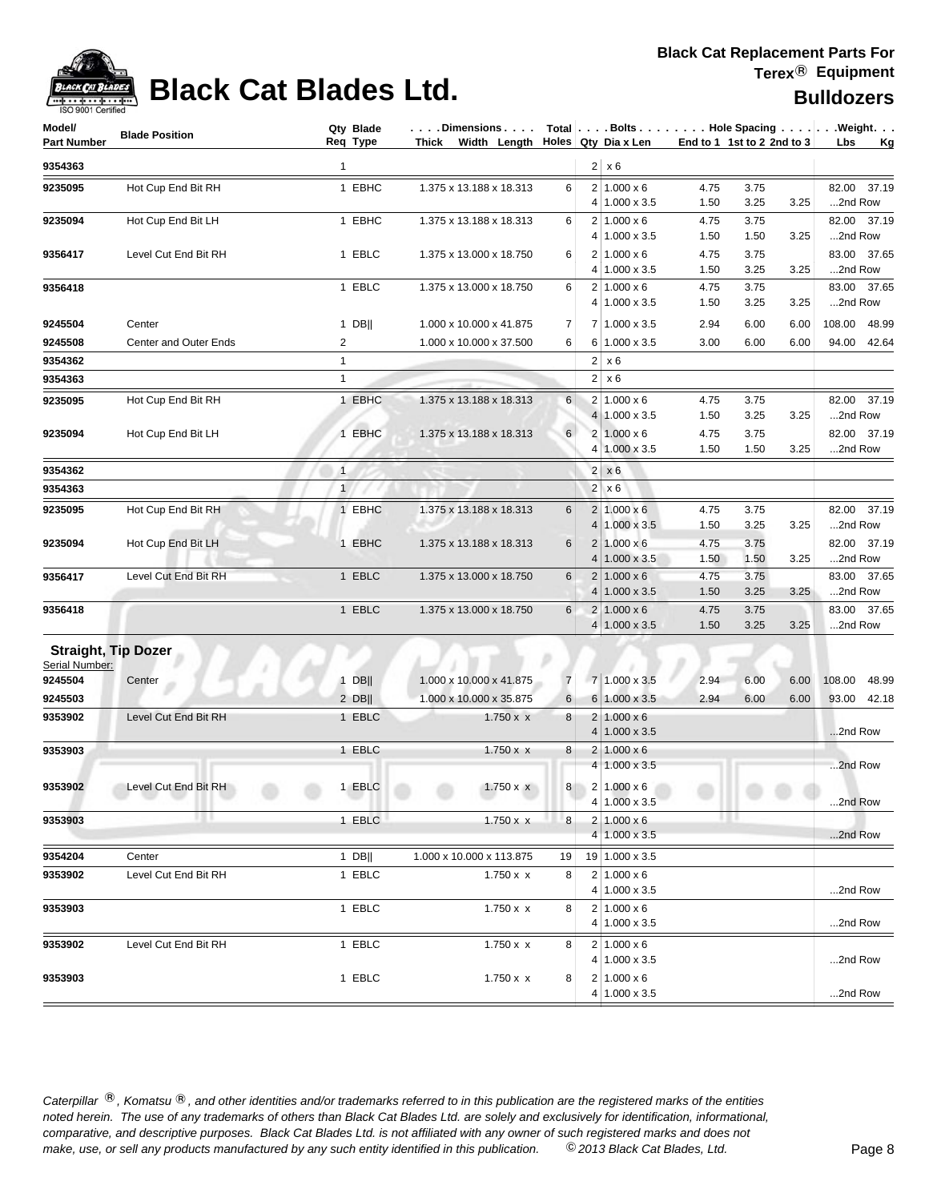

# **Black Cat Blades Ltd. Black Cat Blades Ltd. Bulldozers**

| Model/<br>Part Number | <b>Blade Position</b>        | Qty Blade<br>Req Type | Dimensions   Total   Bolts    Hole Spacing    Weight<br>Thick Width Length $\vert$ Holes Qty Dia x Len |                |                |                                                 |              | End to 1 1st to 2 2nd to 3 |      | Lbs     | <u>Kg</u>   |
|-----------------------|------------------------------|-----------------------|--------------------------------------------------------------------------------------------------------|----------------|----------------|-------------------------------------------------|--------------|----------------------------|------|---------|-------------|
| 9354363               |                              | $\mathbf{1}$          |                                                                                                        |                |                | $2 \times 6$                                    |              |                            |      |         |             |
| 9235095               | Hot Cup End Bit RH           | 1 EBHC                | 1.375 x 13.188 x 18.313                                                                                | 6              |                | $2 1.000 \times 6$                              | 4.75         | 3.75                       |      |         | 82.00 37.19 |
|                       |                              |                       |                                                                                                        |                |                | 4 1.000 x 3.5                                   | 1.50         | 3.25                       | 3.25 | 2nd Row |             |
| 9235094               | Hot Cup End Bit LH           | 1 EBHC                | 1.375 x 13.188 x 18.313                                                                                | 6              |                | $2 1.000 \times 6$                              | 4.75         | 3.75                       |      |         | 82.00 37.19 |
|                       |                              |                       |                                                                                                        |                |                | 4 1.000 x 3.5                                   | 1.50         | 1.50                       | 3.25 | 2nd Row |             |
| 9356417               | Level Cut End Bit RH         | 1 EBLC                | 1.375 x 13.000 x 18.750                                                                                | 6              |                | $2 1.000 \times 6$<br>4 1.000 x 3.5             | 4.75<br>1.50 | 3.75<br>3.25               | 3.25 | 2nd Row | 83.00 37.65 |
| 9356418               |                              | 1 EBLC                | 1.375 x 13.000 x 18.750                                                                                | 6              |                | $2 1.000 \times 6$                              | 4.75         | 3.75                       |      |         | 83.00 37.65 |
|                       |                              |                       |                                                                                                        |                |                | $4 1.000 \times 3.5$                            | 1.50         | 3.25                       | 3.25 | 2nd Row |             |
| 9245504               | Center                       | $1$ DB                | 1.000 x 10.000 x 41.875                                                                                | 7              |                | 7 1.000 x 3.5                                   | 2.94         | 6.00                       | 6.00 | 108.00  | 48.99       |
| 9245508               | <b>Center and Outer Ends</b> | $\overline{2}$        | 1.000 x 10.000 x 37.500                                                                                | 6              |                | 6 1.000 x 3.5                                   | 3.00         | 6.00                       | 6.00 | 94.00   | 42.64       |
| 9354362               |                              | $\mathbf{1}$          |                                                                                                        |                | 2 <sub>1</sub> | x 6                                             |              |                            |      |         |             |
| 9354363               |                              | $\mathbf{1}$          |                                                                                                        |                |                | $2 \times 6$                                    |              |                            |      |         |             |
| 9235095               | Hot Cup End Bit RH           | 1 EBHC                | 1.375 x 13.188 x 18.313                                                                                | 6              |                | $2 1.000 \times 6$                              | 4.75         | 3.75                       |      |         | 82.00 37.19 |
|                       |                              |                       |                                                                                                        |                |                | $4 1.000 \times 3.5$                            | 1.50         | 3.25                       | 3.25 | 2nd Row |             |
| 9235094               | Hot Cup End Bit LH           | 1 EBHC                | 1.375 x 13.188 x 18.313                                                                                | $6 \mid$       |                | 2   1.000 x 6                                   | 4.75         | 3.75                       |      |         | 82.00 37.19 |
|                       |                              |                       |                                                                                                        |                |                | 4 1.000 x 3.5                                   | 1.50         | 1.50                       | 3.25 | 2nd Row |             |
| 9354362               |                              | $\mathbf{1}$          |                                                                                                        |                |                | $2 \times 6$                                    |              |                            |      |         |             |
| 9354363               |                              | 1                     |                                                                                                        |                | 2              | $\times 6$                                      |              |                            |      |         |             |
| 9235095               | Hot Cup End Bit RH           | 1 EBHC                | 1.375 x 13.188 x 18.313                                                                                | 6              |                | $2 1.000 \times 6$                              | 4.75         | 3.75                       |      |         | 82.00 37.19 |
|                       |                              |                       |                                                                                                        |                | $\overline{4}$ | $1.000 \times 3.5$                              | 1.50         | 3.25                       | 3.25 | 2nd Row |             |
| 9235094               | Hot Cup End Bit LH           | 1 EBHC                | 1.375 x 13.188 x 18.313                                                                                | 6              |                | $2 1.000 \times 6$                              | 4.75         | 3.75                       |      |         | 82.00 37.19 |
|                       |                              |                       |                                                                                                        |                | 4              | $1.000 \times 3.5$                              | 1.50         | 1.50                       | 3.25 | 2nd Row |             |
| 9356417               | Level Cut End Bit RH         | 1 EBLC                | 1.375 x 13.000 x 18.750                                                                                | 6              |                | $2 1.000 \times 6$                              | 4.75         | 3.75                       |      |         | 83.00 37.65 |
|                       |                              |                       |                                                                                                        |                | 4              | $1.000 \times 3.5$                              | 1.50         | 3.25                       | 3.25 | 2nd Row |             |
| 9356418               |                              | 1 EBLC                | 1.375 x 13.000 x 18.750                                                                                | 6              |                | $2 1.000 \times 6$<br>$4 1.000 \times 3.5$      | 4.75<br>1.50 | 3.75<br>3.25               | 3.25 | 2nd Row | 83.00 37.65 |
|                       | <b>Straight, Tip Dozer</b>   |                       |                                                                                                        |                |                |                                                 |              |                            |      |         |             |
| Serial Number:        |                              |                       |                                                                                                        |                |                |                                                 |              |                            |      |         |             |
| 9245504               | Center                       | $1$ DB                | 1.000 x 10.000 x 41.875                                                                                | $\overline{7}$ |                | 7 1.000 x 3.5                                   | 2.94         | 6.00                       | 6.00 | 108.00  | 48.99       |
| 9245503               |                              | $2$ DB                | 1.000 x 10.000 x 35.875                                                                                | 6              |                | 6 1.000 x 3.5                                   | 2.94         | 6.00                       | 6.00 | 93.00   | 42.18       |
| 9353902               | Level Cut End Bit RH         | 1 EBLC                | $1.750 \times x$                                                                                       | 8              |                | $2 1.000 \times 6$                              |              |                            |      |         |             |
|                       |                              |                       |                                                                                                        |                | 4              | $1.000 \times 3.5$                              |              |                            |      | 2nd Row |             |
| 9353903               |                              | 1 EBLC                | $1.750 \times x$                                                                                       | 8              | $\overline{2}$ | $1.000 \times 6$                                |              |                            |      |         |             |
|                       |                              |                       |                                                                                                        |                |                | $4 1.000 \times 3.5$                            |              |                            |      | 2nd Row |             |
| 9353902               | Level Cut End Bit RH         | 1 EBLC                | $1.750 \times x$                                                                                       | 8 <sup>1</sup> |                | $2 1.000 \times 6$                              |              |                            |      |         |             |
|                       |                              |                       |                                                                                                        |                |                | 4 1.000 x 3.5                                   |              |                            |      | 2nd Row |             |
| 9353903               | ш                            | 1 EBLC                | $1.750 \times x$                                                                                       | 8              |                | $2 1.000 \times 6$                              |              | 4.9.1                      |      |         |             |
|                       |                              |                       |                                                                                                        |                |                | $4 1.000 \times 3.5$                            |              |                            |      | 2nd Row |             |
| 9354204               | Center                       | 1 DB                  | 1.000 x 10.000 x 113.875                                                                               | 19             |                | 19 1.000 x 3.5                                  |              |                            |      |         |             |
| 9353902               | Level Cut End Bit RH         | 1 EBLC                | $1.750 \times x$                                                                                       | 8              |                | $2 1.000 \times 6$                              |              |                            |      |         |             |
|                       |                              |                       |                                                                                                        |                |                | 4 1.000 x 3.5                                   |              |                            |      | 2nd Row |             |
| 9353903               |                              | 1 EBLC                | 1.750 x x                                                                                              | 8              |                | $2 1.000 \times 6$<br>4 1.000 x 3.5             |              |                            |      | 2nd Row |             |
|                       |                              |                       |                                                                                                        |                |                |                                                 |              |                            |      |         |             |
| 9353902               | Level Cut End Bit RH         | 1 EBLC                | $1.750 \times x$                                                                                       | 8              |                | $2 1.000 \times 6$<br>$4 \mid 1.000 \times 3.5$ |              |                            |      | 2nd Row |             |
| 9353903               |                              | 1 EBLC                | $1.750 \times x$                                                                                       | 8              |                | $2 1.000 \times 6$                              |              |                            |      |         |             |
|                       |                              |                       |                                                                                                        |                |                | 4 1.000 x 3.5                                   |              |                            |      | 2nd Row |             |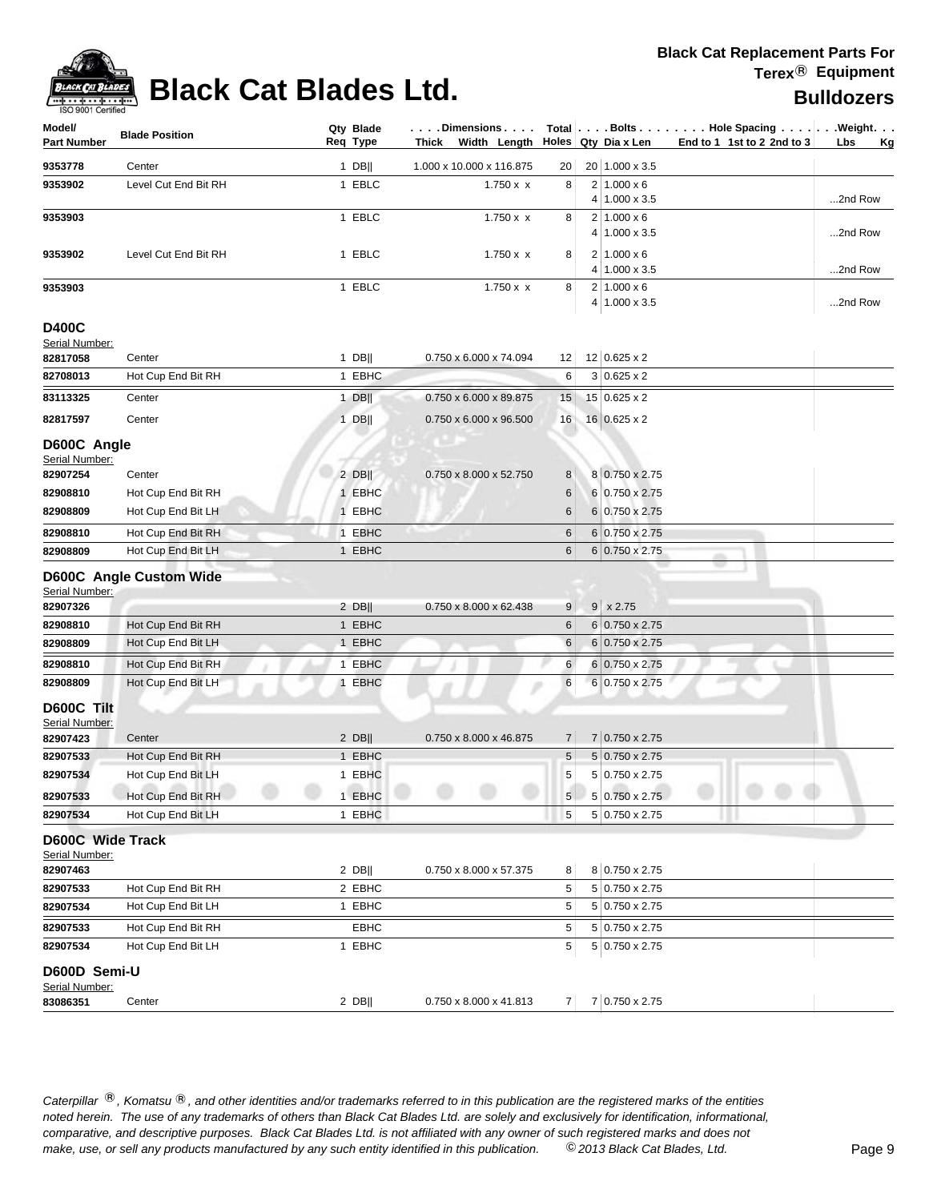

# **Black Cat Blades Ltd. Black Cat Blades Ltd. Bulldozers**

| Model/<br><b>Part Number</b>       | <b>Blade Position</b>   | Qty Blade<br>Req Type | . Dimensions<br>Thick Width Length |                 | Holes Qty Dia x Len                 | Total   Bolts   Hole Spacing   Weight.<br>End to 1 1st to 2 2nd to 3 | Lbs<br>Kg |
|------------------------------------|-------------------------|-----------------------|------------------------------------|-----------------|-------------------------------------|----------------------------------------------------------------------|-----------|
| 9353778                            | Center                  | 1 DB                  | 1.000 x 10.000 x 116.875           | 20              | 20 1.000 x 3.5                      |                                                                      |           |
| 9353902                            | Level Cut End Bit RH    | 1 EBLC                | $1.750 \times x$                   | 8               | $2 1.000 \times 6$                  |                                                                      |           |
|                                    |                         |                       |                                    |                 | 4 1.000 x 3.5                       |                                                                      | 2nd Row   |
| 9353903                            |                         | 1 EBLC                | $1.750 \times x$                   | 8               | $2 1.000 \times 6$                  |                                                                      |           |
|                                    |                         |                       |                                    |                 | 4 1.000 x 3.5                       |                                                                      | 2nd Row   |
| 9353902                            | Level Cut End Bit RH    | 1 EBLC                | $1.750 \times x$                   | 8               | $2 1.000 \times 6$<br>4 1.000 x 3.5 |                                                                      | 2nd Row   |
| 9353903                            |                         | 1 EBLC                | $1.750 \times x$                   | 8               | $2 1.000 \times 6$                  |                                                                      |           |
|                                    |                         |                       |                                    |                 | 4 1.000 x 3.5                       |                                                                      | 2nd Row   |
| <b>D400C</b>                       |                         |                       |                                    |                 |                                     |                                                                      |           |
| Serial Number:                     |                         |                       |                                    |                 |                                     |                                                                      |           |
| 82817058                           | Center                  | $1$ DB                | 0.750 x 6.000 x 74.094             | 12              | 12 0.625 x 2                        |                                                                      |           |
| 82708013                           | Hot Cup End Bit RH      | 1 EBHC                |                                    | 6               | $3 0.625 \times 2$                  |                                                                      |           |
| 83113325                           | Center                  | 1 $DB$                | 0.750 x 6.000 x 89.875             | 15              | 15 0.625 x 2                        |                                                                      |           |
| 82817597                           | Center                  | $1$ DB                | 0.750 x 6.000 x 96.500             | 16              | 16 0.625 x 2                        |                                                                      |           |
| D600C Angle<br>Serial Number:      |                         |                       |                                    |                 |                                     |                                                                      |           |
| 82907254                           | Center                  | $2$ DB                | 0.750 x 8.000 x 52.750             | 8               | 8 0.750 x 2.75                      |                                                                      |           |
| 82908810                           | Hot Cup End Bit RH      | 1 EBHC                |                                    | 6               | 6 0.750 x 2.75                      |                                                                      |           |
| 82908809                           | Hot Cup End Bit LH      | 1 EBHC                |                                    | 6               | 6 0.750 x 2.75                      |                                                                      |           |
| 82908810                           | Hot Cup End Bit RH      | 1 EBHC                |                                    | 6               | $6 0.750 \times 2.75$               |                                                                      |           |
| 82908809                           | Hot Cup End Bit LH      | 1 EBHC                |                                    | 6               | 6 0.750 x 2.75                      |                                                                      |           |
|                                    | D600C Angle Custom Wide |                       |                                    |                 |                                     |                                                                      |           |
| Serial Number:                     |                         |                       |                                    |                 |                                     |                                                                      |           |
| 82907326                           |                         | $2$ DB                | 0.750 x 8.000 x 62.438             | 9               | $9 \times 2.75$                     |                                                                      |           |
| 82908810                           | Hot Cup End Bit RH      | 1 EBHC                |                                    | 6               | $6 0.750 \times 2.75$               |                                                                      |           |
| 82908809                           | Hot Cup End Bit LH      | 1 EBHC                |                                    | $\,6$           | 6 0.750 x 2.75                      |                                                                      |           |
| 82908810                           | Hot Cup End Bit RH      | 1 EBHC                |                                    | 6               | 6 0.750 x 2.75                      |                                                                      |           |
| 82908809                           | Hot Cup End Bit LH      | 1 EBHC                |                                    | 6               | 6 0.750 x 2.75                      |                                                                      |           |
| D600C Tilt                         |                         |                       |                                    |                 |                                     |                                                                      |           |
| Serial Number:                     |                         |                       |                                    |                 |                                     |                                                                      |           |
| 82907423                           | Center                  | $2$ DB                | 0.750 x 8.000 x 46.875             | $\overline{7}$  | 7 0.750 x 2.75                      |                                                                      |           |
| 82907533                           | Hot Cup End Bit RH      | 1 EBHC                |                                    | $5\phantom{.0}$ | $5 0.750 \times 2.75$               |                                                                      |           |
| 82907534                           | Hot Cup End Bit LH      | 1 EBHC                |                                    | 5               | 5 0.750 x 2.75                      |                                                                      |           |
| 82907533                           | Hot Cup End Bit RH      | 1 EBHC                |                                    | 5 <sup>1</sup>  | $5 0.750 \times 2.75 $              |                                                                      |           |
| 82907534                           | Hot Cup End Bit LH      | 1 EBHC                |                                    | 5               | 5 0.750 x 2.75                      |                                                                      |           |
| D600C Wide Track<br>Serial Number: |                         |                       |                                    |                 |                                     |                                                                      |           |
| 82907463                           |                         | $2$ DB                | 0.750 x 8.000 x 57.375             | 8               | 8 0.750 x 2.75                      |                                                                      |           |
| 82907533                           | Hot Cup End Bit RH      | 2 EBHC                |                                    | 5               | 5 0.750 x 2.75                      |                                                                      |           |
| 82907534                           | Hot Cup End Bit LH      | 1 EBHC                |                                    | 5               | 5 0.750 x 2.75                      |                                                                      |           |
| 82907533                           | Hot Cup End Bit RH      | EBHC                  |                                    | 5               | 5 0.750 x 2.75                      |                                                                      |           |
| 82907534                           | Hot Cup End Bit LH      | 1 EBHC                |                                    | 5               | 5 0.750 x 2.75                      |                                                                      |           |
| D600D Semi-U<br>Serial Number:     |                         |                       |                                    |                 |                                     |                                                                      |           |
| 83086351                           | Center                  | $2$ DB                | $0.750 \times 8.000 \times 41.813$ |                 | $7 \mid 7 \mid 0.750 \times 2.75$   |                                                                      |           |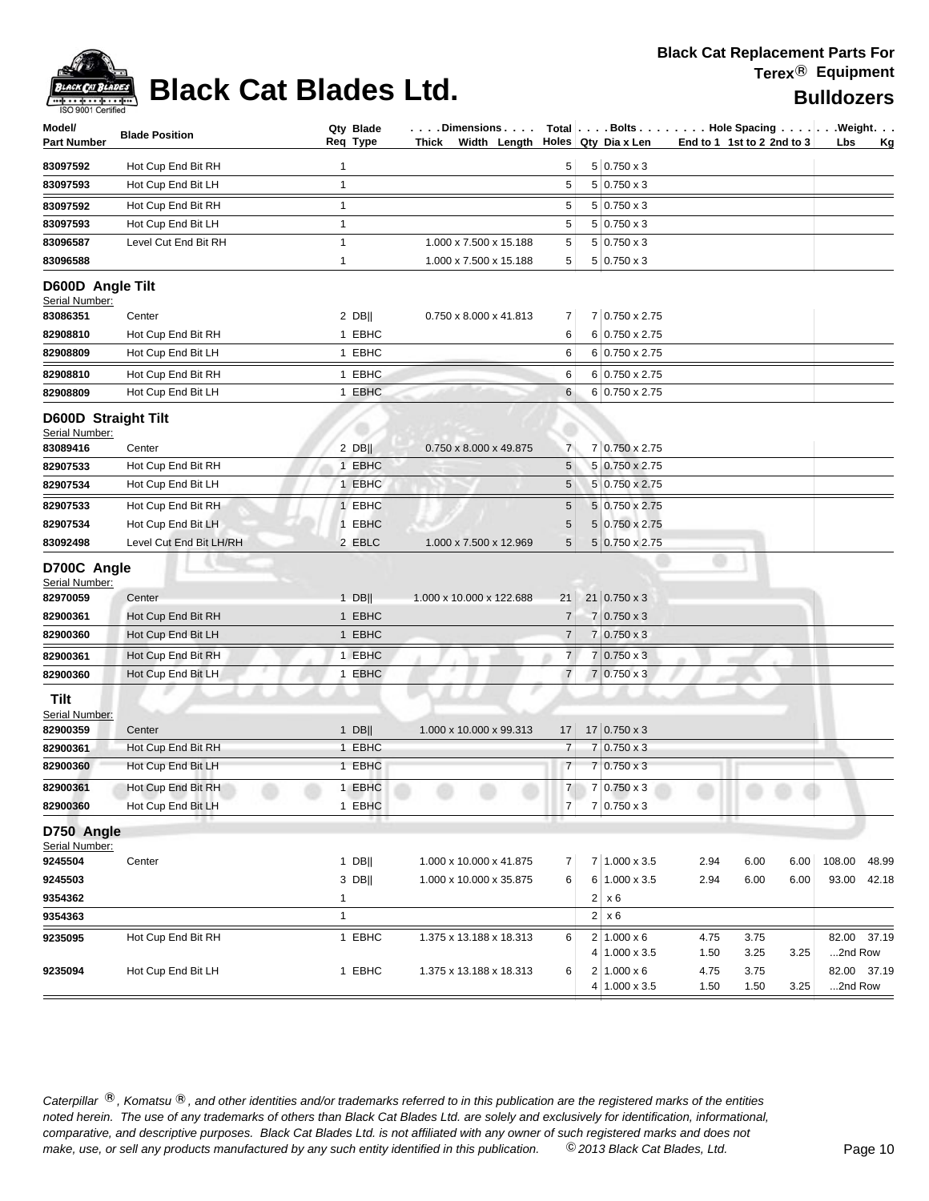

# **Black Cat Blades Ltd. Black Cat Blades Ltd. Bulldozers**

| $5 0.750 \times 3$<br>83097592<br>5<br>Hot Cup End Bit RH<br>1<br>83097593<br>Hot Cup End Bit LH<br>$\mathbf{1}$<br>5<br>$5 0.750 \times 3$<br>$5 0.750 \times 3$<br>83097592<br>Hot Cup End Bit RH<br>$\mathbf{1}$<br>5<br>83097593<br>Hot Cup End Bit LH<br>$\mathbf{1}$<br>5<br>$5 0.750 \times 3$<br>83096587<br>$\mathbf{1}$<br>5<br>$5 0.750 \times 3$<br>Level Cut End Bit RH<br>1.000 x 7.500 x 15.188<br>83096588<br>$\mathbf{1}$<br>1.000 x 7.500 x 15.188<br>5<br>$5 0.750 \times 3$<br>D600D Angle Tilt<br>Serial Number:<br>7 0.750 x 2.75<br>83086351<br>$2$ DB  <br>0.750 x 8.000 x 41.813<br>$\overline{7}$<br>Center<br>1 EBHC<br>6<br>6 0.750 x 2.75<br>82908810<br>Hot Cup End Bit RH<br>1 EBHC<br>6 0.750 x 2.75<br>82908809<br>Hot Cup End Bit LH<br>6<br>82908810<br>1 EBHC<br>6 0.750 x 2.75<br>Hot Cup End Bit RH<br>6<br>82908809<br>1 EBHC<br>6<br>6 0.750 x 2.75<br>Hot Cup End Bit LH<br><b>D600D Straight Tilt</b><br>Serial Number:<br>$\overline{7}$<br>7 0.750 x 2.75<br>$2$ DB<br>0.750 x 8.000 x 49.875<br>83089416<br>Center<br>82907533<br>1 EBHC<br>5<br>5 0.750 x 2.75<br>Hot Cup End Bit RH<br>82907534<br>Hot Cup End Bit LH<br>1 EBHC<br>5<br>5 0.750 x 2.75<br>1 EBHC<br>5<br>5 0.750 x 2.75<br>82907533<br>Hot Cup End Bit RH<br>$\sqrt{5}$<br>Hot Cup End Bit LH<br>1 EBHC<br>5 0.750 x 2.75<br>82907534<br>5<br>83092498<br>2 EBLC<br>5 0.750 x 2.75<br>Level Cut End Bit LH/RH<br>1.000 x 7.500 x 12.969<br>D700C Angle<br>Serial Number:<br>$21   0.750 \times 3$<br>82970059<br>$1$ DB  <br>1.000 x 10.000 x 122.688<br>21<br>Center<br>Hot Cup End Bit RH<br>1 EBHC<br>$7 0.750 \times 3$<br>82900361<br>$\overline{7}$<br>1 EBHC<br>$7 0.750 \times 3$<br>Hot Cup End Bit LH<br>7<br>82900360<br>82900361<br>1 EBHC<br>7<br>$0.750 \times 3$<br>Hot Cup End Bit RH<br>7<br>Hot Cup End Bit LH<br>1 EBHC<br>$\overline{7}$<br>$7 0.750 \times 3$<br>82900360<br>Tilt<br>Serial Number:<br>$17 0.750 \times 3$<br>1.000 x 10.000 x 99.313<br>82900359<br>$1$ DB  <br>17<br>Center<br>82900361<br>1 EBHC<br>7<br>$7 0.750 \times 3$<br>Hot Cup End Bit RH<br>1 EBHC<br>$7 0.750 \times 3$<br>82900360<br>$\overline{7}$<br>Hot Cup End Bit LH<br>7 <sup>1</sup><br>7 0.750 x 3<br>82900361<br>Hot Cup End Bit RH<br>1 EBHC<br>$\overline{7}$<br>7 0.750 x 3<br>Hot Cup End Bit LH<br>1 EBHC<br>82900360<br>D750 Angle<br>Serial Number:<br>7 1.000 x 3.5<br>9245504<br>$1$ DB  <br>1.000 x 10.000 x 41.875<br>2.94<br>6.00<br>108.00<br>Center<br>7<br>6.00<br>9245503<br>3 DB  <br>1.000 x 10.000 x 35.875<br>6<br>6 1.000 x 3.5<br>2.94<br>6.00<br>6.00<br>93.00<br>$2 \times 6$<br>9354362<br>$\mathbf{1}$<br>$2 \times 6$<br>9354363<br>$\mathbf{1}$<br>1 EBHC<br>9235095<br>Hot Cup End Bit RH<br>$2 1.000 \times 6$<br>1.375 x 13.188 x 18.313<br>6<br>4.75<br>3.75<br>$4 1.000 \times 3.5$<br>3.25<br>1.50<br>3.25<br>1 EBHC<br>1.375 x 13.188 x 18.313<br>6<br>$2 1.000 \times 6$<br>4.75<br>3.75<br>Hot Cup End Bit LH<br>9235094 | Model/<br>Part Number | <b>Blade Position</b> | Qty Blade<br>Req Type | $\vert \ldots$ . Dimensions $\vert$ Total $\vert \ldots$ . Bolts $\vert \ldots \vert$ Hole Spacing $\ldots \vert \ldots \vert$ . Weight.<br>Thick Width Length Holes Qty Dia x Len |  |               |      | End to 1 1st to 2 2nd to 3 | Lbs<br><u>Kg</u>       |
|-------------------------------------------------------------------------------------------------------------------------------------------------------------------------------------------------------------------------------------------------------------------------------------------------------------------------------------------------------------------------------------------------------------------------------------------------------------------------------------------------------------------------------------------------------------------------------------------------------------------------------------------------------------------------------------------------------------------------------------------------------------------------------------------------------------------------------------------------------------------------------------------------------------------------------------------------------------------------------------------------------------------------------------------------------------------------------------------------------------------------------------------------------------------------------------------------------------------------------------------------------------------------------------------------------------------------------------------------------------------------------------------------------------------------------------------------------------------------------------------------------------------------------------------------------------------------------------------------------------------------------------------------------------------------------------------------------------------------------------------------------------------------------------------------------------------------------------------------------------------------------------------------------------------------------------------------------------------------------------------------------------------------------------------------------------------------------------------------------------------------------------------------------------------------------------------------------------------------------------------------------------------------------------------------------------------------------------------------------------------------------------------------------------------------------------------------------------------------------------------------------------------------------------------------------------------------------------------------------------------------------------------------------------------------------------------------------------------------------------------------------------------------------------------------------------------------------------------------------------------------------------------------------------------------------------------------------------------------------------------|-----------------------|-----------------------|-----------------------|------------------------------------------------------------------------------------------------------------------------------------------------------------------------------------|--|---------------|------|----------------------------|------------------------|
|                                                                                                                                                                                                                                                                                                                                                                                                                                                                                                                                                                                                                                                                                                                                                                                                                                                                                                                                                                                                                                                                                                                                                                                                                                                                                                                                                                                                                                                                                                                                                                                                                                                                                                                                                                                                                                                                                                                                                                                                                                                                                                                                                                                                                                                                                                                                                                                                                                                                                                                                                                                                                                                                                                                                                                                                                                                                                                                                                                                           |                       |                       |                       |                                                                                                                                                                                    |  |               |      |                            |                        |
|                                                                                                                                                                                                                                                                                                                                                                                                                                                                                                                                                                                                                                                                                                                                                                                                                                                                                                                                                                                                                                                                                                                                                                                                                                                                                                                                                                                                                                                                                                                                                                                                                                                                                                                                                                                                                                                                                                                                                                                                                                                                                                                                                                                                                                                                                                                                                                                                                                                                                                                                                                                                                                                                                                                                                                                                                                                                                                                                                                                           |                       |                       |                       |                                                                                                                                                                                    |  |               |      |                            |                        |
|                                                                                                                                                                                                                                                                                                                                                                                                                                                                                                                                                                                                                                                                                                                                                                                                                                                                                                                                                                                                                                                                                                                                                                                                                                                                                                                                                                                                                                                                                                                                                                                                                                                                                                                                                                                                                                                                                                                                                                                                                                                                                                                                                                                                                                                                                                                                                                                                                                                                                                                                                                                                                                                                                                                                                                                                                                                                                                                                                                                           |                       |                       |                       |                                                                                                                                                                                    |  |               |      |                            |                        |
|                                                                                                                                                                                                                                                                                                                                                                                                                                                                                                                                                                                                                                                                                                                                                                                                                                                                                                                                                                                                                                                                                                                                                                                                                                                                                                                                                                                                                                                                                                                                                                                                                                                                                                                                                                                                                                                                                                                                                                                                                                                                                                                                                                                                                                                                                                                                                                                                                                                                                                                                                                                                                                                                                                                                                                                                                                                                                                                                                                                           |                       |                       |                       |                                                                                                                                                                                    |  |               |      |                            |                        |
|                                                                                                                                                                                                                                                                                                                                                                                                                                                                                                                                                                                                                                                                                                                                                                                                                                                                                                                                                                                                                                                                                                                                                                                                                                                                                                                                                                                                                                                                                                                                                                                                                                                                                                                                                                                                                                                                                                                                                                                                                                                                                                                                                                                                                                                                                                                                                                                                                                                                                                                                                                                                                                                                                                                                                                                                                                                                                                                                                                                           |                       |                       |                       |                                                                                                                                                                                    |  |               |      |                            |                        |
|                                                                                                                                                                                                                                                                                                                                                                                                                                                                                                                                                                                                                                                                                                                                                                                                                                                                                                                                                                                                                                                                                                                                                                                                                                                                                                                                                                                                                                                                                                                                                                                                                                                                                                                                                                                                                                                                                                                                                                                                                                                                                                                                                                                                                                                                                                                                                                                                                                                                                                                                                                                                                                                                                                                                                                                                                                                                                                                                                                                           |                       |                       |                       |                                                                                                                                                                                    |  |               |      |                            |                        |
|                                                                                                                                                                                                                                                                                                                                                                                                                                                                                                                                                                                                                                                                                                                                                                                                                                                                                                                                                                                                                                                                                                                                                                                                                                                                                                                                                                                                                                                                                                                                                                                                                                                                                                                                                                                                                                                                                                                                                                                                                                                                                                                                                                                                                                                                                                                                                                                                                                                                                                                                                                                                                                                                                                                                                                                                                                                                                                                                                                                           |                       |                       |                       |                                                                                                                                                                                    |  |               |      |                            |                        |
|                                                                                                                                                                                                                                                                                                                                                                                                                                                                                                                                                                                                                                                                                                                                                                                                                                                                                                                                                                                                                                                                                                                                                                                                                                                                                                                                                                                                                                                                                                                                                                                                                                                                                                                                                                                                                                                                                                                                                                                                                                                                                                                                                                                                                                                                                                                                                                                                                                                                                                                                                                                                                                                                                                                                                                                                                                                                                                                                                                                           |                       |                       |                       |                                                                                                                                                                                    |  |               |      |                            |                        |
|                                                                                                                                                                                                                                                                                                                                                                                                                                                                                                                                                                                                                                                                                                                                                                                                                                                                                                                                                                                                                                                                                                                                                                                                                                                                                                                                                                                                                                                                                                                                                                                                                                                                                                                                                                                                                                                                                                                                                                                                                                                                                                                                                                                                                                                                                                                                                                                                                                                                                                                                                                                                                                                                                                                                                                                                                                                                                                                                                                                           |                       |                       |                       |                                                                                                                                                                                    |  |               |      |                            |                        |
|                                                                                                                                                                                                                                                                                                                                                                                                                                                                                                                                                                                                                                                                                                                                                                                                                                                                                                                                                                                                                                                                                                                                                                                                                                                                                                                                                                                                                                                                                                                                                                                                                                                                                                                                                                                                                                                                                                                                                                                                                                                                                                                                                                                                                                                                                                                                                                                                                                                                                                                                                                                                                                                                                                                                                                                                                                                                                                                                                                                           |                       |                       |                       |                                                                                                                                                                                    |  |               |      |                            |                        |
|                                                                                                                                                                                                                                                                                                                                                                                                                                                                                                                                                                                                                                                                                                                                                                                                                                                                                                                                                                                                                                                                                                                                                                                                                                                                                                                                                                                                                                                                                                                                                                                                                                                                                                                                                                                                                                                                                                                                                                                                                                                                                                                                                                                                                                                                                                                                                                                                                                                                                                                                                                                                                                                                                                                                                                                                                                                                                                                                                                                           |                       |                       |                       |                                                                                                                                                                                    |  |               |      |                            |                        |
|                                                                                                                                                                                                                                                                                                                                                                                                                                                                                                                                                                                                                                                                                                                                                                                                                                                                                                                                                                                                                                                                                                                                                                                                                                                                                                                                                                                                                                                                                                                                                                                                                                                                                                                                                                                                                                                                                                                                                                                                                                                                                                                                                                                                                                                                                                                                                                                                                                                                                                                                                                                                                                                                                                                                                                                                                                                                                                                                                                                           |                       |                       |                       |                                                                                                                                                                                    |  |               |      |                            |                        |
|                                                                                                                                                                                                                                                                                                                                                                                                                                                                                                                                                                                                                                                                                                                                                                                                                                                                                                                                                                                                                                                                                                                                                                                                                                                                                                                                                                                                                                                                                                                                                                                                                                                                                                                                                                                                                                                                                                                                                                                                                                                                                                                                                                                                                                                                                                                                                                                                                                                                                                                                                                                                                                                                                                                                                                                                                                                                                                                                                                                           |                       |                       |                       |                                                                                                                                                                                    |  |               |      |                            |                        |
|                                                                                                                                                                                                                                                                                                                                                                                                                                                                                                                                                                                                                                                                                                                                                                                                                                                                                                                                                                                                                                                                                                                                                                                                                                                                                                                                                                                                                                                                                                                                                                                                                                                                                                                                                                                                                                                                                                                                                                                                                                                                                                                                                                                                                                                                                                                                                                                                                                                                                                                                                                                                                                                                                                                                                                                                                                                                                                                                                                                           |                       |                       |                       |                                                                                                                                                                                    |  |               |      |                            |                        |
|                                                                                                                                                                                                                                                                                                                                                                                                                                                                                                                                                                                                                                                                                                                                                                                                                                                                                                                                                                                                                                                                                                                                                                                                                                                                                                                                                                                                                                                                                                                                                                                                                                                                                                                                                                                                                                                                                                                                                                                                                                                                                                                                                                                                                                                                                                                                                                                                                                                                                                                                                                                                                                                                                                                                                                                                                                                                                                                                                                                           |                       |                       |                       |                                                                                                                                                                                    |  |               |      |                            |                        |
|                                                                                                                                                                                                                                                                                                                                                                                                                                                                                                                                                                                                                                                                                                                                                                                                                                                                                                                                                                                                                                                                                                                                                                                                                                                                                                                                                                                                                                                                                                                                                                                                                                                                                                                                                                                                                                                                                                                                                                                                                                                                                                                                                                                                                                                                                                                                                                                                                                                                                                                                                                                                                                                                                                                                                                                                                                                                                                                                                                                           |                       |                       |                       |                                                                                                                                                                                    |  |               |      |                            |                        |
|                                                                                                                                                                                                                                                                                                                                                                                                                                                                                                                                                                                                                                                                                                                                                                                                                                                                                                                                                                                                                                                                                                                                                                                                                                                                                                                                                                                                                                                                                                                                                                                                                                                                                                                                                                                                                                                                                                                                                                                                                                                                                                                                                                                                                                                                                                                                                                                                                                                                                                                                                                                                                                                                                                                                                                                                                                                                                                                                                                                           |                       |                       |                       |                                                                                                                                                                                    |  |               |      |                            |                        |
|                                                                                                                                                                                                                                                                                                                                                                                                                                                                                                                                                                                                                                                                                                                                                                                                                                                                                                                                                                                                                                                                                                                                                                                                                                                                                                                                                                                                                                                                                                                                                                                                                                                                                                                                                                                                                                                                                                                                                                                                                                                                                                                                                                                                                                                                                                                                                                                                                                                                                                                                                                                                                                                                                                                                                                                                                                                                                                                                                                                           |                       |                       |                       |                                                                                                                                                                                    |  |               |      |                            |                        |
|                                                                                                                                                                                                                                                                                                                                                                                                                                                                                                                                                                                                                                                                                                                                                                                                                                                                                                                                                                                                                                                                                                                                                                                                                                                                                                                                                                                                                                                                                                                                                                                                                                                                                                                                                                                                                                                                                                                                                                                                                                                                                                                                                                                                                                                                                                                                                                                                                                                                                                                                                                                                                                                                                                                                                                                                                                                                                                                                                                                           |                       |                       |                       |                                                                                                                                                                                    |  |               |      |                            |                        |
|                                                                                                                                                                                                                                                                                                                                                                                                                                                                                                                                                                                                                                                                                                                                                                                                                                                                                                                                                                                                                                                                                                                                                                                                                                                                                                                                                                                                                                                                                                                                                                                                                                                                                                                                                                                                                                                                                                                                                                                                                                                                                                                                                                                                                                                                                                                                                                                                                                                                                                                                                                                                                                                                                                                                                                                                                                                                                                                                                                                           |                       |                       |                       |                                                                                                                                                                                    |  |               |      |                            |                        |
|                                                                                                                                                                                                                                                                                                                                                                                                                                                                                                                                                                                                                                                                                                                                                                                                                                                                                                                                                                                                                                                                                                                                                                                                                                                                                                                                                                                                                                                                                                                                                                                                                                                                                                                                                                                                                                                                                                                                                                                                                                                                                                                                                                                                                                                                                                                                                                                                                                                                                                                                                                                                                                                                                                                                                                                                                                                                                                                                                                                           |                       |                       |                       |                                                                                                                                                                                    |  |               |      |                            |                        |
|                                                                                                                                                                                                                                                                                                                                                                                                                                                                                                                                                                                                                                                                                                                                                                                                                                                                                                                                                                                                                                                                                                                                                                                                                                                                                                                                                                                                                                                                                                                                                                                                                                                                                                                                                                                                                                                                                                                                                                                                                                                                                                                                                                                                                                                                                                                                                                                                                                                                                                                                                                                                                                                                                                                                                                                                                                                                                                                                                                                           |                       |                       |                       |                                                                                                                                                                                    |  |               |      |                            |                        |
|                                                                                                                                                                                                                                                                                                                                                                                                                                                                                                                                                                                                                                                                                                                                                                                                                                                                                                                                                                                                                                                                                                                                                                                                                                                                                                                                                                                                                                                                                                                                                                                                                                                                                                                                                                                                                                                                                                                                                                                                                                                                                                                                                                                                                                                                                                                                                                                                                                                                                                                                                                                                                                                                                                                                                                                                                                                                                                                                                                                           |                       |                       |                       |                                                                                                                                                                                    |  |               |      |                            |                        |
|                                                                                                                                                                                                                                                                                                                                                                                                                                                                                                                                                                                                                                                                                                                                                                                                                                                                                                                                                                                                                                                                                                                                                                                                                                                                                                                                                                                                                                                                                                                                                                                                                                                                                                                                                                                                                                                                                                                                                                                                                                                                                                                                                                                                                                                                                                                                                                                                                                                                                                                                                                                                                                                                                                                                                                                                                                                                                                                                                                                           |                       |                       |                       |                                                                                                                                                                                    |  |               |      |                            |                        |
|                                                                                                                                                                                                                                                                                                                                                                                                                                                                                                                                                                                                                                                                                                                                                                                                                                                                                                                                                                                                                                                                                                                                                                                                                                                                                                                                                                                                                                                                                                                                                                                                                                                                                                                                                                                                                                                                                                                                                                                                                                                                                                                                                                                                                                                                                                                                                                                                                                                                                                                                                                                                                                                                                                                                                                                                                                                                                                                                                                                           |                       |                       |                       |                                                                                                                                                                                    |  |               |      |                            |                        |
|                                                                                                                                                                                                                                                                                                                                                                                                                                                                                                                                                                                                                                                                                                                                                                                                                                                                                                                                                                                                                                                                                                                                                                                                                                                                                                                                                                                                                                                                                                                                                                                                                                                                                                                                                                                                                                                                                                                                                                                                                                                                                                                                                                                                                                                                                                                                                                                                                                                                                                                                                                                                                                                                                                                                                                                                                                                                                                                                                                                           |                       |                       |                       |                                                                                                                                                                                    |  |               |      |                            |                        |
|                                                                                                                                                                                                                                                                                                                                                                                                                                                                                                                                                                                                                                                                                                                                                                                                                                                                                                                                                                                                                                                                                                                                                                                                                                                                                                                                                                                                                                                                                                                                                                                                                                                                                                                                                                                                                                                                                                                                                                                                                                                                                                                                                                                                                                                                                                                                                                                                                                                                                                                                                                                                                                                                                                                                                                                                                                                                                                                                                                                           |                       |                       |                       |                                                                                                                                                                                    |  |               |      |                            |                        |
|                                                                                                                                                                                                                                                                                                                                                                                                                                                                                                                                                                                                                                                                                                                                                                                                                                                                                                                                                                                                                                                                                                                                                                                                                                                                                                                                                                                                                                                                                                                                                                                                                                                                                                                                                                                                                                                                                                                                                                                                                                                                                                                                                                                                                                                                                                                                                                                                                                                                                                                                                                                                                                                                                                                                                                                                                                                                                                                                                                                           |                       |                       |                       |                                                                                                                                                                                    |  |               |      |                            |                        |
|                                                                                                                                                                                                                                                                                                                                                                                                                                                                                                                                                                                                                                                                                                                                                                                                                                                                                                                                                                                                                                                                                                                                                                                                                                                                                                                                                                                                                                                                                                                                                                                                                                                                                                                                                                                                                                                                                                                                                                                                                                                                                                                                                                                                                                                                                                                                                                                                                                                                                                                                                                                                                                                                                                                                                                                                                                                                                                                                                                                           |                       |                       |                       |                                                                                                                                                                                    |  |               |      |                            |                        |
|                                                                                                                                                                                                                                                                                                                                                                                                                                                                                                                                                                                                                                                                                                                                                                                                                                                                                                                                                                                                                                                                                                                                                                                                                                                                                                                                                                                                                                                                                                                                                                                                                                                                                                                                                                                                                                                                                                                                                                                                                                                                                                                                                                                                                                                                                                                                                                                                                                                                                                                                                                                                                                                                                                                                                                                                                                                                                                                                                                                           |                       |                       |                       |                                                                                                                                                                                    |  |               |      |                            |                        |
|                                                                                                                                                                                                                                                                                                                                                                                                                                                                                                                                                                                                                                                                                                                                                                                                                                                                                                                                                                                                                                                                                                                                                                                                                                                                                                                                                                                                                                                                                                                                                                                                                                                                                                                                                                                                                                                                                                                                                                                                                                                                                                                                                                                                                                                                                                                                                                                                                                                                                                                                                                                                                                                                                                                                                                                                                                                                                                                                                                                           |                       |                       |                       |                                                                                                                                                                                    |  |               |      |                            |                        |
|                                                                                                                                                                                                                                                                                                                                                                                                                                                                                                                                                                                                                                                                                                                                                                                                                                                                                                                                                                                                                                                                                                                                                                                                                                                                                                                                                                                                                                                                                                                                                                                                                                                                                                                                                                                                                                                                                                                                                                                                                                                                                                                                                                                                                                                                                                                                                                                                                                                                                                                                                                                                                                                                                                                                                                                                                                                                                                                                                                                           |                       |                       |                       |                                                                                                                                                                                    |  |               |      |                            | 48.99                  |
|                                                                                                                                                                                                                                                                                                                                                                                                                                                                                                                                                                                                                                                                                                                                                                                                                                                                                                                                                                                                                                                                                                                                                                                                                                                                                                                                                                                                                                                                                                                                                                                                                                                                                                                                                                                                                                                                                                                                                                                                                                                                                                                                                                                                                                                                                                                                                                                                                                                                                                                                                                                                                                                                                                                                                                                                                                                                                                                                                                                           |                       |                       |                       |                                                                                                                                                                                    |  |               |      |                            | 42.18                  |
|                                                                                                                                                                                                                                                                                                                                                                                                                                                                                                                                                                                                                                                                                                                                                                                                                                                                                                                                                                                                                                                                                                                                                                                                                                                                                                                                                                                                                                                                                                                                                                                                                                                                                                                                                                                                                                                                                                                                                                                                                                                                                                                                                                                                                                                                                                                                                                                                                                                                                                                                                                                                                                                                                                                                                                                                                                                                                                                                                                                           |                       |                       |                       |                                                                                                                                                                                    |  |               |      |                            |                        |
|                                                                                                                                                                                                                                                                                                                                                                                                                                                                                                                                                                                                                                                                                                                                                                                                                                                                                                                                                                                                                                                                                                                                                                                                                                                                                                                                                                                                                                                                                                                                                                                                                                                                                                                                                                                                                                                                                                                                                                                                                                                                                                                                                                                                                                                                                                                                                                                                                                                                                                                                                                                                                                                                                                                                                                                                                                                                                                                                                                                           |                       |                       |                       |                                                                                                                                                                                    |  |               |      |                            |                        |
|                                                                                                                                                                                                                                                                                                                                                                                                                                                                                                                                                                                                                                                                                                                                                                                                                                                                                                                                                                                                                                                                                                                                                                                                                                                                                                                                                                                                                                                                                                                                                                                                                                                                                                                                                                                                                                                                                                                                                                                                                                                                                                                                                                                                                                                                                                                                                                                                                                                                                                                                                                                                                                                                                                                                                                                                                                                                                                                                                                                           |                       |                       |                       |                                                                                                                                                                                    |  |               |      |                            | 82.00 37.19<br>2nd Row |
|                                                                                                                                                                                                                                                                                                                                                                                                                                                                                                                                                                                                                                                                                                                                                                                                                                                                                                                                                                                                                                                                                                                                                                                                                                                                                                                                                                                                                                                                                                                                                                                                                                                                                                                                                                                                                                                                                                                                                                                                                                                                                                                                                                                                                                                                                                                                                                                                                                                                                                                                                                                                                                                                                                                                                                                                                                                                                                                                                                                           |                       |                       |                       |                                                                                                                                                                                    |  | 4 1.000 x 3.5 | 1.50 | 1.50<br>3.25               | 82.00 37.19<br>2nd Row |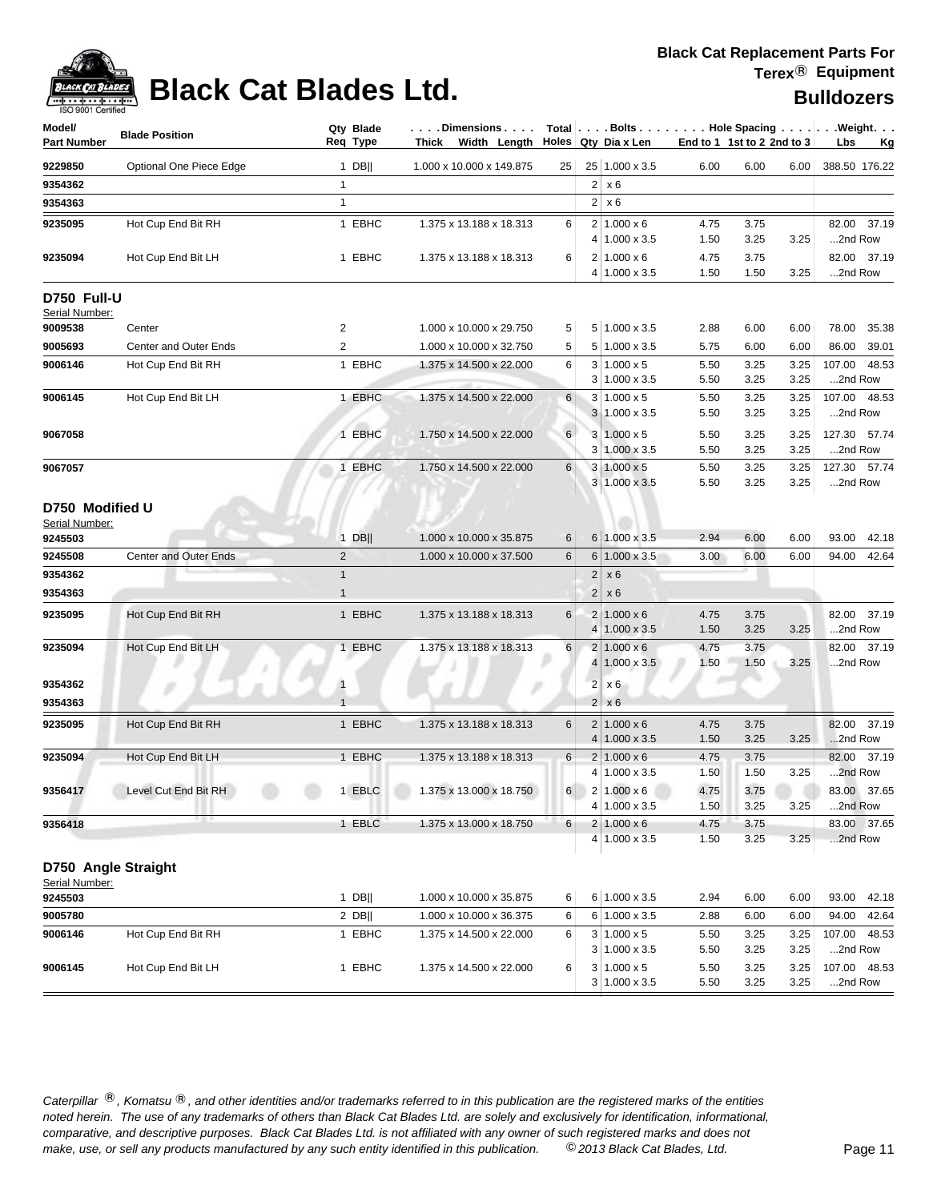

## **Black Cat Blades Ltd. Black Cat Blades Ltd. Bulldozers**

| Model/<br><b>Part Number</b>                 | <b>Blade Position</b>        | Req Type       | Qty Blade | Thick Width Length $\vert$ Holes Qty Dia x Len |          |                |                                                 |              | $ \ldots$ . Dimensions $\ldots$ . $ \hspace{0.1cm}$ Total $ \ldots$ . Bolts $\ldots$ . $ \ldots$ . Hole Spacing $\ldots$ . $ \ldots$ . Weight. $\ldots$<br>End to 1 1st to 2 2nd to 3 |              | Lbs<br>– Kg               |
|----------------------------------------------|------------------------------|----------------|-----------|------------------------------------------------|----------|----------------|-------------------------------------------------|--------------|---------------------------------------------------------------------------------------------------------------------------------------------------------------------------------------|--------------|---------------------------|
| 9229850                                      | Optional One Piece Edge      |                | $1$ DB    | 1.000 x 10.000 x 149.875                       | 25       |                | 25 1.000 x 3.5                                  | 6.00         | 6.00                                                                                                                                                                                  | 6.00         | 388.50 176.22             |
| 9354362                                      |                              | $\mathbf{1}$   |           |                                                |          | $\overline{2}$ | $\vert$ x 6                                     |              |                                                                                                                                                                                       |              |                           |
| 9354363                                      |                              | $\mathbf{1}$   |           |                                                |          |                | $2 \times 6$                                    |              |                                                                                                                                                                                       |              |                           |
| 9235095                                      | Hot Cup End Bit RH           |                | 1 EBHC    | 1.375 x 13.188 x 18.313                        | 6        |                | $2 \mid 1.000 \times 6$<br>4 1.000 x 3.5        | 4.75<br>1.50 | 3.75<br>3.25                                                                                                                                                                          | 3.25         | 82.00 37.19<br>2nd Row    |
| 9235094                                      | Hot Cup End Bit LH           |                | 1 EBHC    | 1.375 x 13.188 x 18.313                        | 6        |                | $2 1.000 \times 6$<br>4 1.000 x 3.5             | 4.75<br>1.50 | 3.75<br>1.50                                                                                                                                                                          | 3.25         | 82.00 37.19<br>2nd Row    |
| D750 Full-U<br>Serial Number:                |                              |                |           |                                                |          |                |                                                 |              |                                                                                                                                                                                       |              |                           |
| 9009538                                      | Center                       | 2              |           | 1.000 x 10.000 x 29.750                        | 5        |                | 5 1.000 x 3.5                                   | 2.88         | 6.00                                                                                                                                                                                  | 6.00         | 78.00 35.38               |
| 9005693                                      | <b>Center and Outer Ends</b> | $\overline{2}$ |           | 1.000 x 10.000 x 32.750                        | 5        |                | $5 1.000 \times 3.5$                            | 5.75         | 6.00                                                                                                                                                                                  | 6.00         | 86.00<br>39.01            |
| 9006146                                      | Hot Cup End Bit RH           |                | 1 EBHC    | 1.375 x 14.500 x 22.000                        | 6        |                | $3 1.000 \times 5$<br>$3 1.000 \times 3.5$      | 5.50<br>5.50 | 3.25<br>3.25                                                                                                                                                                          | 3.25<br>3.25 | 107.00 48.53<br>2nd Row   |
| 9006145                                      | Hot Cup End Bit LH           |                | 1 EBHC    | 1.375 x 14.500 x 22.000                        | 6        |                | $3 1.000 \times 5$<br>$3 1.000 \times 3.5$      | 5.50<br>5.50 | 3.25<br>3.25                                                                                                                                                                          | 3.25<br>3.25 | 107.00 48.53<br>2nd Row   |
| 9067058                                      |                              |                | 1 EBHC    | 1.750 x 14.500 x 22.000                        | 6        |                | $3 \mid 1.000 \times 5$<br>$3 1.000 \times 3.5$ | 5.50<br>5.50 | 3.25<br>3.25                                                                                                                                                                          | 3.25<br>3.25 | 127.30 57.74<br>2nd Row   |
| 9067057                                      |                              |                | 1 EBHC    | 1.750 x 14.500 x 22.000                        | 6        |                | $3 1.000 \times 5$<br>$3 1.000 \times 3.5$      | 5.50<br>5.50 | 3.25<br>3.25                                                                                                                                                                          | 3.25<br>3.25 | 127.30 57.74<br>2nd Row   |
| D750 Modified U<br>Serial Number:<br>9245503 |                              |                | $1$ DB    | 1.000 x 10.000 x 35.875                        | 6        |                | $6 1.000 \times 3.5$                            | 2.94         | 6.00                                                                                                                                                                                  | 6.00         | 93.00 42.18               |
| 9245508                                      | <b>Center and Outer Ends</b> | $\overline{2}$ |           | 1.000 x 10.000 x 37.500                        | 6        |                | $6 1.000 \times 3.5$                            | 3.00         | 6.00                                                                                                                                                                                  | 6.00         | 94.00 42.64               |
| 9354362                                      |                              | $\mathbf{1}$   |           |                                                |          | 2              | x6                                              |              |                                                                                                                                                                                       |              |                           |
| 9354363                                      |                              | $\mathbf{1}$   |           |                                                |          | 2 <sup>1</sup> | x6                                              |              |                                                                                                                                                                                       |              |                           |
| 9235095                                      | Hot Cup End Bit RH           |                | 1 EBHC    | 1.375 x 13.188 x 18.313                        | 6        | 4 <sup>1</sup> | $2 1.000 \times 6$<br>$1.000 \times 3.5$        | 4.75<br>1.50 | 3.75<br>3.25                                                                                                                                                                          | 3.25         | 82.00 37.19<br>2nd Row    |
| 9235094                                      | Hot Cup End Bit LH           |                | 1 EBHC    | 1.375 x 13.188 x 18.313                        | 6        |                | $2 1.000 \times 6$<br>4 1.000 x 3.5             | 4.75<br>1.50 | 3.75<br>1.50                                                                                                                                                                          | 3.25         | 82.00 37.19<br>2nd Row    |
| 9354362                                      |                              | $\mathbf{1}$   |           |                                                |          |                | $2 \times 6$                                    |              |                                                                                                                                                                                       |              |                           |
| 9354363                                      |                              | $\overline{1}$ |           |                                                |          |                | $2 \times 6$                                    |              |                                                                                                                                                                                       |              |                           |
| 9235095                                      | Hot Cup End Bit RH           |                | 1 EBHC    | 1.375 x 13.188 x 18.313                        | 6        |                | $2 1.000 \times 6$<br>$4 1.000 \times 3.5$      | 4.75<br>1.50 | 3.75<br>3.25                                                                                                                                                                          | 3.25         | 37.19<br>82.00<br>2nd Row |
| 9235094                                      | Hot Cup End Bit LH           |                | 1 EBHC    | 1.375 x 13.188 x 18.313                        | 6        |                | $2 1.000 \times 6$<br>4 1.000 x 3.5             | 4.75<br>1.50 | 3.75<br>1.50                                                                                                                                                                          | 3.25         | 82.00 37.19<br>2nd Row    |
| 9356417                                      | Level Cut End Bit RH         |                | 1 EBLC    | 1.375 x 13.000 x 18.750                        | $6 \mid$ |                | $2 1.000 \times 6$<br>$4 1.000 \times 3.5$      | 4.75<br>1.50 | 3.75<br>3.25                                                                                                                                                                          | 3.25         | 83.00 37.65<br>2nd Row    |
| 9356418                                      | . .                          |                | 1 EBLC    | 1.375 x 13.000 x 18.750                        | 6        |                | $2 1.000 \times 6$<br>$4 1.000 \times 3.5$      | 4.75<br>1.50 | 3.75<br>3.25                                                                                                                                                                          | 3.25         | 83.00 37.65<br>2nd Row    |
|                                              | D750 Angle Straight          |                |           |                                                |          |                |                                                 |              |                                                                                                                                                                                       |              |                           |
| Serial Number:<br>9245503                    |                              |                | $1$ DB    | 1.000 x 10.000 x 35.875                        | 6        |                | $6 1.000 \times 3.5$                            | 2.94         | 6.00                                                                                                                                                                                  | 6.00         | 93.00<br>42.18            |
| 9005780                                      |                              |                | $2$ DB    | 1.000 x 10.000 x 36.375                        | 6        |                | 6 1.000 x 3.5                                   | 2.88         | 6.00                                                                                                                                                                                  | 6.00         | 94.00<br>42.64            |
| 9006146                                      | Hot Cup End Bit RH           |                | 1 EBHC    | 1.375 x 14.500 x 22.000                        | 6        |                | $3 1.000 \times 5$                              | 5.50         | 3.25                                                                                                                                                                                  | 3.25         | 107.00 48.53              |

Caterpillar ®, Komatsu ®, and other identities and/or trademarks referred to in this publication are the registered marks of the entities *noted herein. The use of any trademarks of others than Black Cat Blades Ltd. are solely and exclusively for identification, informational, make, use, or sell any products manufactured by any such entity identified in this publication. comparative, and descriptive purposes. Black Cat Blades Ltd. is not affiliated with any owner of such registered marks and does not* ©*2013 Black Cat Blades, Ltd.* Page 11

**9006145** Hot Cup End Bit LH 1 EBHC 1.375 x 14.500 x 22.000 6 3 1.000 x 5 5.50 3.25 3.25 107.00 48.53

 $3 | 1.000 \times 3.5$  5.50 3.25 3.25 ...2nd Row

3 1.000 x 3.5 5.50 3.25 3.25 ...2nd Row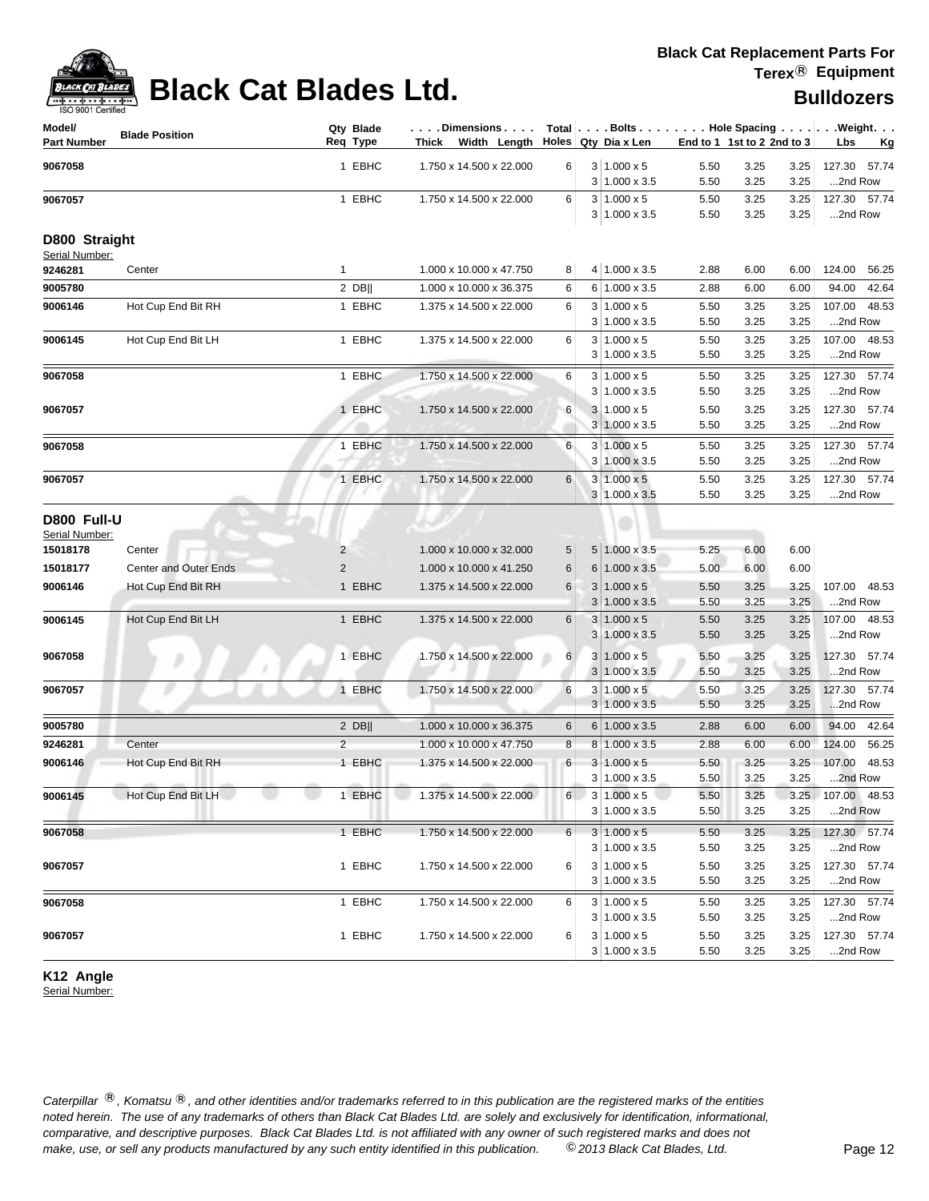

## **Black Cat Blades Ltd. Black Cat Blades Ltd. Black Cat Blades Ltd.**

| $3 1.000 \times 5$<br>127.30<br>9067058<br>1 EBHC<br>1.750 x 14.500 x 22.000<br>3.25<br>3.25<br>57.74<br>6<br>5.50<br>3.25<br>$3 1.000 \times 3.5$<br>5.50<br>3.25<br>2nd Row<br>1 EBHC<br>$3 1.000 \times 5$<br>127.30 57.74<br>1.750 x 14.500 x 22.000<br>6<br>5.50<br>3.25<br>3.25<br>9067057<br>$3 1.000 \times 3.5$<br>5.50<br>3.25<br>3.25<br>2nd Row<br>D800 Straight<br>Serial Number:<br>4 1.000 x 3.5<br>$\mathbf{1}$<br>1.000 x 10.000 x 47.750<br>8<br>2.88<br>6.00<br>6.00<br>124.00<br>56.25<br>9246281<br>Center<br>2 DB  <br>6 1.000 x 3.5<br>94.00<br>1.000 x 10.000 x 36.375<br>6<br>2.88<br>6.00<br>6.00<br>42.64<br>1 EBHC<br>$3 1.000 \times 5$<br>3.25<br>107.00<br>48.53<br>Hot Cup End Bit RH<br>1.375 x 14.500 x 22.000<br>6<br>5.50<br>3.25<br>$3 1.000 \times 3.5$<br>5.50<br>3.25<br>3.25<br>2nd Row<br>1 EBHC<br>9006145<br>Hot Cup End Bit LH<br>1.375 x 14.500 x 22.000<br>6<br>$3 1.000 \times 5$<br>5.50<br>3.25<br>3.25<br>107.00<br>48.53<br>$3 1.000 \times 3.5$<br>5.50<br>3.25<br>3.25<br>2nd Row<br>1 EBHC<br>1.750 x 14.500 x 22.000<br>6<br>$3 1.000 \times 5$<br>5.50<br>3.25<br>3.25<br>127.30<br>57.74<br>$3 1.000 \times 3.5$<br>5.50<br>3.25<br>3.25<br>2nd Row<br>1 EBHC<br>$3 \mid 1.000 \times 5$<br>127.30 57.74<br>9067057<br>1.750 x 14.500 x 22.000<br>6<br>5.50<br>3.25<br>3.25<br>$3 1.000 \times 3.5$<br>3.25<br>3.25<br>2nd Row<br>5.50<br>6<br>127.30 57.74<br>1 EBHC<br>1.750 x 14.500 x 22.000<br>$3 1.000 \times 5$<br>5.50<br>3.25<br>3.25<br>3 1.000 x 3.5<br>5.50<br>3.25<br>3.25<br>2nd Row<br>1 EBHC<br>$3 1.000 \times 5$<br>127.30 57.74<br>1.750 x 14.500 x 22.000<br>6<br>5.50<br>3.25<br>3.25<br>3 1.000 x 3.5<br>5.50<br>3.25<br>3.25<br>2nd Row<br>D800 Full-U<br>Serial Number:<br>5 1.000 x 3.5<br>6.00<br>1.000 x 10.000 x 32.000<br>5.25<br>6.00<br>Center<br>2<br>5<br><b>Center and Outer Ends</b><br>$\overline{2}$<br>$6 1.000 \times 3.5$<br>5.00<br>6.00<br>1.000 x 10.000 x 41.250<br>6<br>6.00<br>1 EBHC<br>9006146<br>Hot Cup End Bit RH<br>1.375 x 14.500 x 22.000<br>6<br>$3 1.000 \times 5$<br>5.50<br>3.25<br>3.25<br>107.00<br>48.53<br>$3 1.000 \times 3.5$<br>5.50<br>3.25<br>3.25<br>2nd Row<br>107.00 48.53<br>9006145<br>Hot Cup End Bit LH<br>1 EBHC<br>1.375 x 14.500 x 22.000<br>6<br>$3 1.000 \times 5$<br>3.25<br>3.25<br>5.50<br>3.25<br>2nd Row<br>$3 1.000 \times 3.5$<br>5.50<br>3.25<br>9067058<br>1 EBHC<br>$6 \mid$<br>$3 1.000 \times 5$<br>127.30 57.74<br>1.750 x 14.500 x 22.000<br>5.50<br>3.25<br>3.25<br>$3 1.000 \times 3.5$<br>2nd Row<br>5.50<br>3.25<br>3.25<br>1 EBHC<br>6<br>9067057<br>1.750 x 14.500 x 22.000<br>$3 1.000 \times 5$<br>5.50<br>3.25<br>3.25<br>127.30 57.74<br>$3 1.000 \times 3.5$<br>3.25<br>5.50<br>3.25<br>2nd Row<br>9005780<br>$2$ DB  <br>1.000 x 10.000 x 36.375<br>$6 1.000 \times 3.5$<br>6.00<br>6.00<br>94.00 42.64<br>6<br>2.88<br>$\overline{2}$<br>8<br>56.25<br>9246281<br>Center<br>1.000 x 10.000 x 47.750<br>$8 1.000 \times 3.5$<br>2.88<br>6.00<br>6.00<br>124.00<br>Hot Cup End Bit RH<br>1 EBHC<br>48.53<br>9006146<br>1.375 x 14.500 x 22.000<br>6<br>$3 1.000 \times 5$<br>5.50<br>3.25<br>3.25<br>107.00<br>$3 1.000 \times 3.5$<br>5.50<br>3.25<br>3.25<br>2nd Row<br>Hot Cup End Bit LH<br>1 EBHC<br>$1.375 \times 14.500 \times 22.000$<br>6<br>$3   1.000 \times 5$<br>3.25<br>3.25 107.00 48.53<br>9006145<br>5.50<br>$3 1.000 \times 3.5$<br>3.25<br>2nd Row<br>5.50<br>3.25<br>$3 1.000 \times 5$<br>1 EBHC<br>9067058<br>$6 \mid$<br>127.30 57.74<br>1.750 x 14.500 x 22.000<br>5.50<br>3.25<br>3.25<br>$3 1.000 \times 3.5$<br>5.50<br>3.25<br>3.25<br>2nd Row<br>1 EBHC<br>$3 1.000 \times 5$<br>3.25<br>127.30 57.74<br>9067057<br>1.750 x 14.500 x 22.000<br>6<br>5.50<br>3.25<br>$3 1.000 \times 3.5$<br>5.50<br>3.25<br>3.25<br>2nd Row<br>1 EBHC<br>$3 1.000 \times 5$<br>127.30 57.74<br>9067058<br>1.750 x 14.500 x 22.000<br>6<br>3.25<br>3.25<br>5.50<br>$3 1.000 \times 3.5$<br>5.50<br>3.25<br>3.25<br>2nd Row<br>1 EBHC<br>$3 1.000 \times 5$<br>9067057<br>1.750 x 14.500 x 22.000<br>6<br>5.50<br>3.25<br>3.25<br>127.30 57.74<br>$3 1.000 \times 3.5$<br>5.50<br>3.25<br>3.25<br>2nd Row | Model/<br><b>Part Number</b> | <b>Blade Position</b> | Qty Blade<br>Req Type | . Dimensions I<br>Width Length Holes Qty Dia x Len<br>Thick |  |  | End to 1 1st to 2 2nd to 3 | Total Bolts Hole Spacing Weight.<br>Lbs<br><u>Kg</u> |
|----------------------------------------------------------------------------------------------------------------------------------------------------------------------------------------------------------------------------------------------------------------------------------------------------------------------------------------------------------------------------------------------------------------------------------------------------------------------------------------------------------------------------------------------------------------------------------------------------------------------------------------------------------------------------------------------------------------------------------------------------------------------------------------------------------------------------------------------------------------------------------------------------------------------------------------------------------------------------------------------------------------------------------------------------------------------------------------------------------------------------------------------------------------------------------------------------------------------------------------------------------------------------------------------------------------------------------------------------------------------------------------------------------------------------------------------------------------------------------------------------------------------------------------------------------------------------------------------------------------------------------------------------------------------------------------------------------------------------------------------------------------------------------------------------------------------------------------------------------------------------------------------------------------------------------------------------------------------------------------------------------------------------------------------------------------------------------------------------------------------------------------------------------------------------------------------------------------------------------------------------------------------------------------------------------------------------------------------------------------------------------------------------------------------------------------------------------------------------------------------------------------------------------------------------------------------------------------------------------------------------------------------------------------------------------------------------------------------------------------------------------------------------------------------------------------------------------------------------------------------------------------------------------------------------------------------------------------------------------------------------------------------------------------------------------------------------------------------------------------------------------------------------------------------------------------------------------------------------------------------------------------------------------------------------------------------------------------------------------------------------------------------------------------------------------------------------------------------------------------------------------------------------------------------------------------------------------------------------------------------------------------------------------------------------------------------------------------------------------------------------------------------------------------------------------------------------------------------------------------------------------------------------------------------------------------------------------------------------------------------------------------------------------------------------------------------------------------------------------------------------------------------------------------------------------------|------------------------------|-----------------------|-----------------------|-------------------------------------------------------------|--|--|----------------------------|------------------------------------------------------|
|                                                                                                                                                                                                                                                                                                                                                                                                                                                                                                                                                                                                                                                                                                                                                                                                                                                                                                                                                                                                                                                                                                                                                                                                                                                                                                                                                                                                                                                                                                                                                                                                                                                                                                                                                                                                                                                                                                                                                                                                                                                                                                                                                                                                                                                                                                                                                                                                                                                                                                                                                                                                                                                                                                                                                                                                                                                                                                                                                                                                                                                                                                                                                                                                                                                                                                                                                                                                                                                                                                                                                                                                                                                                                                                                                                                                                                                                                                                                                                                                                                                                                                                                                                                        |                              |                       |                       |                                                             |  |  |                            |                                                      |
|                                                                                                                                                                                                                                                                                                                                                                                                                                                                                                                                                                                                                                                                                                                                                                                                                                                                                                                                                                                                                                                                                                                                                                                                                                                                                                                                                                                                                                                                                                                                                                                                                                                                                                                                                                                                                                                                                                                                                                                                                                                                                                                                                                                                                                                                                                                                                                                                                                                                                                                                                                                                                                                                                                                                                                                                                                                                                                                                                                                                                                                                                                                                                                                                                                                                                                                                                                                                                                                                                                                                                                                                                                                                                                                                                                                                                                                                                                                                                                                                                                                                                                                                                                                        |                              |                       |                       |                                                             |  |  |                            |                                                      |
|                                                                                                                                                                                                                                                                                                                                                                                                                                                                                                                                                                                                                                                                                                                                                                                                                                                                                                                                                                                                                                                                                                                                                                                                                                                                                                                                                                                                                                                                                                                                                                                                                                                                                                                                                                                                                                                                                                                                                                                                                                                                                                                                                                                                                                                                                                                                                                                                                                                                                                                                                                                                                                                                                                                                                                                                                                                                                                                                                                                                                                                                                                                                                                                                                                                                                                                                                                                                                                                                                                                                                                                                                                                                                                                                                                                                                                                                                                                                                                                                                                                                                                                                                                                        |                              |                       |                       |                                                             |  |  |                            |                                                      |
|                                                                                                                                                                                                                                                                                                                                                                                                                                                                                                                                                                                                                                                                                                                                                                                                                                                                                                                                                                                                                                                                                                                                                                                                                                                                                                                                                                                                                                                                                                                                                                                                                                                                                                                                                                                                                                                                                                                                                                                                                                                                                                                                                                                                                                                                                                                                                                                                                                                                                                                                                                                                                                                                                                                                                                                                                                                                                                                                                                                                                                                                                                                                                                                                                                                                                                                                                                                                                                                                                                                                                                                                                                                                                                                                                                                                                                                                                                                                                                                                                                                                                                                                                                                        |                              |                       |                       |                                                             |  |  |                            |                                                      |
|                                                                                                                                                                                                                                                                                                                                                                                                                                                                                                                                                                                                                                                                                                                                                                                                                                                                                                                                                                                                                                                                                                                                                                                                                                                                                                                                                                                                                                                                                                                                                                                                                                                                                                                                                                                                                                                                                                                                                                                                                                                                                                                                                                                                                                                                                                                                                                                                                                                                                                                                                                                                                                                                                                                                                                                                                                                                                                                                                                                                                                                                                                                                                                                                                                                                                                                                                                                                                                                                                                                                                                                                                                                                                                                                                                                                                                                                                                                                                                                                                                                                                                                                                                                        |                              |                       |                       |                                                             |  |  |                            |                                                      |
|                                                                                                                                                                                                                                                                                                                                                                                                                                                                                                                                                                                                                                                                                                                                                                                                                                                                                                                                                                                                                                                                                                                                                                                                                                                                                                                                                                                                                                                                                                                                                                                                                                                                                                                                                                                                                                                                                                                                                                                                                                                                                                                                                                                                                                                                                                                                                                                                                                                                                                                                                                                                                                                                                                                                                                                                                                                                                                                                                                                                                                                                                                                                                                                                                                                                                                                                                                                                                                                                                                                                                                                                                                                                                                                                                                                                                                                                                                                                                                                                                                                                                                                                                                                        |                              |                       |                       |                                                             |  |  |                            |                                                      |
|                                                                                                                                                                                                                                                                                                                                                                                                                                                                                                                                                                                                                                                                                                                                                                                                                                                                                                                                                                                                                                                                                                                                                                                                                                                                                                                                                                                                                                                                                                                                                                                                                                                                                                                                                                                                                                                                                                                                                                                                                                                                                                                                                                                                                                                                                                                                                                                                                                                                                                                                                                                                                                                                                                                                                                                                                                                                                                                                                                                                                                                                                                                                                                                                                                                                                                                                                                                                                                                                                                                                                                                                                                                                                                                                                                                                                                                                                                                                                                                                                                                                                                                                                                                        |                              |                       |                       |                                                             |  |  |                            |                                                      |
|                                                                                                                                                                                                                                                                                                                                                                                                                                                                                                                                                                                                                                                                                                                                                                                                                                                                                                                                                                                                                                                                                                                                                                                                                                                                                                                                                                                                                                                                                                                                                                                                                                                                                                                                                                                                                                                                                                                                                                                                                                                                                                                                                                                                                                                                                                                                                                                                                                                                                                                                                                                                                                                                                                                                                                                                                                                                                                                                                                                                                                                                                                                                                                                                                                                                                                                                                                                                                                                                                                                                                                                                                                                                                                                                                                                                                                                                                                                                                                                                                                                                                                                                                                                        | 9005780                      |                       |                       |                                                             |  |  |                            |                                                      |
|                                                                                                                                                                                                                                                                                                                                                                                                                                                                                                                                                                                                                                                                                                                                                                                                                                                                                                                                                                                                                                                                                                                                                                                                                                                                                                                                                                                                                                                                                                                                                                                                                                                                                                                                                                                                                                                                                                                                                                                                                                                                                                                                                                                                                                                                                                                                                                                                                                                                                                                                                                                                                                                                                                                                                                                                                                                                                                                                                                                                                                                                                                                                                                                                                                                                                                                                                                                                                                                                                                                                                                                                                                                                                                                                                                                                                                                                                                                                                                                                                                                                                                                                                                                        | 9006146                      |                       |                       |                                                             |  |  |                            |                                                      |
|                                                                                                                                                                                                                                                                                                                                                                                                                                                                                                                                                                                                                                                                                                                                                                                                                                                                                                                                                                                                                                                                                                                                                                                                                                                                                                                                                                                                                                                                                                                                                                                                                                                                                                                                                                                                                                                                                                                                                                                                                                                                                                                                                                                                                                                                                                                                                                                                                                                                                                                                                                                                                                                                                                                                                                                                                                                                                                                                                                                                                                                                                                                                                                                                                                                                                                                                                                                                                                                                                                                                                                                                                                                                                                                                                                                                                                                                                                                                                                                                                                                                                                                                                                                        |                              |                       |                       |                                                             |  |  |                            |                                                      |
|                                                                                                                                                                                                                                                                                                                                                                                                                                                                                                                                                                                                                                                                                                                                                                                                                                                                                                                                                                                                                                                                                                                                                                                                                                                                                                                                                                                                                                                                                                                                                                                                                                                                                                                                                                                                                                                                                                                                                                                                                                                                                                                                                                                                                                                                                                                                                                                                                                                                                                                                                                                                                                                                                                                                                                                                                                                                                                                                                                                                                                                                                                                                                                                                                                                                                                                                                                                                                                                                                                                                                                                                                                                                                                                                                                                                                                                                                                                                                                                                                                                                                                                                                                                        |                              |                       |                       |                                                             |  |  |                            |                                                      |
|                                                                                                                                                                                                                                                                                                                                                                                                                                                                                                                                                                                                                                                                                                                                                                                                                                                                                                                                                                                                                                                                                                                                                                                                                                                                                                                                                                                                                                                                                                                                                                                                                                                                                                                                                                                                                                                                                                                                                                                                                                                                                                                                                                                                                                                                                                                                                                                                                                                                                                                                                                                                                                                                                                                                                                                                                                                                                                                                                                                                                                                                                                                                                                                                                                                                                                                                                                                                                                                                                                                                                                                                                                                                                                                                                                                                                                                                                                                                                                                                                                                                                                                                                                                        |                              |                       |                       |                                                             |  |  |                            |                                                      |
|                                                                                                                                                                                                                                                                                                                                                                                                                                                                                                                                                                                                                                                                                                                                                                                                                                                                                                                                                                                                                                                                                                                                                                                                                                                                                                                                                                                                                                                                                                                                                                                                                                                                                                                                                                                                                                                                                                                                                                                                                                                                                                                                                                                                                                                                                                                                                                                                                                                                                                                                                                                                                                                                                                                                                                                                                                                                                                                                                                                                                                                                                                                                                                                                                                                                                                                                                                                                                                                                                                                                                                                                                                                                                                                                                                                                                                                                                                                                                                                                                                                                                                                                                                                        | 9067058                      |                       |                       |                                                             |  |  |                            |                                                      |
|                                                                                                                                                                                                                                                                                                                                                                                                                                                                                                                                                                                                                                                                                                                                                                                                                                                                                                                                                                                                                                                                                                                                                                                                                                                                                                                                                                                                                                                                                                                                                                                                                                                                                                                                                                                                                                                                                                                                                                                                                                                                                                                                                                                                                                                                                                                                                                                                                                                                                                                                                                                                                                                                                                                                                                                                                                                                                                                                                                                                                                                                                                                                                                                                                                                                                                                                                                                                                                                                                                                                                                                                                                                                                                                                                                                                                                                                                                                                                                                                                                                                                                                                                                                        |                              |                       |                       |                                                             |  |  |                            |                                                      |
|                                                                                                                                                                                                                                                                                                                                                                                                                                                                                                                                                                                                                                                                                                                                                                                                                                                                                                                                                                                                                                                                                                                                                                                                                                                                                                                                                                                                                                                                                                                                                                                                                                                                                                                                                                                                                                                                                                                                                                                                                                                                                                                                                                                                                                                                                                                                                                                                                                                                                                                                                                                                                                                                                                                                                                                                                                                                                                                                                                                                                                                                                                                                                                                                                                                                                                                                                                                                                                                                                                                                                                                                                                                                                                                                                                                                                                                                                                                                                                                                                                                                                                                                                                                        |                              |                       |                       |                                                             |  |  |                            |                                                      |
|                                                                                                                                                                                                                                                                                                                                                                                                                                                                                                                                                                                                                                                                                                                                                                                                                                                                                                                                                                                                                                                                                                                                                                                                                                                                                                                                                                                                                                                                                                                                                                                                                                                                                                                                                                                                                                                                                                                                                                                                                                                                                                                                                                                                                                                                                                                                                                                                                                                                                                                                                                                                                                                                                                                                                                                                                                                                                                                                                                                                                                                                                                                                                                                                                                                                                                                                                                                                                                                                                                                                                                                                                                                                                                                                                                                                                                                                                                                                                                                                                                                                                                                                                                                        |                              |                       |                       |                                                             |  |  |                            |                                                      |
|                                                                                                                                                                                                                                                                                                                                                                                                                                                                                                                                                                                                                                                                                                                                                                                                                                                                                                                                                                                                                                                                                                                                                                                                                                                                                                                                                                                                                                                                                                                                                                                                                                                                                                                                                                                                                                                                                                                                                                                                                                                                                                                                                                                                                                                                                                                                                                                                                                                                                                                                                                                                                                                                                                                                                                                                                                                                                                                                                                                                                                                                                                                                                                                                                                                                                                                                                                                                                                                                                                                                                                                                                                                                                                                                                                                                                                                                                                                                                                                                                                                                                                                                                                                        | 9067058                      |                       |                       |                                                             |  |  |                            |                                                      |
|                                                                                                                                                                                                                                                                                                                                                                                                                                                                                                                                                                                                                                                                                                                                                                                                                                                                                                                                                                                                                                                                                                                                                                                                                                                                                                                                                                                                                                                                                                                                                                                                                                                                                                                                                                                                                                                                                                                                                                                                                                                                                                                                                                                                                                                                                                                                                                                                                                                                                                                                                                                                                                                                                                                                                                                                                                                                                                                                                                                                                                                                                                                                                                                                                                                                                                                                                                                                                                                                                                                                                                                                                                                                                                                                                                                                                                                                                                                                                                                                                                                                                                                                                                                        |                              |                       |                       |                                                             |  |  |                            |                                                      |
|                                                                                                                                                                                                                                                                                                                                                                                                                                                                                                                                                                                                                                                                                                                                                                                                                                                                                                                                                                                                                                                                                                                                                                                                                                                                                                                                                                                                                                                                                                                                                                                                                                                                                                                                                                                                                                                                                                                                                                                                                                                                                                                                                                                                                                                                                                                                                                                                                                                                                                                                                                                                                                                                                                                                                                                                                                                                                                                                                                                                                                                                                                                                                                                                                                                                                                                                                                                                                                                                                                                                                                                                                                                                                                                                                                                                                                                                                                                                                                                                                                                                                                                                                                                        | 9067057                      |                       |                       |                                                             |  |  |                            |                                                      |
|                                                                                                                                                                                                                                                                                                                                                                                                                                                                                                                                                                                                                                                                                                                                                                                                                                                                                                                                                                                                                                                                                                                                                                                                                                                                                                                                                                                                                                                                                                                                                                                                                                                                                                                                                                                                                                                                                                                                                                                                                                                                                                                                                                                                                                                                                                                                                                                                                                                                                                                                                                                                                                                                                                                                                                                                                                                                                                                                                                                                                                                                                                                                                                                                                                                                                                                                                                                                                                                                                                                                                                                                                                                                                                                                                                                                                                                                                                                                                                                                                                                                                                                                                                                        |                              |                       |                       |                                                             |  |  |                            |                                                      |
|                                                                                                                                                                                                                                                                                                                                                                                                                                                                                                                                                                                                                                                                                                                                                                                                                                                                                                                                                                                                                                                                                                                                                                                                                                                                                                                                                                                                                                                                                                                                                                                                                                                                                                                                                                                                                                                                                                                                                                                                                                                                                                                                                                                                                                                                                                                                                                                                                                                                                                                                                                                                                                                                                                                                                                                                                                                                                                                                                                                                                                                                                                                                                                                                                                                                                                                                                                                                                                                                                                                                                                                                                                                                                                                                                                                                                                                                                                                                                                                                                                                                                                                                                                                        |                              |                       |                       |                                                             |  |  |                            |                                                      |
|                                                                                                                                                                                                                                                                                                                                                                                                                                                                                                                                                                                                                                                                                                                                                                                                                                                                                                                                                                                                                                                                                                                                                                                                                                                                                                                                                                                                                                                                                                                                                                                                                                                                                                                                                                                                                                                                                                                                                                                                                                                                                                                                                                                                                                                                                                                                                                                                                                                                                                                                                                                                                                                                                                                                                                                                                                                                                                                                                                                                                                                                                                                                                                                                                                                                                                                                                                                                                                                                                                                                                                                                                                                                                                                                                                                                                                                                                                                                                                                                                                                                                                                                                                                        | 15018178                     |                       |                       |                                                             |  |  |                            |                                                      |
|                                                                                                                                                                                                                                                                                                                                                                                                                                                                                                                                                                                                                                                                                                                                                                                                                                                                                                                                                                                                                                                                                                                                                                                                                                                                                                                                                                                                                                                                                                                                                                                                                                                                                                                                                                                                                                                                                                                                                                                                                                                                                                                                                                                                                                                                                                                                                                                                                                                                                                                                                                                                                                                                                                                                                                                                                                                                                                                                                                                                                                                                                                                                                                                                                                                                                                                                                                                                                                                                                                                                                                                                                                                                                                                                                                                                                                                                                                                                                                                                                                                                                                                                                                                        | 15018177                     |                       |                       |                                                             |  |  |                            |                                                      |
|                                                                                                                                                                                                                                                                                                                                                                                                                                                                                                                                                                                                                                                                                                                                                                                                                                                                                                                                                                                                                                                                                                                                                                                                                                                                                                                                                                                                                                                                                                                                                                                                                                                                                                                                                                                                                                                                                                                                                                                                                                                                                                                                                                                                                                                                                                                                                                                                                                                                                                                                                                                                                                                                                                                                                                                                                                                                                                                                                                                                                                                                                                                                                                                                                                                                                                                                                                                                                                                                                                                                                                                                                                                                                                                                                                                                                                                                                                                                                                                                                                                                                                                                                                                        |                              |                       |                       |                                                             |  |  |                            |                                                      |
|                                                                                                                                                                                                                                                                                                                                                                                                                                                                                                                                                                                                                                                                                                                                                                                                                                                                                                                                                                                                                                                                                                                                                                                                                                                                                                                                                                                                                                                                                                                                                                                                                                                                                                                                                                                                                                                                                                                                                                                                                                                                                                                                                                                                                                                                                                                                                                                                                                                                                                                                                                                                                                                                                                                                                                                                                                                                                                                                                                                                                                                                                                                                                                                                                                                                                                                                                                                                                                                                                                                                                                                                                                                                                                                                                                                                                                                                                                                                                                                                                                                                                                                                                                                        |                              |                       |                       |                                                             |  |  |                            |                                                      |
|                                                                                                                                                                                                                                                                                                                                                                                                                                                                                                                                                                                                                                                                                                                                                                                                                                                                                                                                                                                                                                                                                                                                                                                                                                                                                                                                                                                                                                                                                                                                                                                                                                                                                                                                                                                                                                                                                                                                                                                                                                                                                                                                                                                                                                                                                                                                                                                                                                                                                                                                                                                                                                                                                                                                                                                                                                                                                                                                                                                                                                                                                                                                                                                                                                                                                                                                                                                                                                                                                                                                                                                                                                                                                                                                                                                                                                                                                                                                                                                                                                                                                                                                                                                        |                              |                       |                       |                                                             |  |  |                            |                                                      |
|                                                                                                                                                                                                                                                                                                                                                                                                                                                                                                                                                                                                                                                                                                                                                                                                                                                                                                                                                                                                                                                                                                                                                                                                                                                                                                                                                                                                                                                                                                                                                                                                                                                                                                                                                                                                                                                                                                                                                                                                                                                                                                                                                                                                                                                                                                                                                                                                                                                                                                                                                                                                                                                                                                                                                                                                                                                                                                                                                                                                                                                                                                                                                                                                                                                                                                                                                                                                                                                                                                                                                                                                                                                                                                                                                                                                                                                                                                                                                                                                                                                                                                                                                                                        |                              |                       |                       |                                                             |  |  |                            |                                                      |
|                                                                                                                                                                                                                                                                                                                                                                                                                                                                                                                                                                                                                                                                                                                                                                                                                                                                                                                                                                                                                                                                                                                                                                                                                                                                                                                                                                                                                                                                                                                                                                                                                                                                                                                                                                                                                                                                                                                                                                                                                                                                                                                                                                                                                                                                                                                                                                                                                                                                                                                                                                                                                                                                                                                                                                                                                                                                                                                                                                                                                                                                                                                                                                                                                                                                                                                                                                                                                                                                                                                                                                                                                                                                                                                                                                                                                                                                                                                                                                                                                                                                                                                                                                                        |                              |                       |                       |                                                             |  |  |                            |                                                      |
|                                                                                                                                                                                                                                                                                                                                                                                                                                                                                                                                                                                                                                                                                                                                                                                                                                                                                                                                                                                                                                                                                                                                                                                                                                                                                                                                                                                                                                                                                                                                                                                                                                                                                                                                                                                                                                                                                                                                                                                                                                                                                                                                                                                                                                                                                                                                                                                                                                                                                                                                                                                                                                                                                                                                                                                                                                                                                                                                                                                                                                                                                                                                                                                                                                                                                                                                                                                                                                                                                                                                                                                                                                                                                                                                                                                                                                                                                                                                                                                                                                                                                                                                                                                        |                              |                       |                       |                                                             |  |  |                            |                                                      |
|                                                                                                                                                                                                                                                                                                                                                                                                                                                                                                                                                                                                                                                                                                                                                                                                                                                                                                                                                                                                                                                                                                                                                                                                                                                                                                                                                                                                                                                                                                                                                                                                                                                                                                                                                                                                                                                                                                                                                                                                                                                                                                                                                                                                                                                                                                                                                                                                                                                                                                                                                                                                                                                                                                                                                                                                                                                                                                                                                                                                                                                                                                                                                                                                                                                                                                                                                                                                                                                                                                                                                                                                                                                                                                                                                                                                                                                                                                                                                                                                                                                                                                                                                                                        |                              |                       |                       |                                                             |  |  |                            |                                                      |
|                                                                                                                                                                                                                                                                                                                                                                                                                                                                                                                                                                                                                                                                                                                                                                                                                                                                                                                                                                                                                                                                                                                                                                                                                                                                                                                                                                                                                                                                                                                                                                                                                                                                                                                                                                                                                                                                                                                                                                                                                                                                                                                                                                                                                                                                                                                                                                                                                                                                                                                                                                                                                                                                                                                                                                                                                                                                                                                                                                                                                                                                                                                                                                                                                                                                                                                                                                                                                                                                                                                                                                                                                                                                                                                                                                                                                                                                                                                                                                                                                                                                                                                                                                                        |                              |                       |                       |                                                             |  |  |                            |                                                      |
|                                                                                                                                                                                                                                                                                                                                                                                                                                                                                                                                                                                                                                                                                                                                                                                                                                                                                                                                                                                                                                                                                                                                                                                                                                                                                                                                                                                                                                                                                                                                                                                                                                                                                                                                                                                                                                                                                                                                                                                                                                                                                                                                                                                                                                                                                                                                                                                                                                                                                                                                                                                                                                                                                                                                                                                                                                                                                                                                                                                                                                                                                                                                                                                                                                                                                                                                                                                                                                                                                                                                                                                                                                                                                                                                                                                                                                                                                                                                                                                                                                                                                                                                                                                        |                              |                       |                       |                                                             |  |  |                            |                                                      |
|                                                                                                                                                                                                                                                                                                                                                                                                                                                                                                                                                                                                                                                                                                                                                                                                                                                                                                                                                                                                                                                                                                                                                                                                                                                                                                                                                                                                                                                                                                                                                                                                                                                                                                                                                                                                                                                                                                                                                                                                                                                                                                                                                                                                                                                                                                                                                                                                                                                                                                                                                                                                                                                                                                                                                                                                                                                                                                                                                                                                                                                                                                                                                                                                                                                                                                                                                                                                                                                                                                                                                                                                                                                                                                                                                                                                                                                                                                                                                                                                                                                                                                                                                                                        |                              |                       |                       |                                                             |  |  |                            |                                                      |
|                                                                                                                                                                                                                                                                                                                                                                                                                                                                                                                                                                                                                                                                                                                                                                                                                                                                                                                                                                                                                                                                                                                                                                                                                                                                                                                                                                                                                                                                                                                                                                                                                                                                                                                                                                                                                                                                                                                                                                                                                                                                                                                                                                                                                                                                                                                                                                                                                                                                                                                                                                                                                                                                                                                                                                                                                                                                                                                                                                                                                                                                                                                                                                                                                                                                                                                                                                                                                                                                                                                                                                                                                                                                                                                                                                                                                                                                                                                                                                                                                                                                                                                                                                                        |                              |                       |                       |                                                             |  |  |                            |                                                      |
|                                                                                                                                                                                                                                                                                                                                                                                                                                                                                                                                                                                                                                                                                                                                                                                                                                                                                                                                                                                                                                                                                                                                                                                                                                                                                                                                                                                                                                                                                                                                                                                                                                                                                                                                                                                                                                                                                                                                                                                                                                                                                                                                                                                                                                                                                                                                                                                                                                                                                                                                                                                                                                                                                                                                                                                                                                                                                                                                                                                                                                                                                                                                                                                                                                                                                                                                                                                                                                                                                                                                                                                                                                                                                                                                                                                                                                                                                                                                                                                                                                                                                                                                                                                        |                              |                       |                       |                                                             |  |  |                            |                                                      |
|                                                                                                                                                                                                                                                                                                                                                                                                                                                                                                                                                                                                                                                                                                                                                                                                                                                                                                                                                                                                                                                                                                                                                                                                                                                                                                                                                                                                                                                                                                                                                                                                                                                                                                                                                                                                                                                                                                                                                                                                                                                                                                                                                                                                                                                                                                                                                                                                                                                                                                                                                                                                                                                                                                                                                                                                                                                                                                                                                                                                                                                                                                                                                                                                                                                                                                                                                                                                                                                                                                                                                                                                                                                                                                                                                                                                                                                                                                                                                                                                                                                                                                                                                                                        |                              |                       |                       |                                                             |  |  |                            |                                                      |
|                                                                                                                                                                                                                                                                                                                                                                                                                                                                                                                                                                                                                                                                                                                                                                                                                                                                                                                                                                                                                                                                                                                                                                                                                                                                                                                                                                                                                                                                                                                                                                                                                                                                                                                                                                                                                                                                                                                                                                                                                                                                                                                                                                                                                                                                                                                                                                                                                                                                                                                                                                                                                                                                                                                                                                                                                                                                                                                                                                                                                                                                                                                                                                                                                                                                                                                                                                                                                                                                                                                                                                                                                                                                                                                                                                                                                                                                                                                                                                                                                                                                                                                                                                                        |                              |                       |                       |                                                             |  |  |                            |                                                      |
|                                                                                                                                                                                                                                                                                                                                                                                                                                                                                                                                                                                                                                                                                                                                                                                                                                                                                                                                                                                                                                                                                                                                                                                                                                                                                                                                                                                                                                                                                                                                                                                                                                                                                                                                                                                                                                                                                                                                                                                                                                                                                                                                                                                                                                                                                                                                                                                                                                                                                                                                                                                                                                                                                                                                                                                                                                                                                                                                                                                                                                                                                                                                                                                                                                                                                                                                                                                                                                                                                                                                                                                                                                                                                                                                                                                                                                                                                                                                                                                                                                                                                                                                                                                        |                              |                       |                       |                                                             |  |  |                            |                                                      |
|                                                                                                                                                                                                                                                                                                                                                                                                                                                                                                                                                                                                                                                                                                                                                                                                                                                                                                                                                                                                                                                                                                                                                                                                                                                                                                                                                                                                                                                                                                                                                                                                                                                                                                                                                                                                                                                                                                                                                                                                                                                                                                                                                                                                                                                                                                                                                                                                                                                                                                                                                                                                                                                                                                                                                                                                                                                                                                                                                                                                                                                                                                                                                                                                                                                                                                                                                                                                                                                                                                                                                                                                                                                                                                                                                                                                                                                                                                                                                                                                                                                                                                                                                                                        |                              |                       |                       |                                                             |  |  |                            |                                                      |
|                                                                                                                                                                                                                                                                                                                                                                                                                                                                                                                                                                                                                                                                                                                                                                                                                                                                                                                                                                                                                                                                                                                                                                                                                                                                                                                                                                                                                                                                                                                                                                                                                                                                                                                                                                                                                                                                                                                                                                                                                                                                                                                                                                                                                                                                                                                                                                                                                                                                                                                                                                                                                                                                                                                                                                                                                                                                                                                                                                                                                                                                                                                                                                                                                                                                                                                                                                                                                                                                                                                                                                                                                                                                                                                                                                                                                                                                                                                                                                                                                                                                                                                                                                                        |                              |                       |                       |                                                             |  |  |                            |                                                      |
|                                                                                                                                                                                                                                                                                                                                                                                                                                                                                                                                                                                                                                                                                                                                                                                                                                                                                                                                                                                                                                                                                                                                                                                                                                                                                                                                                                                                                                                                                                                                                                                                                                                                                                                                                                                                                                                                                                                                                                                                                                                                                                                                                                                                                                                                                                                                                                                                                                                                                                                                                                                                                                                                                                                                                                                                                                                                                                                                                                                                                                                                                                                                                                                                                                                                                                                                                                                                                                                                                                                                                                                                                                                                                                                                                                                                                                                                                                                                                                                                                                                                                                                                                                                        |                              |                       |                       |                                                             |  |  |                            |                                                      |
|                                                                                                                                                                                                                                                                                                                                                                                                                                                                                                                                                                                                                                                                                                                                                                                                                                                                                                                                                                                                                                                                                                                                                                                                                                                                                                                                                                                                                                                                                                                                                                                                                                                                                                                                                                                                                                                                                                                                                                                                                                                                                                                                                                                                                                                                                                                                                                                                                                                                                                                                                                                                                                                                                                                                                                                                                                                                                                                                                                                                                                                                                                                                                                                                                                                                                                                                                                                                                                                                                                                                                                                                                                                                                                                                                                                                                                                                                                                                                                                                                                                                                                                                                                                        |                              |                       |                       |                                                             |  |  |                            |                                                      |
|                                                                                                                                                                                                                                                                                                                                                                                                                                                                                                                                                                                                                                                                                                                                                                                                                                                                                                                                                                                                                                                                                                                                                                                                                                                                                                                                                                                                                                                                                                                                                                                                                                                                                                                                                                                                                                                                                                                                                                                                                                                                                                                                                                                                                                                                                                                                                                                                                                                                                                                                                                                                                                                                                                                                                                                                                                                                                                                                                                                                                                                                                                                                                                                                                                                                                                                                                                                                                                                                                                                                                                                                                                                                                                                                                                                                                                                                                                                                                                                                                                                                                                                                                                                        |                              |                       |                       |                                                             |  |  |                            |                                                      |
|                                                                                                                                                                                                                                                                                                                                                                                                                                                                                                                                                                                                                                                                                                                                                                                                                                                                                                                                                                                                                                                                                                                                                                                                                                                                                                                                                                                                                                                                                                                                                                                                                                                                                                                                                                                                                                                                                                                                                                                                                                                                                                                                                                                                                                                                                                                                                                                                                                                                                                                                                                                                                                                                                                                                                                                                                                                                                                                                                                                                                                                                                                                                                                                                                                                                                                                                                                                                                                                                                                                                                                                                                                                                                                                                                                                                                                                                                                                                                                                                                                                                                                                                                                                        |                              |                       |                       |                                                             |  |  |                            |                                                      |
|                                                                                                                                                                                                                                                                                                                                                                                                                                                                                                                                                                                                                                                                                                                                                                                                                                                                                                                                                                                                                                                                                                                                                                                                                                                                                                                                                                                                                                                                                                                                                                                                                                                                                                                                                                                                                                                                                                                                                                                                                                                                                                                                                                                                                                                                                                                                                                                                                                                                                                                                                                                                                                                                                                                                                                                                                                                                                                                                                                                                                                                                                                                                                                                                                                                                                                                                                                                                                                                                                                                                                                                                                                                                                                                                                                                                                                                                                                                                                                                                                                                                                                                                                                                        |                              |                       |                       |                                                             |  |  |                            |                                                      |

**K12 Angle**

Serial Number: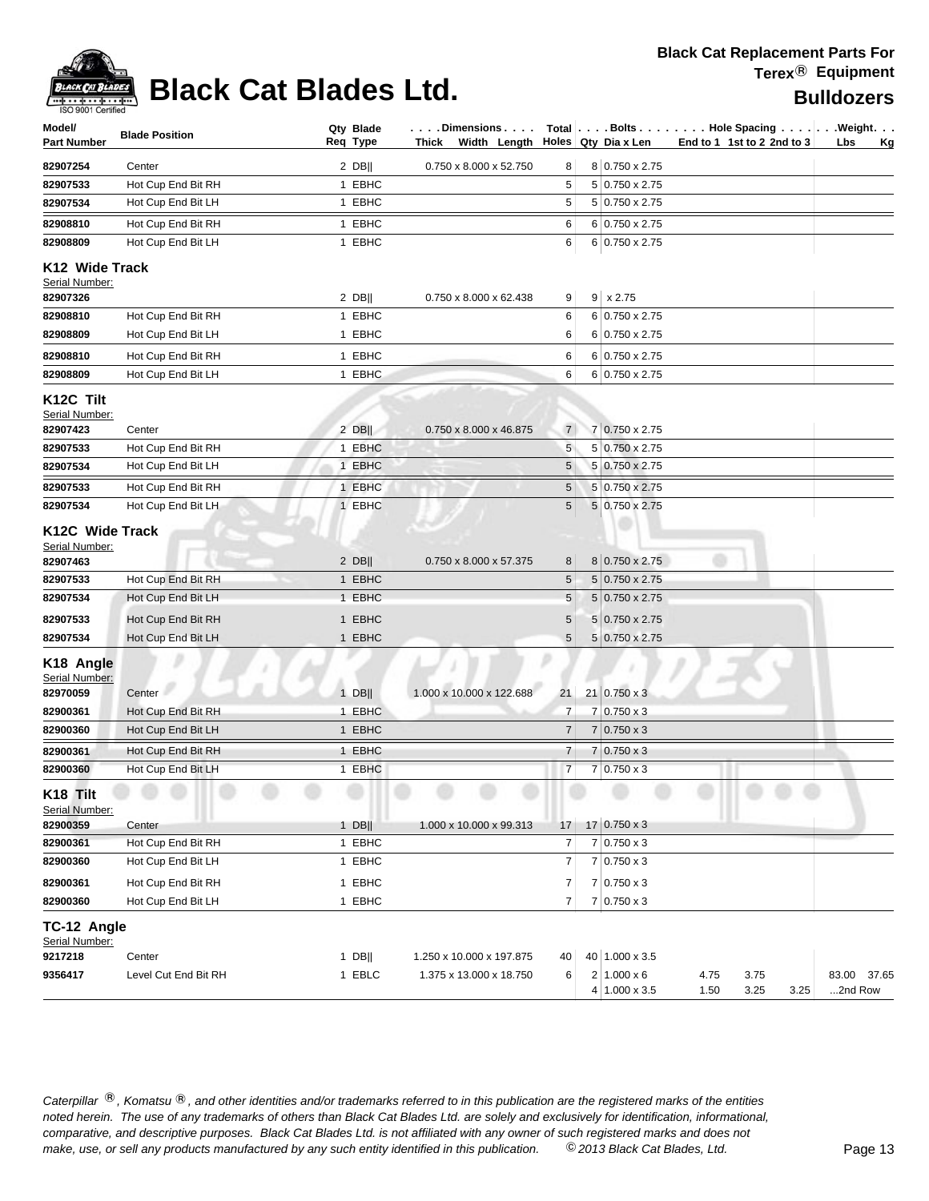

# **Black Cat Blades Ltd. Black Cat Blades Ltd. Black Cat Blades Ltd.**

| Model/<br>Part Number                                                                               | <b>Blade Position</b>                                                                | Qty Blade<br>Req Type                            | . Dimensions<br>Width Length<br>Thick |                       | Holes Qty Dia x Len                                                                                         |              | Total Bolts Hole Spacing Weight.<br>End to 1 1st to 2 2nd to 3 | Lbs<br><u>Kg</u>       |
|-----------------------------------------------------------------------------------------------------|--------------------------------------------------------------------------------------|--------------------------------------------------|---------------------------------------|-----------------------|-------------------------------------------------------------------------------------------------------------|--------------|----------------------------------------------------------------|------------------------|
| 82907254                                                                                            | Center                                                                               | $2$ DB                                           | 0.750 x 8.000 x 52.750                | 8                     | 8 0.750 x 2.75                                                                                              |              |                                                                |                        |
| 82907533                                                                                            | Hot Cup End Bit RH                                                                   | 1 EBHC                                           |                                       | 5                     | 5 0.750 x 2.75                                                                                              |              |                                                                |                        |
| 82907534                                                                                            | Hot Cup End Bit LH                                                                   | 1 EBHC                                           |                                       | 5                     | 5 0.750 x 2.75                                                                                              |              |                                                                |                        |
| 82908810                                                                                            | Hot Cup End Bit RH                                                                   | 1 EBHC                                           |                                       | 6                     | 6 0.750 x 2.75                                                                                              |              |                                                                |                        |
| 82908809                                                                                            | Hot Cup End Bit LH                                                                   | 1 EBHC                                           |                                       | 6                     | 6 0.750 x 2.75                                                                                              |              |                                                                |                        |
| K <sub>12</sub> Wide Track<br>Serial Number:                                                        |                                                                                      |                                                  |                                       |                       |                                                                                                             |              |                                                                |                        |
| 82907326                                                                                            |                                                                                      | $2$ DB                                           | 0.750 x 8.000 x 62.438                | 9                     | $9 \times 2.75$                                                                                             |              |                                                                |                        |
| 82908810                                                                                            | Hot Cup End Bit RH                                                                   | 1 EBHC                                           |                                       | 6                     | 6 0.750 x 2.75                                                                                              |              |                                                                |                        |
| 82908809                                                                                            | Hot Cup End Bit LH                                                                   | 1 EBHC                                           |                                       | 6                     | 6 0.750 x 2.75                                                                                              |              |                                                                |                        |
| 82908810                                                                                            | Hot Cup End Bit RH                                                                   | 1 EBHC                                           |                                       | 6                     | 6 0.750 x 2.75                                                                                              |              |                                                                |                        |
| 82908809                                                                                            | Hot Cup End Bit LH                                                                   | 1 EBHC                                           |                                       | 6                     | 6 0.750 x 2.75                                                                                              |              |                                                                |                        |
| K12C Tilt<br>Serial Number:<br>82907423                                                             | Center                                                                               | $2$ DB                                           | 0.750 x 8.000 x 46.875                | $\overline{7}$        | 7 0.750 x 2.75                                                                                              |              |                                                                |                        |
| 82907533                                                                                            | Hot Cup End Bit RH                                                                   | 1 EBHC                                           |                                       | 5                     | 5 0.750 x 2.75                                                                                              |              |                                                                |                        |
| 82907534                                                                                            | Hot Cup End Bit LH                                                                   | 1 EBHC                                           |                                       | 5                     | 5 0.750 x 2.75                                                                                              |              |                                                                |                        |
| 82907533                                                                                            | Hot Cup End Bit RH                                                                   | 1 EBHC                                           |                                       | 5                     | 5 0.750 x 2.75                                                                                              |              |                                                                |                        |
| 82907534                                                                                            | Hot Cup End Bit LH                                                                   | 1 EBHC                                           |                                       | 5                     | 5 0.750 x 2.75                                                                                              |              |                                                                |                        |
| Serial Number:<br>82907463<br>82907533<br>82907534<br>82907533<br>82907534<br>K <sub>18</sub> Angle | Hot Cup End Bit RH<br>Hot Cup End Bit LH<br>Hot Cup End Bit RH<br>Hot Cup End Bit LH | $2$ DB  <br>1 EBHC<br>1 EBHC<br>1 EBHC<br>1 EBHC | 0.750 x 8.000 x 57.375                | 8<br>5<br>5<br>5<br>5 | 8 0.750 x 2.75<br>$5 0.750 \times 2.75$<br>$5 0.750 \times 2.75$<br>$5 0.750 \times 2.75$<br>5 0.750 x 2.75 |              |                                                                |                        |
| Serial Number:<br>82970059                                                                          | Center                                                                               | $1$ DB                                           | 1.000 x 10.000 x 122.688              | 21                    | $21   0.750 \times 3$                                                                                       |              |                                                                |                        |
| 82900361                                                                                            | Hot Cup End Bit RH                                                                   | 1 EBHC                                           |                                       | 7                     | $7 0.750 \times 3$                                                                                          |              |                                                                |                        |
| 82900360                                                                                            | Hot Cup End Bit LH                                                                   | 1 EBHC                                           |                                       | 7                     | $7 0.750 \times 3$                                                                                          |              |                                                                |                        |
| 82900361                                                                                            | Hot Cup End Bit RH                                                                   | 1 EBHC                                           |                                       | 7                     | $7 0.750 \times 3$                                                                                          |              |                                                                |                        |
| 82900360                                                                                            | Hot Cup End Bit LH                                                                   | 1 EBHC                                           |                                       | $\overline{7}$        | $7 0.750 \times 3$                                                                                          |              |                                                                |                        |
| K18 Tilt<br>Serial Number:                                                                          |                                                                                      |                                                  |                                       |                       |                                                                                                             |              |                                                                |                        |
| 82900359                                                                                            | Center                                                                               | $1$ DB                                           | 1.000 x 10.000 x 99.313               | 17                    | $17 0.750 \times 3$                                                                                         |              |                                                                |                        |
| 82900361                                                                                            | Hot Cup End Bit RH                                                                   | 1 EBHC                                           |                                       | 7                     | 7 0.750 x 3                                                                                                 |              |                                                                |                        |
| 82900360                                                                                            | Hot Cup End Bit LH                                                                   | 1 EBHC                                           |                                       | 7                     | 7 0.750 x 3                                                                                                 |              |                                                                |                        |
| 82900361                                                                                            | Hot Cup End Bit RH                                                                   | 1 EBHC                                           |                                       | 7                     | $7 0.750 \times 3$                                                                                          |              |                                                                |                        |
| 82900360                                                                                            | Hot Cup End Bit LH                                                                   | 1 EBHC                                           |                                       | 7                     | $7 0.750 \times 3$                                                                                          |              |                                                                |                        |
| TC-12 Angle<br>Serial Number:<br>9217218                                                            | Center                                                                               | 1 DB $  $                                        | 1.250 x 10.000 x 197.875              | 40                    | 40 1.000 x 3.5                                                                                              |              |                                                                |                        |
| 9356417                                                                                             | Level Cut End Bit RH                                                                 | 1 EBLC                                           | 1.375 x 13.000 x 18.750               | 6                     | $2 1.000 \times 6$<br>4 1.000 x 3.5                                                                         | 4.75<br>1.50 | 3.75<br>3.25<br>3.25                                           | 83.00 37.65<br>2nd Row |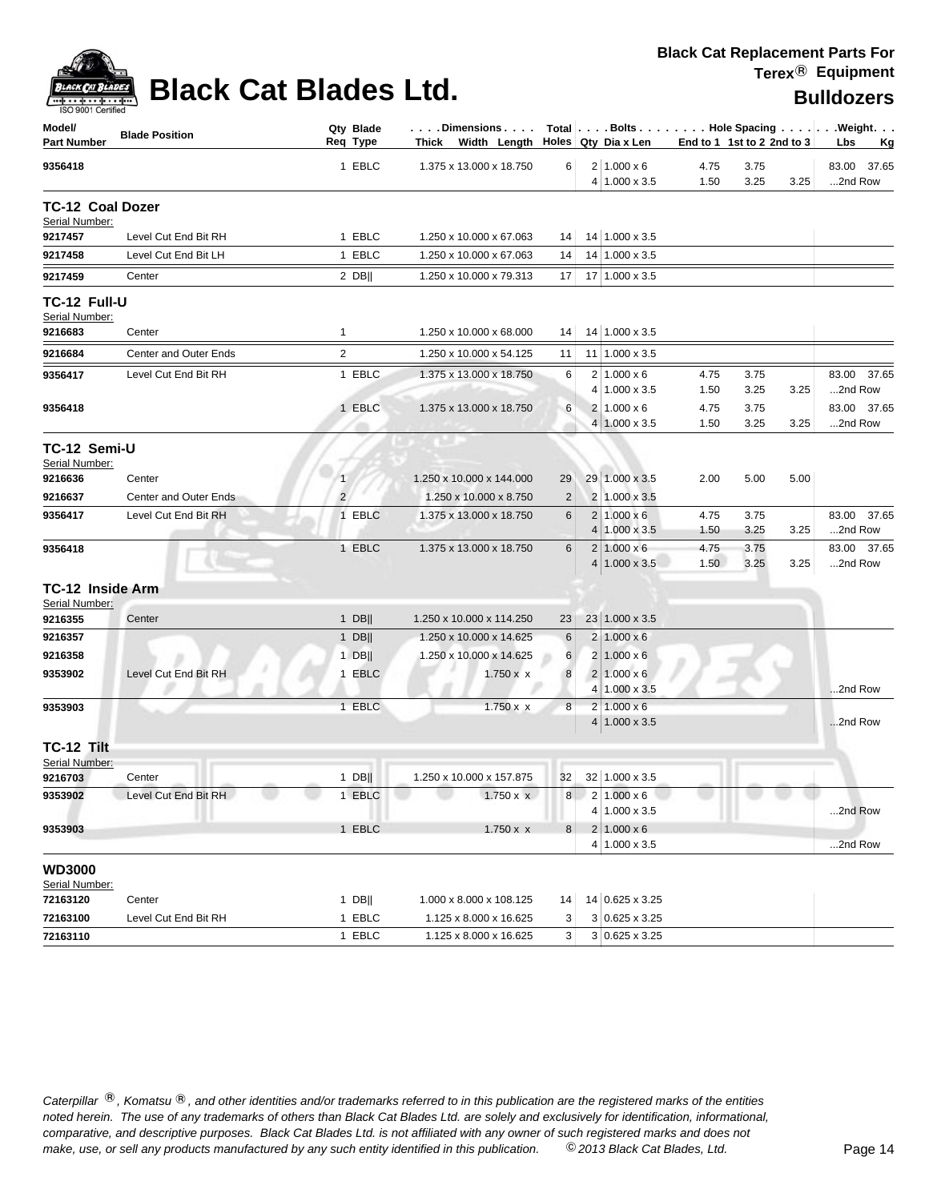| ACK CAT B      |
|----------------|
| 9001 Certified |

| Model/<br><b>Part Number</b>              | <b>Blade Position</b> |                | Qty Blade<br>Reg Type | $\ldots$ . Dimensions $\ldots$ .<br>Thick Width Length |                 | Holes Qty Dia x Len                        | Total Bolts Hole Spacing Weight.<br>End to 1 1st to 2 2nd to 3 |              | Lbs<br>Κg |                        |
|-------------------------------------------|-----------------------|----------------|-----------------------|--------------------------------------------------------|-----------------|--------------------------------------------|----------------------------------------------------------------|--------------|-----------|------------------------|
| 9356418                                   |                       |                | 1 EBLC                | 1.375 x 13.000 x 18.750                                | 6               | $2 1.000 \times 6$<br>4 1.000 x 3.5        | 4.75<br>1.50                                                   | 3.75<br>3.25 | 3.25      | 83.00 37.65<br>2nd Row |
| <b>TC-12 Coal Dozer</b><br>Serial Number: |                       |                |                       |                                                        |                 |                                            |                                                                |              |           |                        |
| 9217457                                   | Level Cut End Bit RH  |                | 1 EBLC                | 1.250 x 10.000 x 67.063                                | 14              | 14 1.000 x 3.5                             |                                                                |              |           |                        |
| 9217458                                   | Level Cut End Bit LH  |                | 1 EBLC                | 1.250 x 10.000 x 67.063                                | 14              | 14 1.000 x 3.5                             |                                                                |              |           |                        |
| 9217459                                   | Center                |                | $2$ DB                | 1.250 x 10.000 x 79.313                                | 17              | 17 1.000 x 3.5                             |                                                                |              |           |                        |
| <b>TC-12 Full-U</b><br>Serial Number:     |                       |                |                       |                                                        |                 |                                            |                                                                |              |           |                        |
| 9216683                                   | Center                | $\mathbf{1}$   |                       | 1.250 x 10.000 x 68.000                                | 14              | 14 1.000 x 3.5                             |                                                                |              |           |                        |
| 9216684                                   | Center and Outer Ends | $\overline{2}$ |                       | 1.250 x 10.000 x 54.125                                | 11              | $11$   1.000 x 3.5                         |                                                                |              |           |                        |
| 9356417                                   | Level Cut End Bit RH  |                | 1 EBLC                | 1.375 x 13.000 x 18.750                                | 6               | $2 1.000 \times 6$                         | 4.75                                                           | 3.75         |           | 83.00<br>37.65         |
|                                           |                       |                |                       |                                                        |                 | $4 1.000 \times 3.5$                       | 1.50                                                           | 3.25         | 3.25      | 2nd Row                |
| 9356418                                   |                       |                | 1 EBLC                | 1.375 x 13.000 x 18.750                                | 6               | 2   1.000 x 6                              | 4.75                                                           | 3.75         |           | 83.00 37.65            |
|                                           |                       |                |                       |                                                        |                 | $4 1.000 \times 3.5$                       | 1.50                                                           | 3.25         | 3.25      | 2nd Row                |
| TC-12 Semi-U<br>Serial Number:            |                       |                |                       |                                                        |                 |                                            |                                                                |              |           |                        |
| 9216636                                   | Center                | $\mathbf{1}$   |                       | 1.250 x 10.000 x 144.000                               | 29              | 29 1.000 x 3.5                             | 2.00                                                           | 5.00         | 5.00      |                        |
| 9216637                                   | Center and Outer Ends | 2 <sup>1</sup> |                       | 1.250 x 10.000 x 8.750                                 | $\overline{2}$  | 2 1.000 x 3.5                              |                                                                |              |           |                        |
| 9356417                                   | Level Cut End Bit RH  |                | 1 EBLC                | 1.375 x 13.000 x 18.750                                | 6               | $2 1.000 \times 6$<br>$4 1.000 \times 3.5$ | 4.75<br>1.50                                                   | 3.75<br>3.25 | 3.25      | 83.00 37.65<br>2nd Row |
| 9356418                                   |                       |                | 1 EBLC                | 1.375 x 13.000 x 18.750                                | 6               | $2 1.000 \times 6$                         | 4.75                                                           | 3.75         |           | 83.00 37.65            |
|                                           |                       |                |                       |                                                        |                 | $4 1.000 \times 3.5$                       | 1.50                                                           | 3.25         | 3.25      | 2nd Row                |
| TC-12 Inside Arm                          |                       |                |                       |                                                        |                 |                                            |                                                                |              |           |                        |
| Serial Number:<br>9216355                 | Center                |                | 1 $DB$                | 1.250 x 10.000 x 114.250                               | 23              | 23 1.000 x 3.5                             |                                                                |              |           |                        |
| 9216357                                   |                       |                | 1 $DB$                | 1.250 x 10.000 x 14.625                                | $6\phantom{1}6$ | $2 1.000 \times 6$                         |                                                                |              |           |                        |
| 9216358                                   |                       |                | $1$ DB                | 1.250 x 10.000 x 14.625                                | 6               | $2 1.000 \times 6$                         |                                                                |              |           |                        |
| 9353902                                   | Level Cut End Bit RH  |                | 1 EBLC                | $1.750 \times x$                                       | 8               | 2   1.000 x 6                              |                                                                |              |           |                        |
|                                           |                       |                |                       |                                                        |                 | $4 1.000 \times 3.5$                       |                                                                |              |           | 2nd Row                |
| 9353903                                   |                       |                | 1 EBLC                | $1.750 \times x$                                       | 8               | $2 1.000 \times 6$                         |                                                                |              |           |                        |
|                                           |                       |                |                       |                                                        |                 | $4 1.000 \times 3.5$                       |                                                                |              |           | 2nd Row                |
| TC-12 Tilt                                |                       |                |                       |                                                        |                 |                                            |                                                                |              |           |                        |
| Serial Number:                            |                       |                |                       |                                                        |                 |                                            |                                                                |              |           |                        |
| 9216703                                   | Center                |                | $1$ DB                | 1.250 x 10.000 x 157.875                               | 32              | 32 1.000 x 3.5                             |                                                                |              |           |                        |
| 9353902                                   | Level Cut End Bit RH  |                | 1 EBLC                | $1.750 \times x$                                       |                 | 8 2 1.000 x 6<br>$4 1.000 \times 3.5$      |                                                                |              |           | 2nd Row                |
| 9353903                                   |                       |                | 1 EBLC                | $1.750 \times x$                                       | 8               | $2 1.000 \times 6$                         |                                                                |              |           |                        |
|                                           |                       |                |                       |                                                        |                 | 4 1.000 x 3.5                              |                                                                |              |           | 2nd Row                |
| <b>WD3000</b><br>Serial Number:           |                       |                |                       |                                                        |                 |                                            |                                                                |              |           |                        |
| 72163120                                  | Center                |                | $1$ DB                | 1.000 x 8.000 x 108.125                                | 14              | 14 0.625 x 3.25                            |                                                                |              |           |                        |
| 72163100                                  | Level Cut End Bit RH  |                | 1 EBLC                | 1.125 x 8.000 x 16.625                                 | 3               | 3 0.625 x 3.25                             |                                                                |              |           |                        |
| 72163110                                  |                       |                | 1 EBLC                | 1.125 x 8.000 x 16.625                                 | 3               | 3 0.625 x 3.25                             |                                                                |              |           |                        |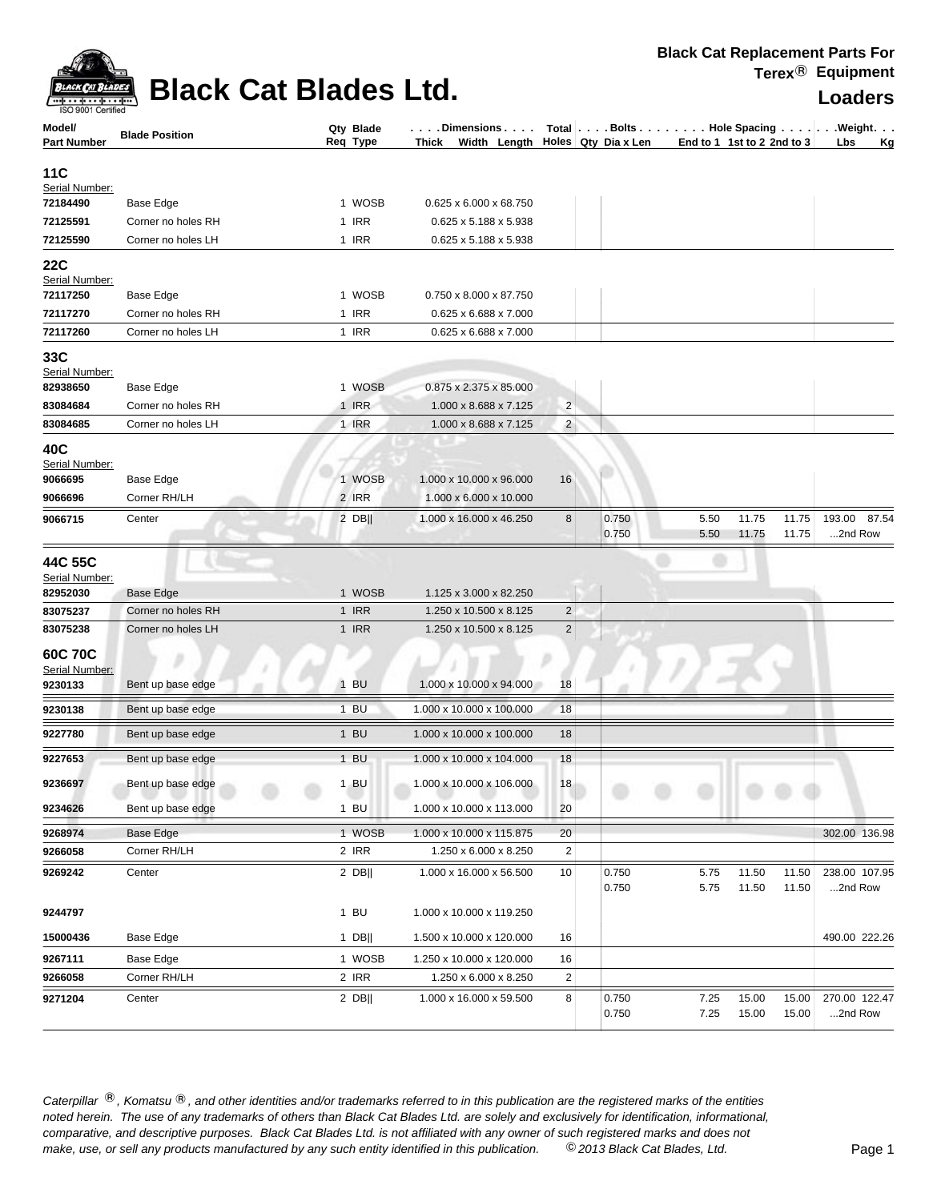

## **Black Cat Blades Ltd. Loaders Loaders**

| Model/<br><b>Part Number</b>          | <b>Blade Position</b> | Qty Blade<br>Req Type | .Dimensions<br>Thick Width Length $\vert$ Holes Qty Dia x Len |                         | Total Bolts Hole Spacing Weight. |      | End to 1 1st to 2 2nd to 3 | Lbs<br><u>Kg</u> |
|---------------------------------------|-----------------------|-----------------------|---------------------------------------------------------------|-------------------------|----------------------------------|------|----------------------------|------------------|
| 11C                                   |                       |                       |                                                               |                         |                                  |      |                            |                  |
| Serial Number:                        |                       |                       |                                                               |                         |                                  |      |                            |                  |
| 72184490                              | Base Edge             | 1 WOSB                | 0.625 x 6.000 x 68.750                                        |                         |                                  |      |                            |                  |
| 72125591                              | Corner no holes RH    | 1 IRR                 | 0.625 x 5.188 x 5.938                                         |                         |                                  |      |                            |                  |
| 72125590                              | Corner no holes LH    | 1 IRR                 | 0.625 x 5.188 x 5.938                                         |                         |                                  |      |                            |                  |
| 22C                                   |                       |                       |                                                               |                         |                                  |      |                            |                  |
| Serial Number:                        |                       |                       |                                                               |                         |                                  |      |                            |                  |
| 72117250                              | Base Edge             | 1 WOSB                | 0.750 x 8.000 x 87.750                                        |                         |                                  |      |                            |                  |
| 72117270                              | Corner no holes RH    | 1 IRR                 | 0.625 x 6.688 x 7.000                                         |                         |                                  |      |                            |                  |
| 72117260                              | Corner no holes LH    | 1 IRR                 | 0.625 x 6.688 x 7.000                                         |                         |                                  |      |                            |                  |
| 33C                                   |                       |                       |                                                               |                         |                                  |      |                            |                  |
| Serial Number:                        |                       |                       |                                                               |                         |                                  |      |                            |                  |
| 82938650                              | Base Edge             | 1 WOSB                | 0.875 x 2.375 x 85.000                                        |                         |                                  |      |                            |                  |
| 83084684                              | Corner no holes RH    | 1 IRR                 | 1.000 x 8.688 x 7.125                                         | $\overline{c}$          |                                  |      |                            |                  |
| 83084685                              | Corner no holes LH    | 1 IRR                 | 1.000 x 8.688 x 7.125                                         | $\overline{a}$          |                                  |      |                            |                  |
| 40C<br>Serial Number:                 |                       |                       |                                                               |                         |                                  |      |                            |                  |
| 9066695                               | Base Edge             | 1 WOSB                | 1.000 x 10.000 x 96.000                                       | 16                      |                                  |      |                            |                  |
| 9066696                               | Corner RH/LH          | 2 IRR                 | 1.000 x 6.000 x 10.000                                        |                         |                                  |      |                            |                  |
| 9066715                               | Center                | $2$ DB                | 1.000 x 16.000 x 46.250                                       | 8                       | 0.750                            | 5.50 | 11.75<br>11.75             | 87.54<br>193.00  |
|                                       |                       |                       |                                                               |                         | 0.750                            | 5.50 | 11.75<br>11.75             | 2nd Row          |
| 44C 55C<br>Serial Number:<br>82952030 | Base Edge             | 1 WOSB                | 1.125 x 3.000 x 82.250                                        |                         |                                  |      |                            |                  |
| 83075237                              | Corner no holes RH    | 1 IRR                 | 1.250 x 10.500 x 8.125                                        | $\overline{\mathbf{c}}$ |                                  |      |                            |                  |
| 83075238                              | Corner no holes LH    | 1 IRR                 | 1.250 x 10.500 x 8.125                                        | 2                       |                                  |      |                            |                  |
| 60C 70C                               |                       |                       |                                                               |                         |                                  |      |                            |                  |
| Serial Number:                        |                       |                       |                                                               |                         |                                  |      |                            |                  |
| 9230133                               | Bent up base edge     | 1 BU                  | 1.000 x 10.000 x 94.000                                       | 18                      |                                  |      |                            |                  |
| 9230138                               | Bent up base edge     | $1$ BU                | 1.000 x 10.000 x 100.000                                      | 18                      |                                  |      |                            |                  |
|                                       |                       | $1$ BU                |                                                               |                         |                                  |      |                            |                  |
| 9227780                               | Bent up base edge     |                       | 1.000 x 10.000 x 100.000                                      | 18                      |                                  |      |                            |                  |
| 9227653                               | Bent up base edge     | $1$ BU                | 1.000 x 10.000 x 104.000                                      | 18                      |                                  |      |                            |                  |
| 9236697                               | Bent up base edge     | $1$ BU                | 1.000 x 10.000 x 106.000                                      | 18                      |                                  |      |                            |                  |
| 9234626                               | Bent up base edge     | $1$ BU                | 1.000 x 10.000 x 113.000                                      | 20                      |                                  |      |                            |                  |
| 9268974                               | Base Edge             | 1 WOSB                | 1.000 x 10.000 x 115.875                                      | 20                      |                                  |      |                            | 302.00 136.98    |
| 9266058                               | Corner RH/LH          | 2 IRR                 | 1.250 x 6.000 x 8.250                                         | 2                       |                                  |      |                            |                  |
| 9269242                               | Center                | $2$ DB                | 1.000 x 16.000 x 56.500                                       | 10                      | 0.750                            | 5.75 | 11.50<br>11.50             | 238.00 107.95    |
|                                       |                       |                       |                                                               |                         | 0.750                            | 5.75 | 11.50<br>11.50             | 2nd Row          |
|                                       |                       | $1$ BU                |                                                               |                         |                                  |      |                            |                  |
| 9244797                               |                       |                       | 1.000 x 10.000 x 119.250                                      |                         |                                  |      |                            |                  |
| 15000436                              | Base Edge             | 1 DB                  | 1.500 x 10.000 x 120.000                                      | 16                      |                                  |      |                            | 490.00 222.26    |
| 9267111                               | Base Edge             | 1 WOSB                | 1.250 x 10.000 x 120.000                                      | 16                      |                                  |      |                            |                  |
| 9266058                               | Corner RH/LH          | 2 IRR                 | 1.250 x 6.000 x 8.250                                         | 2                       |                                  |      |                            |                  |
| 9271204                               | Center                | 2 DB                  | 1.000 x 16.000 x 59.500                                       | 8                       | 0.750                            | 7.25 | 15.00<br>15.00             | 270.00 122.47    |
|                                       |                       |                       |                                                               |                         | 0.750                            | 7.25 | 15.00<br>15.00             | 2nd Row          |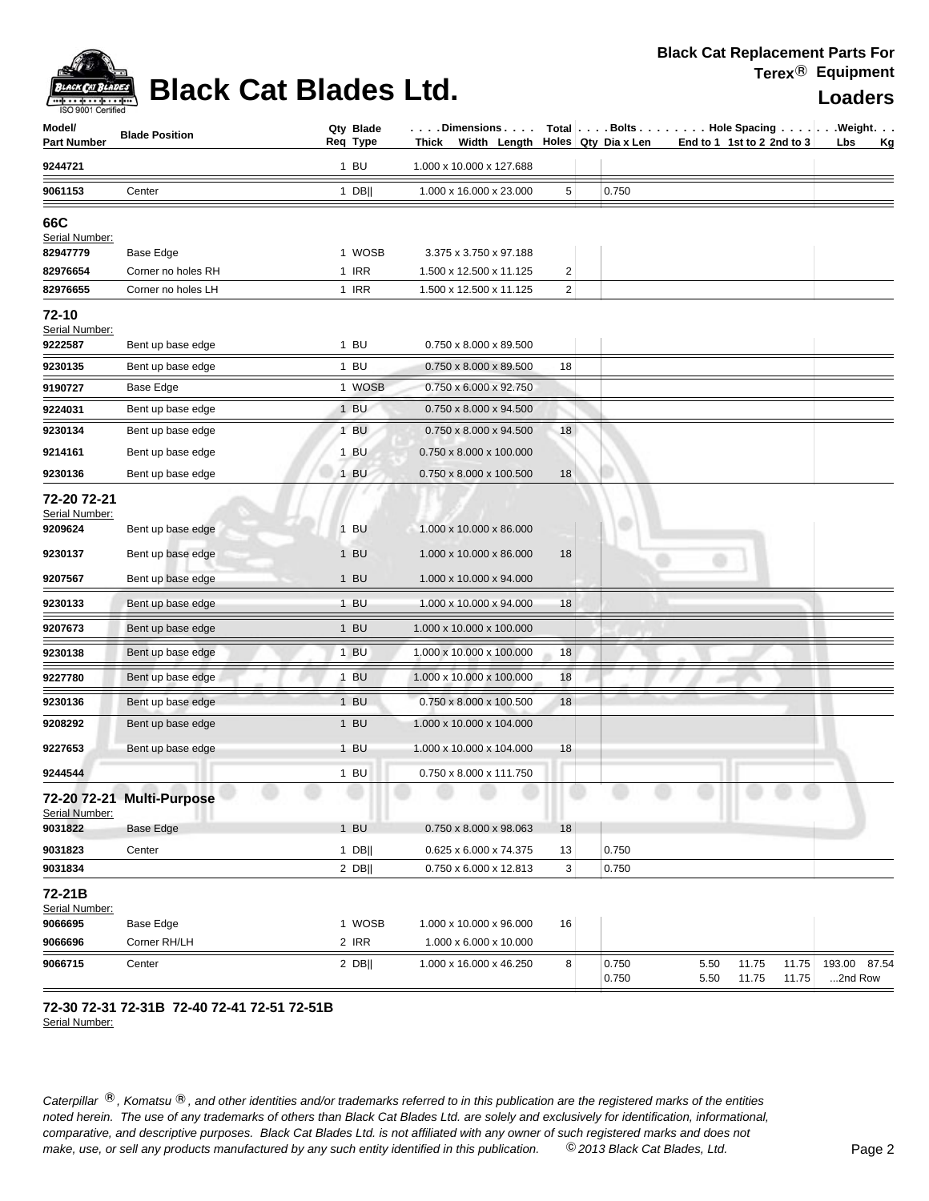

### **Black Cat Blades Ltd. Loaders Loaders**

| Model/<br><b>Part Number</b>             | <b>Blade Position</b>     | Qty Blade<br>Req Type | . Dimensions<br>Thick Width Length Holes Qty Dia x Len |                | $Total   \ldots$ Bolts $\ldots   \ldots$ . Hole Spacing $\ldots   \ldots$ . Weight. $\ldots$ | End to 1 1st to 2 2nd to 3 |                |                | Lbs                     | <u>Kg</u> |
|------------------------------------------|---------------------------|-----------------------|--------------------------------------------------------|----------------|----------------------------------------------------------------------------------------------|----------------------------|----------------|----------------|-------------------------|-----------|
| 9244721                                  |                           | 1 BU                  | 1.000 x 10.000 x 127.688                               |                |                                                                                              |                            |                |                |                         |           |
| 9061153                                  | Center                    | 1 DB                  | 1.000 x 16.000 x 23.000                                | 5              | 0.750                                                                                        |                            |                |                |                         |           |
| 66C<br>Serial Number:<br>82947779        | Base Edge                 | 1 WOSB                | 3.375 x 3.750 x 97.188                                 |                |                                                                                              |                            |                |                |                         |           |
| 82976654                                 | Corner no holes RH        | 1 IRR                 | 1.500 x 12.500 x 11.125                                | $\overline{2}$ |                                                                                              |                            |                |                |                         |           |
| 82976655                                 | Corner no holes LH        | 1 IRR                 | 1.500 x 12.500 x 11.125                                | 2              |                                                                                              |                            |                |                |                         |           |
| 72-10<br>Serial Number:<br>9222587       | Bent up base edge         | $1$ BU                | 0.750 x 8.000 x 89.500                                 |                |                                                                                              |                            |                |                |                         |           |
| 9230135                                  | Bent up base edge         | $1$ BU                | 0.750 x 8.000 x 89.500                                 | 18             |                                                                                              |                            |                |                |                         |           |
| 9190727                                  | Base Edge                 | 1 WOSB                | 0.750 x 6.000 x 92.750                                 |                |                                                                                              |                            |                |                |                         |           |
| 9224031                                  | Bent up base edge         | $1$ BU                | 0.750 x 8.000 x 94.500                                 |                |                                                                                              |                            |                |                |                         |           |
| 9230134                                  | Bent up base edge         | $1$ BU                | 0.750 x 8.000 x 94.500                                 | 18             |                                                                                              |                            |                |                |                         |           |
| 9214161                                  | Bent up base edge         | 1 BU                  | 0.750 x 8.000 x 100.000                                |                |                                                                                              |                            |                |                |                         |           |
| 9230136                                  | Bent up base edge         | 1 BU                  | 0.750 x 8.000 x 100.500                                | 18             |                                                                                              |                            |                |                |                         |           |
| 72-20 72-21<br>Serial Number:<br>9209624 | Bent up base edge         | $1$ BU                | 1.000 x 10.000 x 86.000                                |                |                                                                                              |                            |                |                |                         |           |
| 9230137                                  | Bent up base edge         | $1$ BU                | 1.000 x 10.000 x 86.000                                | 18             |                                                                                              |                            |                |                |                         |           |
| 9207567                                  | Bent up base edge         | $1$ BU                | 1.000 x 10.000 x 94.000                                |                |                                                                                              |                            |                |                |                         |           |
| 9230133                                  | Bent up base edge         | $1$ BU                | 1.000 x 10.000 x 94.000                                | 18             |                                                                                              |                            |                |                |                         |           |
| 9207673                                  | Bent up base edge         | $1$ BU                | 1.000 x 10.000 x 100.000                               |                |                                                                                              |                            |                |                |                         |           |
| 9230138                                  | Bent up base edge         | 1 BU                  | 1.000 x 10.000 x 100.000                               | 18             |                                                                                              |                            |                |                |                         |           |
| 9227780                                  | Bent up base edge         | $1$ BU                | 1.000 x 10.000 x 100.000                               | 18             |                                                                                              |                            |                |                |                         |           |
| 9230136                                  | Bent up base edge         | 1 BU                  | 0.750 x 8.000 x 100.500                                | 18             |                                                                                              |                            |                |                |                         |           |
| 9208292                                  | Bent up base edge         | $1$ BU                | 1.000 x 10.000 x 104.000                               |                |                                                                                              |                            |                |                |                         |           |
| 9227653                                  | Bent up base edge         | 1 BU                  | 1.000 x 10.000 x 104.000                               | 18             |                                                                                              |                            |                |                |                         |           |
| 9244544                                  |                           | 1 BU                  | 0.750 x 8.000 x 111.750                                |                |                                                                                              |                            |                |                |                         |           |
| Serial Number:                           | 72-20 72-21 Multi-Purpose |                       |                                                        |                |                                                                                              |                            |                |                |                         |           |
| 9031822                                  | Base Edge                 | $1$ BU                | 0.750 x 8.000 x 98.063                                 | 18             |                                                                                              |                            |                |                |                         |           |
| 9031823<br>9031834                       | Center                    | $1$ DB  <br>$2$ DB    | 0.625 x 6.000 x 74.375<br>0.750 x 6.000 x 12.813       | 13<br>3        | 0.750<br>0.750                                                                               |                            |                |                |                         |           |
| 72-21B<br>Serial Number:<br>9066695      | <b>Base Edge</b>          | 1 WOSB                | 1.000 x 10.000 x 96.000                                | 16             |                                                                                              |                            |                |                |                         |           |
| 9066696                                  | Corner RH/LH              | 2 IRR                 | 1.000 x 6.000 x 10.000                                 |                |                                                                                              |                            |                |                |                         |           |
| 9066715                                  | Center                    | $2$ DB                | 1.000 x 16.000 x 46.250                                | 8              | 0.750<br>0.750                                                                               | 5.50<br>5.50               | 11.75<br>11.75 | 11.75<br>11.75 | 193.00 87.54<br>2nd Row |           |

**72-30 72-31 72-31B 72-40 72-41 72-51 72-51B** 

Serial Number: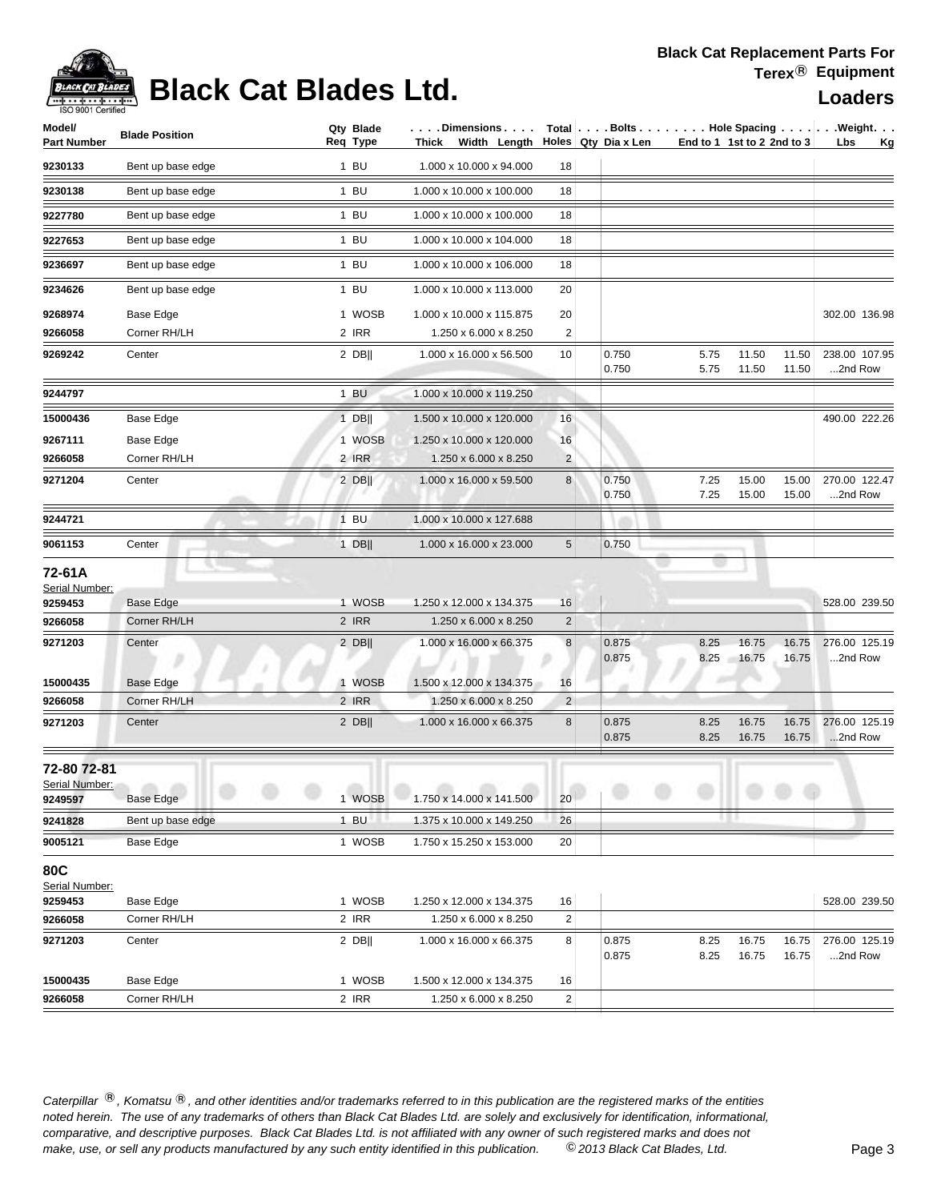## **Black Cat Blades Ltd.**

| Model/<br>Part Number                                     | <b>Blade Position</b>                      | Qty Blade<br>Req Type     | .Dimensions<br>Thick Width Length                                            |                           | Holes Qty Dia x Len          | End to 1 1st to 2 2nd to 3 |                |                | Total Bolts Hole Spacing Weight.<br>Lbs<br><u>Kg</u> |
|-----------------------------------------------------------|--------------------------------------------|---------------------------|------------------------------------------------------------------------------|---------------------------|------------------------------|----------------------------|----------------|----------------|------------------------------------------------------|
| 9230133                                                   | Bent up base edge                          | 1 BU                      | 1.000 x 10.000 x 94.000                                                      | 18                        |                              |                            |                |                |                                                      |
| 9230138                                                   | Bent up base edge                          | $1$ BU                    | 1.000 x 10.000 x 100.000                                                     | 18                        |                              |                            |                |                |                                                      |
| 9227780                                                   | Bent up base edge                          | $1$ BU                    | 1.000 x 10.000 x 100.000                                                     | 18                        |                              |                            |                |                |                                                      |
| 9227653                                                   | Bent up base edge                          | $1$ BU                    | 1.000 x 10.000 x 104.000                                                     | 18                        |                              |                            |                |                |                                                      |
| 9236697                                                   | Bent up base edge                          | $1$ BU                    | 1.000 x 10.000 x 106.000                                                     | 18                        |                              |                            |                |                |                                                      |
|                                                           |                                            |                           |                                                                              | 20                        |                              |                            |                |                |                                                      |
| 9234626                                                   | Bent up base edge                          | $1$ BU                    | 1.000 x 10.000 x 113.000                                                     |                           |                              |                            |                |                |                                                      |
| 9268974                                                   | Base Edge                                  | 1 WOSB                    | 1.000 x 10.000 x 115.875                                                     | 20                        |                              |                            |                |                | 302.00 136.98                                        |
| 9266058                                                   | Corner RH/LH                               | 2 IRR                     | 1.250 x 6.000 x 8.250                                                        | $\overline{2}$            |                              |                            |                |                |                                                      |
| 9269242                                                   | Center                                     | $2$ DB                    | 1.000 x 16.000 x 56.500                                                      | 10                        | 0.750<br>0.750               | 5.75<br>5.75               | 11.50<br>11.50 | 11.50<br>11.50 | 238.00 107.95<br>2nd Row                             |
| 9244797                                                   |                                            | 1 BU                      | 1.000 x 10.000 x 119.250                                                     |                           |                              |                            |                |                |                                                      |
| 15000436                                                  | Base Edge                                  | $1$ DB                    | 1.500 x 10.000 x 120.000                                                     | 16                        |                              |                            |                |                | 490.00 222.26                                        |
| 9267111                                                   | Base Edge                                  | 1 WOSB                    | 1.250 x 10.000 x 120.000                                                     | 16                        |                              |                            |                |                |                                                      |
| 9266058                                                   | Corner RH/LH                               | 2 IRR                     | 1.250 x 6.000 x 8.250                                                        | $\overline{c}$            |                              |                            |                |                |                                                      |
| 9271204                                                   | Center                                     | 2 DB                      | 1.000 x 16.000 x 59.500                                                      | $\bf 8$                   | 0.750<br>0.750               | 7.25<br>7.25               | 15.00<br>15.00 | 15.00<br>15.00 | 270.00 122.47<br>2nd Row                             |
| 9244721                                                   |                                            | $1$ BU                    | 1.000 x 10.000 x 127.688                                                     |                           |                              |                            |                |                |                                                      |
| 9061153                                                   | Center                                     | $1$ DB                    | 1.000 x 16.000 x 23.000                                                      | $\sqrt{5}$                | 0.750                        |                            |                |                |                                                      |
| 72-61A<br>Serial Number:<br>9259453<br>9266058<br>9271203 | <b>Base Edge</b><br>Corner RH/LH<br>Center | 1 WOSB<br>2 IRR<br>$2$ DB | 1.250 x 12.000 x 134.375<br>1.250 x 6.000 x 8.250<br>1.000 x 16.000 x 66.375 | 16<br>$\overline{c}$<br>8 | 0.875                        | 8.25                       | 16.75          | 16.75          | 528.00 239.50<br>276.00 125.19                       |
|                                                           |                                            |                           |                                                                              |                           | 0.875                        | 8.25                       | 16.75          | 16.75          | 2nd Row                                              |
| 15000435                                                  | <b>Base Edge</b>                           | 1 WOSB                    | 1.500 x 12.000 x 134.375                                                     | 16                        |                              |                            |                |                |                                                      |
| 9266058                                                   | Corner RH/LH                               | 2 IRR                     | 1.250 x 6.000 x 8.250                                                        | $\overline{2}$            |                              |                            |                |                |                                                      |
| 9271203                                                   | Center                                     | $2$ DB                    | 1.000 x 16.000 x 66.375                                                      | $\bf 8$                   | 0.875<br>0.875               | 8.25<br>8.25               | 16.75<br>16.75 | 16.75<br>16.75 | 276.00 125.19<br>2nd Row                             |
| 72-80 72-81<br>Serial Number:<br>9249597                  | Base Edge                                  | 1 WOSB                    | $\sim$<br>1.750 x 14.000 x 141.500                                           | 20                        | and the contract of the con- |                            |                |                |                                                      |
| 9241828                                                   | Bent up base edge                          | $1$ BU                    | 1.375 x 10.000 x 149.250                                                     | 26                        |                              |                            | H.             |                |                                                      |
| 9005121                                                   | Base Edge                                  | 1 WOSB                    | 1.750 x 15.250 x 153.000                                                     | 20                        |                              |                            |                |                |                                                      |
| 80C<br>Serial Number:<br>9259453                          | Base Edge                                  | 1 WOSB                    | 1.250 x 12.000 x 134.375                                                     | 16                        |                              |                            |                |                | 528.00 239.50                                        |
| 9266058                                                   | Corner RH/LH                               | 2 IRR                     | 1.250 x 6.000 x 8.250                                                        | $\overline{\mathbf{c}}$   |                              |                            |                |                |                                                      |
| 9271203                                                   | Center                                     | 2 DB                      | 1.000 x 16.000 x 66.375                                                      | 8                         | 0.875<br>0.875               | 8.25<br>8.25               | 16.75<br>16.75 | 16.75<br>16.75 | 276.00 125.19<br>2nd Row                             |
| 15000435                                                  | Base Edge                                  | 1 WOSB                    | 1.500 x 12.000 x 134.375                                                     | 16                        |                              |                            |                |                |                                                      |
| 9266058                                                   | Corner RH/LH                               | 2 IRR                     | 1.250 x 6.000 x 8.250                                                        | $\boldsymbol{2}$          |                              |                            |                |                |                                                      |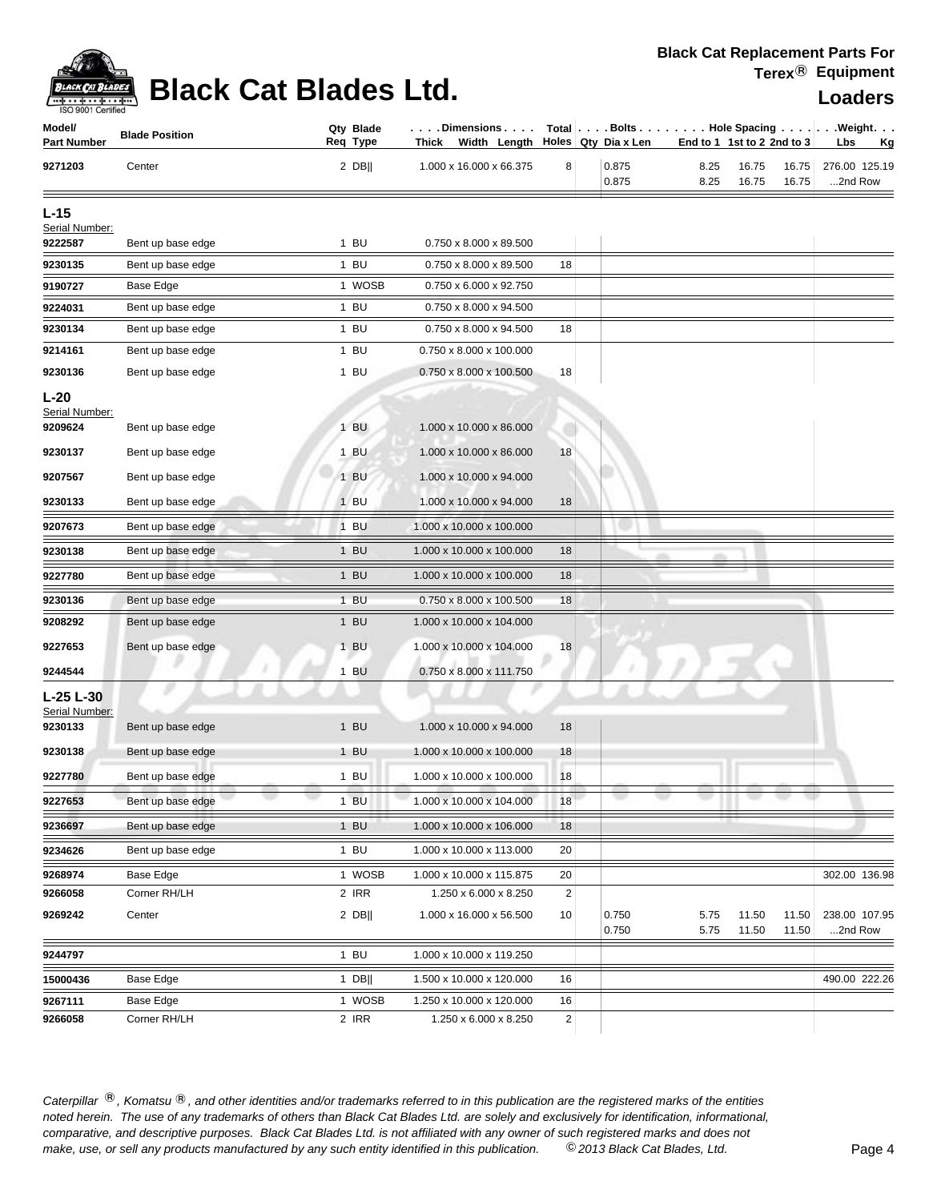

## **Black Cat Blades Ltd. Loaders Loaders**

| Model/<br><b>Part Number</b> | <b>Blade Position</b> | Qty Blade<br>Req Type | . Dimensions<br>Thick Width Length |                | Holes Qty Dia x Len |              | End to 1 1st to 2 2nd to 3 |                | Total $\vert \ldots$ Bolts $\ldots \vert \ldots$ Hole Spacing $\ldots \vert \ldots$ Weight. $\ldots$<br>Lbs<br><u>Kg</u> |
|------------------------------|-----------------------|-----------------------|------------------------------------|----------------|---------------------|--------------|----------------------------|----------------|--------------------------------------------------------------------------------------------------------------------------|
| 9271203                      | Center                | $2$ DB                | 1.000 x 16.000 x 66.375            | 8              | 0.875<br>0.875      | 8.25<br>8.25 | 16.75<br>16.75             | 16.75<br>16.75 | 276.00 125.19<br>2nd Row                                                                                                 |
| $L-15$                       |                       |                       |                                    |                |                     |              |                            |                |                                                                                                                          |
| Serial Number:               |                       |                       |                                    |                |                     |              |                            |                |                                                                                                                          |
| 9222587                      | Bent up base edge     | 1 BU                  | 0.750 x 8.000 x 89.500             |                |                     |              |                            |                |                                                                                                                          |
| 9230135                      | Bent up base edge     | $1$ BU                | 0.750 x 8.000 x 89.500             | 18             |                     |              |                            |                |                                                                                                                          |
| 9190727                      | Base Edge             | 1 WOSB                | 0.750 x 6.000 x 92.750             |                |                     |              |                            |                |                                                                                                                          |
| 9224031                      | Bent up base edge     | 1 BU                  | 0.750 x 8.000 x 94.500             |                |                     |              |                            |                |                                                                                                                          |
| 9230134                      | Bent up base edge     | $1$ BU                | 0.750 x 8.000 x 94.500             | 18             |                     |              |                            |                |                                                                                                                          |
| 9214161                      | Bent up base edge     | 1 BU                  | 0.750 x 8.000 x 100.000            |                |                     |              |                            |                |                                                                                                                          |
| 9230136                      | Bent up base edge     | $1$ BU                | 0.750 x 8.000 x 100.500            | 18             |                     |              |                            |                |                                                                                                                          |
| $L-20$<br>Serial Number:     |                       |                       |                                    |                |                     |              |                            |                |                                                                                                                          |
| 9209624                      | Bent up base edge     | 1 BU                  | 1.000 x 10.000 x 86.000            |                |                     |              |                            |                |                                                                                                                          |
| 9230137                      | Bent up base edge     | 1 BU                  | 1.000 x 10.000 x 86.000            | 18             |                     |              |                            |                |                                                                                                                          |
| 9207567                      | Bent up base edge     | $1$ BU                | 1.000 x 10.000 x 94.000            |                |                     |              |                            |                |                                                                                                                          |
| 9230133                      | Bent up base edge     | $1$ BU                | 1.000 x 10.000 x 94.000            | 18             |                     |              |                            |                |                                                                                                                          |
| 9207673                      | Bent up base edge     | 1 BU                  | 1.000 x 10.000 x 100.000           |                |                     |              |                            |                |                                                                                                                          |
| 9230138                      | Bent up base edge     | $1$ BU                | 1.000 x 10.000 x 100.000           | 18             |                     |              |                            |                |                                                                                                                          |
| 9227780                      | Bent up base edge     | $1$ BU                | 1.000 x 10.000 x 100.000           | 18             |                     |              |                            |                |                                                                                                                          |
| 9230136                      | Bent up base edge     | $1$ BU                | 0.750 x 8.000 x 100.500            | 18             |                     |              |                            |                |                                                                                                                          |
| 9208292                      | Bent up base edge     | $1$ BU                | 1.000 x 10.000 x 104.000           |                |                     |              |                            |                |                                                                                                                          |
| 9227653                      | Bent up base edge     | 1 BU                  | 1.000 x 10.000 x 104.000           | 18             |                     |              |                            |                |                                                                                                                          |
| 9244544                      |                       | $1$ BU                | 0.750 x 8.000 x 111.750            |                |                     |              |                            |                |                                                                                                                          |
| L-25 L-30                    |                       |                       |                                    |                |                     |              |                            |                |                                                                                                                          |
| Serial Number:<br>9230133    | Bent up base edge     | $1$ BU                | 1.000 x 10.000 x 94.000            | 18             |                     |              |                            |                |                                                                                                                          |
| 9230138                      | Bent up base edge     | 1 BU                  | 1.000 x 10.000 x 100.000           | 18             |                     |              |                            |                |                                                                                                                          |
| 9227780                      | Bent up base edge     | $1$ BU                | 1.000 x 10.000 x 100.000           | 18             |                     |              |                            |                |                                                                                                                          |
| 9227653                      | Bent up base edge     | $1$ BU                | 1.000 x 10.000 x 104.000           | 18             |                     |              |                            |                |                                                                                                                          |
| 9236697                      | Bent up base edge     | $1$ BU                | 1.000 x 10.000 x 106.000           | 18             |                     |              |                            |                |                                                                                                                          |
| 9234626                      | Bent up base edge     | 1 BU                  | 1.000 x 10.000 x 113.000           | 20             |                     |              |                            |                |                                                                                                                          |
| 9268974                      | Base Edge             | 1 WOSB                | 1.000 x 10.000 x 115.875           | 20             |                     |              |                            |                | 302.00 136.98                                                                                                            |
| 9266058                      | Corner RH/LH          | 2 IRR                 | 1.250 x 6.000 x 8.250              | $\overline{c}$ |                     |              |                            |                |                                                                                                                          |
| 9269242                      | Center                | $2$ DB                | 1.000 x 16.000 x 56.500            | 10             | 0.750               | 5.75         | 11.50                      | 11.50          | 238.00 107.95                                                                                                            |
| 9244797                      |                       | $1$ BU                | 1.000 x 10.000 x 119.250           |                | 0.750               | 5.75         | 11.50                      | 11.50          | 2nd Row                                                                                                                  |
| 15000436                     | <b>Base Edge</b>      | $1$ DB                | 1.500 x 10.000 x 120.000           | 16             |                     |              |                            |                | 490.00 222.26                                                                                                            |
| 9267111                      | Base Edge             | 1 WOSB                | 1.250 x 10.000 x 120.000           | 16             |                     |              |                            |                |                                                                                                                          |
| 9266058                      | Corner RH/LH          | 2 IRR                 | 1.250 x 6.000 x 8.250              | $\overline{c}$ |                     |              |                            |                |                                                                                                                          |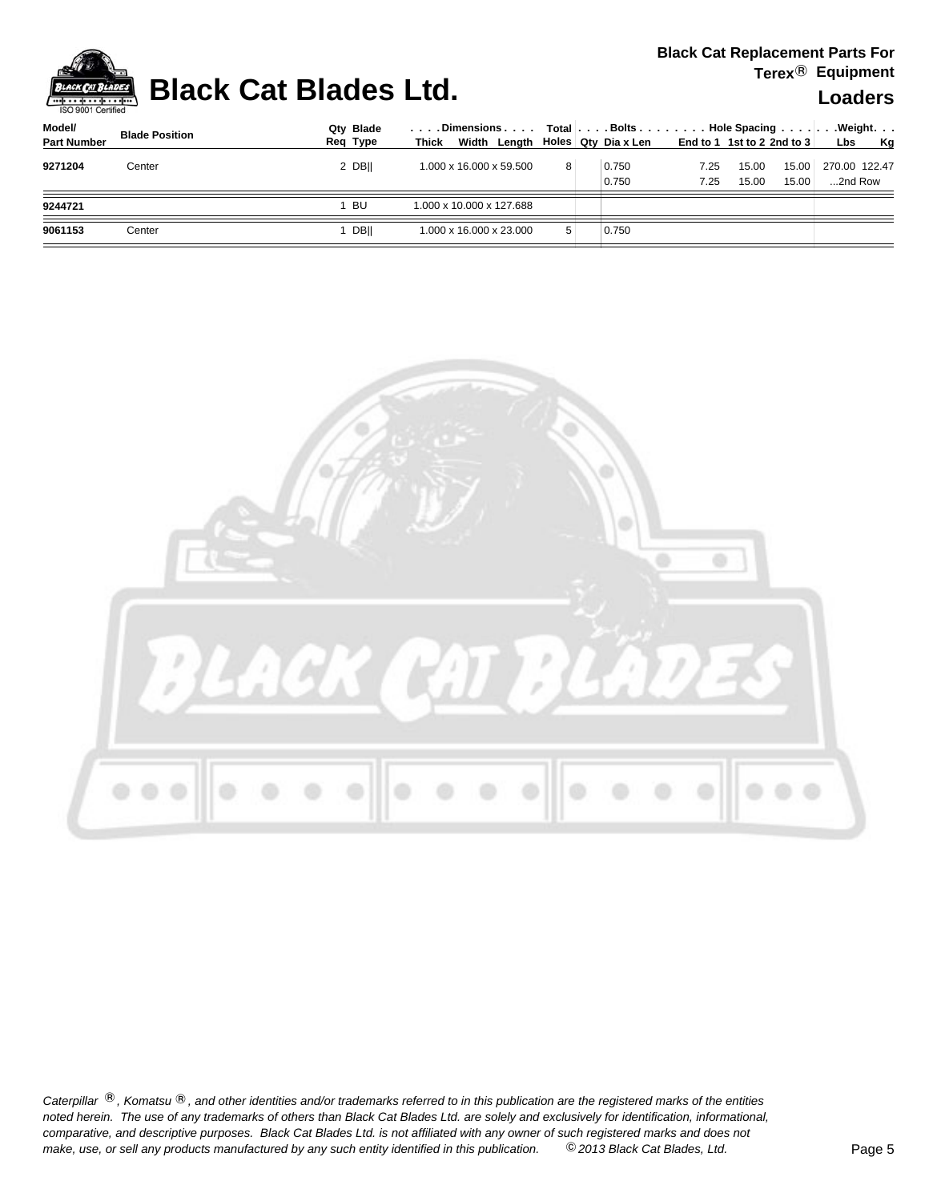

## **Black Cat Blades Ltd. Loaders Loaders**

| Model/             | <b>Blade Position</b> | Qtv Blade   |                                          |                |  |       | .Dimensions     Total Bolts Hole Spacing Weight |       |       |               |           |
|--------------------|-----------------------|-------------|------------------------------------------|----------------|--|-------|-------------------------------------------------|-------|-------|---------------|-----------|
| <b>Part Number</b> |                       | Reg Type    | Width Length Holes Qty Diax Len<br>Thick |                |  |       | End to 1 1st to 2 2nd to 3                      |       |       | <b>Lbs</b>    | <b>Kg</b> |
| 9271204            | Center                | 2 DBII      | 1.000 x 16.000 x 59.500                  | 8 <sup>1</sup> |  | 0.750 | 7.25                                            | 15.00 | 15.00 | 270.00 122.47 |           |
|                    |                       |             |                                          |                |  | 0.750 | 7.25                                            | 15.00 | 15.00 | 2nd Row       |           |
| 9244721            |                       | BU          | 1.000 x 10.000 x 127.688                 |                |  |       |                                                 |       |       |               |           |
| 9061153            | Center                | <b>DBII</b> | 1.000 x 16.000 x 23.000                  | 5              |  | 0.750 |                                                 |       |       |               |           |
|                    |                       |             |                                          |                |  |       |                                                 |       |       |               |           |

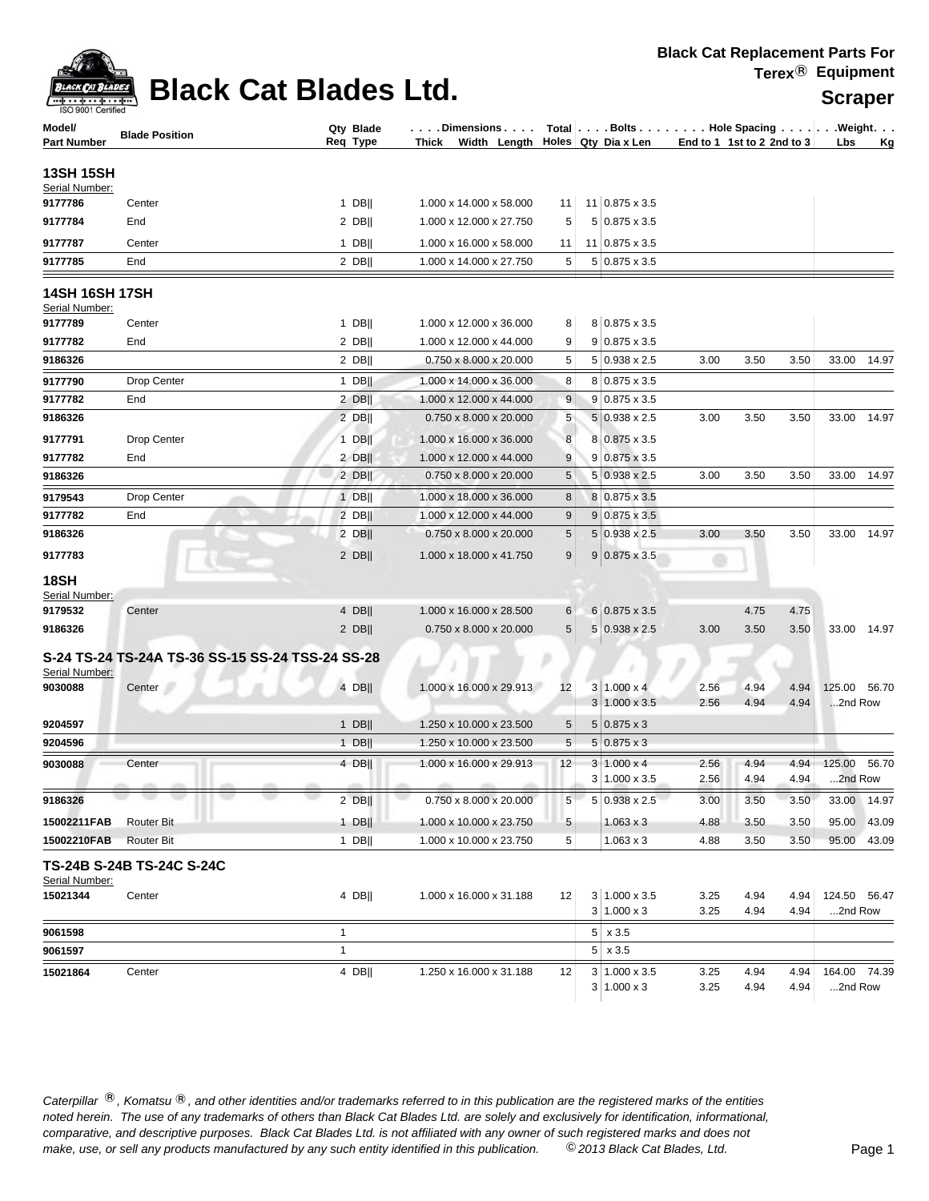| ACK CAT B |
|-----------|
| Certified |

## **Black Cat Blades Ltd.** Scraper

| Model/<br>Part Number            | <b>Blade Position</b>                            | Qty Blade<br>Req Type | Dimensions   Total   Bolts    Hole Spacing    Weight<br>Thick Width Length Holes Qty Dia x Len |                |                                            | End to 1 1st to 2 2nd to $3$ |              |              | Lbs                     | <u>Kg</u>   |
|----------------------------------|--------------------------------------------------|-----------------------|------------------------------------------------------------------------------------------------|----------------|--------------------------------------------|------------------------------|--------------|--------------|-------------------------|-------------|
|                                  |                                                  |                       |                                                                                                |                |                                            |                              |              |              |                         |             |
| 13SH 15SH<br>Serial Number:      |                                                  |                       |                                                                                                |                |                                            |                              |              |              |                         |             |
| 9177786                          | Center                                           | $1$ DB                | 1.000 x 14.000 x 58.000                                                                        | 11             | 11 0.875 x 3.5                             |                              |              |              |                         |             |
| 9177784                          | End                                              | $2$ DB                | 1.000 x 12.000 x 27.750                                                                        | 5              | 5 0.875 x 3.5                              |                              |              |              |                         |             |
| 9177787                          | Center                                           | $1$ DB                | 1.000 x 16.000 x 58.000                                                                        | 11             | $11 0.875 \times 3.5$                      |                              |              |              |                         |             |
| 9177785                          | End                                              | $2$ DB                | 1.000 x 14.000 x 27.750                                                                        | 5              | $5 0.875 \times 3.5$                       |                              |              |              |                         |             |
| 14SH 16SH 17SH<br>Serial Number: |                                                  |                       |                                                                                                |                |                                            |                              |              |              |                         |             |
| 9177789                          | Center                                           | $1$ DB                | 1.000 x 12.000 x 36.000                                                                        | 8              | 8 0.875 x 3.5                              |                              |              |              |                         |             |
| 9177782                          | End                                              | $2$ DB                | 1.000 x 12.000 x 44.000                                                                        | 9              | $9 0.875 \times 3.5$                       |                              |              |              |                         |             |
| 9186326                          |                                                  | $2$ DB                | 0.750 x 8.000 x 20.000                                                                         | 5              | $5 0.938 \times 2.5$                       | 3.00                         | 3.50         | 3.50         |                         | 33.00 14.97 |
| 9177790                          | <b>Drop Center</b>                               | 1 DB                  | 1.000 x 14.000 x 36.000                                                                        | 8              | $8 0.875 \times 3.5$                       |                              |              |              |                         |             |
| 9177782                          | End                                              | $2$ DB                | 1.000 x 12.000 x 44.000                                                                        | 9              | $9 0.875 \times 3.5$                       |                              |              |              |                         |             |
| 9186326                          |                                                  | $2$ DB                | 0.750 x 8.000 x 20.000                                                                         | 5              | 5 0.938 x 2.5                              | 3.00                         | 3.50         | 3.50         |                         | 33.00 14.97 |
| 9177791                          | Drop Center                                      | $1$ DB                | 1.000 x 16.000 x 36.000                                                                        | 8              | 8 0.875 x 3.5                              |                              |              |              |                         |             |
| 9177782                          | End                                              | $2$ DB                | 1.000 x 12.000 x 44.000                                                                        | 9              | $9 0.875 \times 3.5$                       |                              |              |              |                         |             |
| 9186326                          |                                                  | $2$ DB                | 0.750 x 8.000 x 20.000                                                                         | 5              | 5 0.938 x 2.5                              | 3.00                         | 3.50         | 3.50         |                         | 33.00 14.97 |
| 9179543                          | Drop Center                                      | $1$ DB                | 1.000 x 18.000 x 36.000                                                                        | 8              | 8 0.875 x 3.5                              |                              |              |              |                         |             |
| 9177782                          | End                                              | $2$ DB                | 1.000 x 12.000 x 44.000                                                                        | 9              | $9 0.875 \times 3.5$                       |                              |              |              |                         |             |
| 9186326                          |                                                  | $2$ DB                | 0.750 x 8.000 x 20.000                                                                         | 5              | $5 0.938 \times 2.5$                       | 3.00                         | 3.50         | 3.50         |                         | 33.00 14.97 |
| 9177783                          |                                                  | $2$ DB                | 1.000 x 18.000 x 41.750                                                                        | 9              | $9 0.875 \times 3.5$                       |                              |              |              |                         |             |
| 18SH<br>Serial Number:           |                                                  |                       |                                                                                                |                |                                            |                              |              |              |                         |             |
| 9179532                          | Center                                           | 4 DB                  | 1.000 x 16.000 x 28.500                                                                        | 6              | 6 0.875 x 3.5                              |                              | 4.75         | 4.75         |                         |             |
| 9186326                          |                                                  | $2$ DB                | 0.750 x 8.000 x 20.000                                                                         | 5 <sup>1</sup> | 5 0.938 x 2.5                              | 3.00                         | 3.50         | 3.50         |                         | 33.00 14.97 |
| Serial Number:                   | S-24 TS-24 TS-24A TS-36 SS-15 SS-24 TSS-24 SS-28 |                       |                                                                                                |                |                                            |                              |              |              |                         |             |
| 9030088                          | Center                                           | $4$ DB                | $1.000 \times 16.000 \times 29.913$                                                            | 12             | $3 1.000 \times 4$                         | 2.56                         | 4.94         | 4.94         | 125.00 56.70            |             |
|                                  |                                                  |                       |                                                                                                |                | $3 1.000 \times 3.5$                       | 2.56                         | 4.94         | 4.94         | 2nd Row                 |             |
| 9204597                          |                                                  | $1$ DB                | 1.250 x 10.000 x 23.500                                                                        | 5              | $5 0.875 \times 3$                         |                              |              |              |                         |             |
| 9204596                          |                                                  | $1$ DB                | 1.250 x 10.000 x 23.500                                                                        | 5              | $5 0.875 \times 3$                         |                              |              |              |                         |             |
| 9030088                          | Center                                           | 4 DB                  | 1.000 x 16.000 x 29.913                                                                        | 12             | $3 1.000 \times 4$<br>$3 1.000 \times 3.5$ | 2.56<br>2.56                 | 4.94<br>4.94 | 4.94<br>4.94 | 125.00 56.70<br>2nd Row |             |
| 9186326                          |                                                  | $2$ DB                | $0.750 \times 8.000 \times 20.000$                                                             | 5              | $5 0.938 \times 2.5$                       | 3.00                         | 3.50         | 3.50         |                         | 33.00 14.97 |
| 15002211FAB                      | <br>Router Bit                                   | $1$ DB                | 1.000 x 10.000 x 23.750                                                                        | 5              | $1.063 \times 3$                           | 4.88                         | 3.50         | 3.50         | 95.00                   | 43.09       |
| 15002210FAB                      | <b>Router Bit</b>                                | 1 DB                  | 1.000 x 10.000 x 23.750                                                                        | 5              | $1.063 \times 3$                           | 4.88                         | 3.50         | 3.50         | 95.00                   | 43.09       |
| Serial Number:                   | TS-24B S-24B TS-24C S-24C                        |                       |                                                                                                |                |                                            |                              |              |              |                         |             |
| 15021344                         | Center                                           | 4 DB                  | 1.000 x 16.000 x 31.188                                                                        | 12             | $3 1.000 \times 3.5$<br>3   1.000 x 3      | 3.25<br>3.25                 | 4.94<br>4.94 | 4.94<br>4.94 | 124.50 56.47<br>2nd Row |             |
| 9061598                          |                                                  | $\mathbf{1}$          |                                                                                                |                | $5 \times 3.5$                             |                              |              |              |                         |             |
| 9061597                          |                                                  | $\mathbf{1}$          |                                                                                                |                | $5 \times 3.5$                             |                              |              |              |                         |             |
| 15021864                         | Center                                           | $4$ DB                | 1.250 x 16.000 x 31.188                                                                        | 12             | $3 1.000 \times 3.5$                       | 3.25                         | 4.94         | 4.94         | 164.00 74.39            |             |
|                                  |                                                  |                       |                                                                                                |                | $3 1.000 \times 3$                         | 3.25                         | 4.94         | 4.94         | 2nd Row                 |             |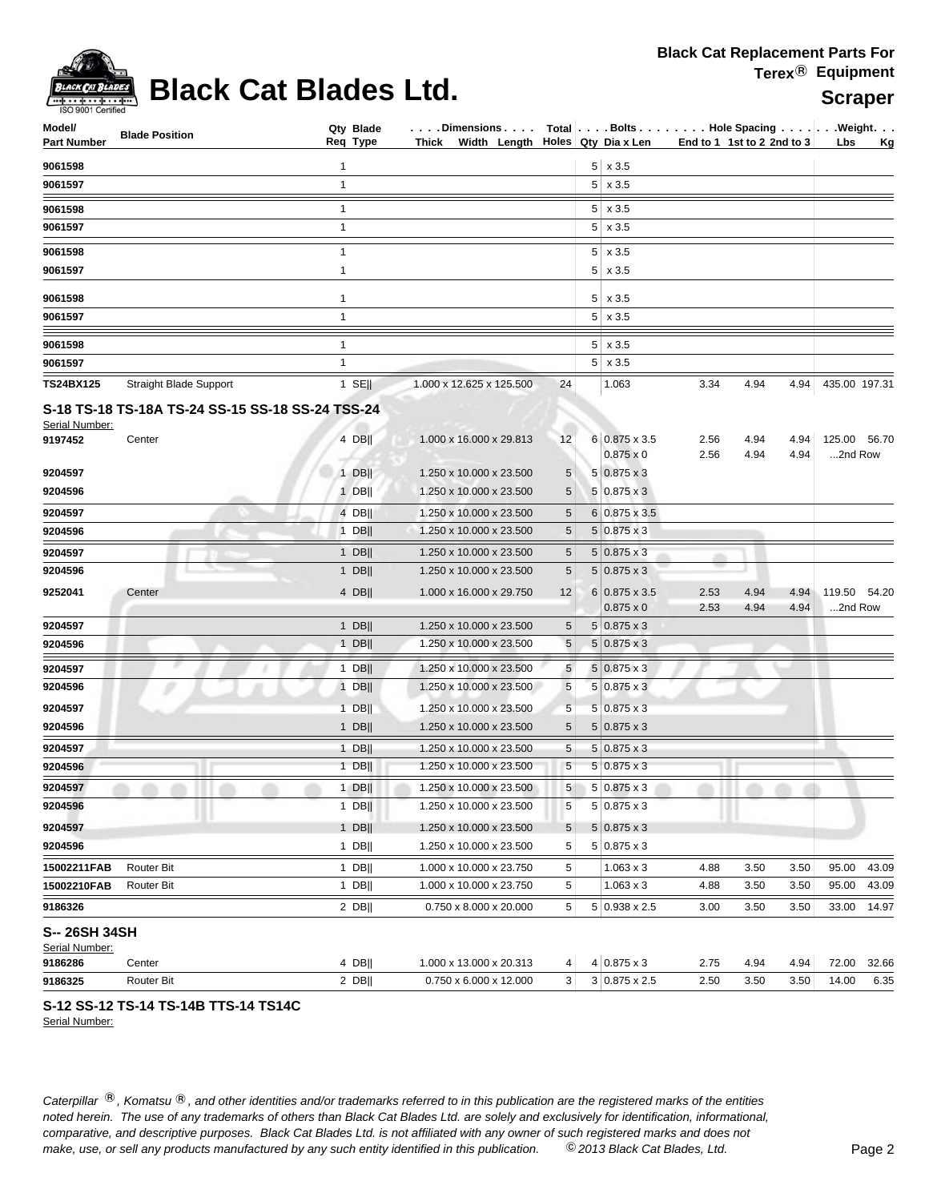

# **Black Cat Blades Ltd.** Scraper

| Model/<br>Part Number           | <b>Blade Position</b>                            | Qty Blade<br>Reg Type | Dimensions   Total   Bolts   Hole Spacing    Weight<br>Thick Width Length $\vert$ Holes Qty Dia x Len |            |   |                                          | End to 1 1st to 2 2nd to 3 |              |              | Lbs                     | <u>Kg</u> |
|---------------------------------|--------------------------------------------------|-----------------------|-------------------------------------------------------------------------------------------------------|------------|---|------------------------------------------|----------------------------|--------------|--------------|-------------------------|-----------|
|                                 |                                                  |                       |                                                                                                       |            |   |                                          |                            |              |              |                         |           |
| 9061598<br>9061597              |                                                  | 1<br>$\mathbf{1}$     |                                                                                                       |            |   | $5 \times 3.5$<br>$5 \times 3.5$         |                            |              |              |                         |           |
|                                 |                                                  |                       |                                                                                                       |            |   |                                          |                            |              |              |                         |           |
| 9061598<br>9061597              |                                                  | 1<br>$\mathbf{1}$     |                                                                                                       |            |   | $5 \times 3.5$<br>$5 \times 3.5$         |                            |              |              |                         |           |
|                                 |                                                  |                       |                                                                                                       |            |   |                                          |                            |              |              |                         |           |
| 9061598                         |                                                  | 1                     |                                                                                                       |            | 5 | x 3.5                                    |                            |              |              |                         |           |
| 9061597                         |                                                  | $\mathbf{1}$          |                                                                                                       |            |   | $5 \times 3.5$                           |                            |              |              |                         |           |
| 9061598                         |                                                  | $\mathbf{1}$          |                                                                                                       |            |   | $5 \times 3.5$                           |                            |              |              |                         |           |
| 9061597                         |                                                  | $\mathbf{1}$          |                                                                                                       |            |   | $5 \times 3.5$                           |                            |              |              |                         |           |
| 9061598                         |                                                  | $\mathbf{1}$          |                                                                                                       |            |   | $5 \times 3.5$                           |                            |              |              |                         |           |
| 9061597                         |                                                  | $\mathbf{1}$          |                                                                                                       |            |   | $5 \times 3.5$                           |                            |              |              |                         |           |
| <b>TS24BX125</b>                | <b>Straight Blade Support</b>                    | $1$ SE                | 1.000 x 12.625 x 125.500                                                                              | 24         |   | 1.063                                    | 3.34                       | 4.94         | 4.94         | 435.00 197.31           |           |
| Serial Number:                  | S-18 TS-18 TS-18A TS-24 SS-15 SS-18 SS-24 TSS-24 |                       |                                                                                                       |            |   |                                          |                            |              |              |                         |           |
| 9197452                         | Center                                           | 4 DBII                | 1.000 x 16.000 x 29.813                                                                               | 12         |   | 6 0.875 x 3.5<br>$0.875 \times 0$        | 2.56<br>2.56               | 4.94<br>4.94 | 4.94<br>4.94 | 125.00 56.70<br>2nd Row |           |
| 9204597                         |                                                  | 1 DBII                | 1.250 x 10.000 x 23.500                                                                               | 5          |   | $5 0.875 \times 3$                       |                            |              |              |                         |           |
| 9204596                         |                                                  | $1$ DB                | 1.250 x 10.000 x 23.500                                                                               | 5          |   | $5 0.875 \times 3 $                      |                            |              |              |                         |           |
| 9204597                         |                                                  | 4 DB                  | 1.250 x 10.000 x 23.500                                                                               | 5          |   | $6 0.875 \times 3.5 $                    |                            |              |              |                         |           |
| 9204596                         |                                                  | $1$ DB                | 1.250 x 10.000 x 23.500                                                                               | 5          |   | $5 0.875 \times 3$                       |                            |              |              |                         |           |
| 9204597                         |                                                  | 1 DB                  | 1.250 x 10.000 x 23.500                                                                               | 5          |   | $5 0.875 \times 3$                       | m                          |              |              |                         |           |
| 9204596                         |                                                  | 1 $DB$                | 1.250 x 10.000 x 23.500                                                                               | 5          |   | $5 0.875 \times 3$                       |                            |              |              |                         |           |
| 9252041                         | Center                                           | $4$ DB                | 1.000 x 16.000 x 29.750                                                                               | 12         |   | $6 0.875 \times 3.5$<br>$0.875 \times 0$ | 2.53<br>2.53               | 4.94<br>4.94 | 4.94<br>4.94 | 119.50 54.20<br>2nd Row |           |
| 9204597                         |                                                  | $1$ DB                | 1.250 x 10.000 x 23.500                                                                               | 5          |   | $5 0.875 \times 3$                       |                            |              |              |                         |           |
| 9204596                         |                                                  | 1 DB                  | 1.250 x 10.000 x 23.500                                                                               | $\sqrt{5}$ |   | $5 0.875 \times 3$                       |                            |              |              |                         |           |
| 9204597                         |                                                  | $1$ DB                | 1.250 x 10.000 x 23.500                                                                               | 5          |   | $5 0.875 \times 3$                       |                            |              |              |                         |           |
| 9204596                         |                                                  | $1$ DB                | 1.250 x 10.000 x 23.500                                                                               | $\sqrt{5}$ |   | $5 0.875 \times 3$                       |                            |              |              |                         |           |
| 9204597                         |                                                  | $1$ DB                | 1.250 x 10.000 x 23.500                                                                               | 5          |   | $5 0.875 \times 3$                       |                            |              |              |                         |           |
| 9204596                         |                                                  | $1$ DB                | 1.250 x 10.000 x 23.500                                                                               | 5          |   | $5 0.875 \times 3$                       |                            |              |              |                         |           |
| 9204597                         |                                                  | $1$ DB                | 1.250 x 10.000 x 23.500                                                                               | 5          |   | $5 0.875 \times 3$                       |                            |              |              |                         |           |
| 9204596                         |                                                  | $1$ DB                | 1.250 x 10.000 x 23.500                                                                               | $\sqrt{5}$ |   | $5 0.875 \times 3$                       |                            |              |              |                         |           |
| 9204597                         |                                                  | $1$ DB                | 1.250 x 10.000 x 23.500                                                                               | 5          |   | $5 0.875 \times 3$                       |                            |              |              |                         |           |
| 9204596                         |                                                  | $1$ DB                | 1.250 x 10.000 x 23.500                                                                               | 5          |   | $5 0.875 \times 3$                       |                            |              |              |                         |           |
| 9204597                         |                                                  | $1$ DB                | 1.250 x 10.000 x 23.500                                                                               | 5          |   | $5 0.875 \times 3$                       |                            |              |              |                         |           |
| 9204596                         |                                                  | $1$ DB                | 1.250 x 10.000 x 23.500                                                                               | 5          |   | $5 0.875 \times 3$                       |                            |              |              |                         |           |
| 15002211FAB                     | Router Bit                                       | 1 DB                  | 1.000 x 10.000 x 23.750                                                                               | 5          |   | $1.063 \times 3$                         | 4.88                       | 3.50         | 3.50         | 95.00                   | 43.09     |
| 15002210FAB                     | Router Bit                                       | 1 DB                  | 1.000 x 10.000 x 23.750                                                                               | 5          |   | $1.063 \times 3$                         | 4.88                       | 3.50         | 3.50         | 95.00                   | 43.09     |
| 9186326                         |                                                  | 2 $DB$                | 0.750 x 8.000 x 20.000                                                                                | 5          |   | $5 0.938 \times 2.5$                     | 3.00                       | 3.50         | 3.50         | 33.00                   | 14.97     |
| S-- 26SH 34SH<br>Serial Number: |                                                  |                       |                                                                                                       |            |   |                                          |                            |              |              |                         |           |
| 9186286                         | Center                                           | 4 DBII                | 1.000 x 13.000 x 20.313                                                                               | 4          |   | $4 0.875 \times 3$                       | 2.75                       | 4.94         | 4.94         | 72.00                   | 32.66     |
| 9186325                         | Router Bit                                       | $2$ DB                | 0.750 x 6.000 x 12.000                                                                                | 3          |   | $3 0.875 \times 2.5$                     | 2.50                       | 3.50         | 3.50         | 14.00                   | 6.35      |

### **S-12 SS-12 TS-14 TS-14B TTS-14 TS14C**

Serial Number: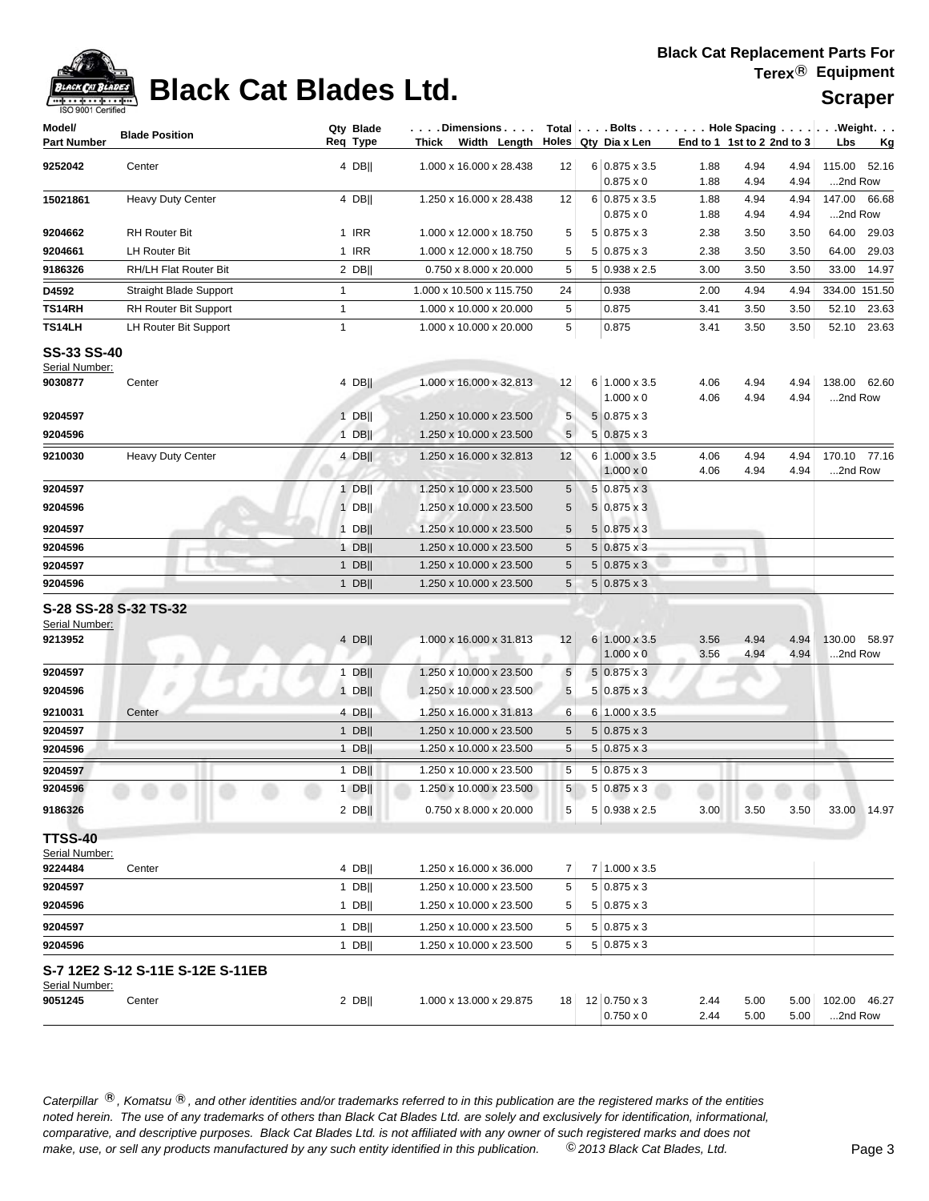

# **Black Cat Blades Ltd.** Scraper

| Model/                               | <b>Blade Position</b>            | Qty Blade        | . Dimensions                                       |                 |   |                                          |              |                            |              | Total $\vert \ldots$ Bolts $\ldots \vert \ldots$ Hole Spacing $\ldots \vert \ldots$ Weight. $\ldots$ |
|--------------------------------------|----------------------------------|------------------|----------------------------------------------------|-----------------|---|------------------------------------------|--------------|----------------------------|--------------|------------------------------------------------------------------------------------------------------|
| <b>Part Number</b>                   |                                  | Req Type         | Thick<br>Width Length                              |                 |   | Holes Qty Dia x Len                      |              | End to 1 1st to 2 2nd to 3 |              | Lbs<br><u>Kg</u>                                                                                     |
| 9252042                              | Center                           | 4 DBII           | 1.000 x 16.000 x 28.438                            | 12              |   | $6 0.875 \times 3.5$                     | 1.88         | 4.94                       | 4.94         | 115.00<br>52.16                                                                                      |
|                                      |                                  |                  |                                                    |                 |   | $0.875 \times 0$                         | 1.88         | 4.94                       | 4.94         | 2nd Row                                                                                              |
| 15021861                             | <b>Heavy Duty Center</b>         | 4 DB             | 1.250 x 16.000 x 28.438                            | 12              |   | $6 0.875 \times 3.5$<br>$0.875 \times 0$ | 1.88<br>1.88 | 4.94<br>4.94               | 4.94<br>4.94 | 147.00 66.68<br>2nd Row                                                                              |
| 9204662                              | <b>RH Router Bit</b>             | 1 IRR            | 1.000 x 12.000 x 18.750                            | 5               |   | $5 0.875 \times 3$                       | 2.38         | 3.50                       | 3.50         | 64.00<br>29.03                                                                                       |
| 9204661                              | <b>LH Router Bit</b>             | 1 IRR            | 1.000 x 12.000 x 18.750                            | 5               |   | $5 0.875 \times 3$                       | 2.38         | 3.50                       | 3.50         | 64.00<br>29.03                                                                                       |
| 9186326                              | RH/LH Flat Router Bit            | $2$ DB           | 0.750 x 8.000 x 20.000                             | 5               |   | $5 0.938 \times 2.5$                     | 3.00         | 3.50                       | 3.50         | 33.00<br>14.97                                                                                       |
| D4592                                | Straight Blade Support           | $\mathbf{1}$     | 1.000 x 10.500 x 115.750                           | 24              |   | 0.938                                    | 2.00         | 4.94                       | 4.94         | 334.00 151.50                                                                                        |
| TS14RH                               | RH Router Bit Support            | $\mathbf{1}$     | 1.000 x 10.000 x 20.000                            | 5               |   | 0.875                                    | 3.41         | 3.50                       | 3.50         | 52.10<br>23.63                                                                                       |
| TS14LH                               | <b>LH Router Bit Support</b>     | $\mathbf{1}$     | 1.000 x 10.000 x 20.000                            | 5               |   | 0.875                                    | 3.41         | 3.50                       | 3.50         | 52.10<br>23.63                                                                                       |
|                                      |                                  |                  |                                                    |                 |   |                                          |              |                            |              |                                                                                                      |
| <b>SS-33 SS-40</b><br>Serial Number: |                                  |                  |                                                    |                 |   |                                          |              |                            |              |                                                                                                      |
| 9030877                              | Center                           | 4 DB             | 1.000 x 16.000 x 32.813                            | 12              |   | 6 1.000 x 3.5                            | 4.06         | 4.94                       | 4.94         | 138.00 62.60                                                                                         |
|                                      |                                  |                  |                                                    |                 |   | $1.000 \times 0$                         | 4.06         | 4.94                       | 4.94         | 2nd Row                                                                                              |
| 9204597                              |                                  | $1$ DB           | 1.250 x 10.000 x 23.500                            | 5               |   | $5 0.875 \times 3$                       |              |                            |              |                                                                                                      |
| 9204596                              |                                  | $1$ DB           | 1.250 x 10.000 x 23.500                            | $5\phantom{.0}$ |   | $5 0.875 \times 3$                       |              |                            |              |                                                                                                      |
| 9210030                              | <b>Heavy Duty Center</b>         | 4 DB             | 1.250 x 16.000 x 32.813                            | 12              |   | 6 1.000 x 3.5                            | 4.06         | 4.94                       | 4.94         | 170.10 77.16                                                                                         |
|                                      |                                  |                  |                                                    |                 |   | $1.000 \times 0$                         | 4.06         | 4.94                       | 4.94         | 2nd Row                                                                                              |
| 9204597                              |                                  | $1$ DB           | 1.250 x 10.000 x 23.500                            | 5               |   | $5 0.875 \times 3$                       |              |                            |              |                                                                                                      |
| 9204596                              |                                  | $1$ DB           | 1.250 x 10.000 x 23.500                            | 5               |   | $5 0.875 \times 3$                       |              |                            |              |                                                                                                      |
| 9204597                              |                                  | $1$ DB           | 1.250 x 10.000 x 23.500                            | 5               |   | $5 0.875 \times 3$                       |              |                            |              |                                                                                                      |
| 9204596                              |                                  | $1$ DB           | 1.250 x 10.000 x 23.500                            | 5               |   | $5 0.875 \times 3$                       |              |                            |              |                                                                                                      |
| 9204597                              |                                  | 1 $DB$           | 1.250 x 10.000 x 23.500                            | 5               |   | $5 0.875 \times 3$                       |              |                            |              |                                                                                                      |
| 9204596                              |                                  | 1 $DB$           | 1.250 x 10.000 x 23.500                            | $\sqrt{5}$      |   | $5 0.875 \times 3$                       |              |                            |              |                                                                                                      |
|                                      | S-28 SS-28 S-32 TS-32            |                  |                                                    |                 |   |                                          |              |                            |              |                                                                                                      |
| Serial Number:                       |                                  |                  |                                                    |                 |   |                                          |              |                            |              |                                                                                                      |
| 9213952                              |                                  | $4$ DB           | 1.000 x 16.000 x 31.813                            | 12              |   | 6 1.000 x 3.5<br>$1.000 \times 0$        | 3.56         | 4.94                       | 4.94         | 130.00<br>58.97                                                                                      |
| 9204597                              | m                                | $1$ DB           | 1.250 x 10.000 x 23.500                            | $5\phantom{.0}$ |   | $5 0.875 \times 3$                       | 3.56         | 4.94                       | 4.94         | 2nd Row                                                                                              |
| 9204596                              |                                  | $1$ DB           | 1.250 x 10.000 x 23.500                            | $\sqrt{5}$      |   | $5 0.875 \times 3$                       |              |                            |              |                                                                                                      |
|                                      |                                  |                  |                                                    |                 |   |                                          |              |                            |              |                                                                                                      |
| 9210031                              | Center                           | 4 DB  <br>$1$ DB | 1.250 x 16.000 x 31.813                            | 6<br>5          | 6 | $1.000 \times 3.5$<br>$5 0.875 \times 3$ |              |                            |              |                                                                                                      |
| 9204597<br>9204596                   |                                  | 1 DB             | 1.250 x 10.000 x 23.500<br>1.250 x 10.000 x 23.500 | 5               | 5 | $0.875 \times 3$                         |              |                            |              |                                                                                                      |
|                                      |                                  |                  |                                                    |                 |   |                                          |              |                            |              |                                                                                                      |
| 9204597<br>9204596                   |                                  | $1$ DB<br>$1$ DB | 1.250 x 10.000 x 23.500                            | $\sqrt{5}$<br>5 |   | $5 0.875 \times 3$<br>$5 0.875 \times 3$ |              |                            |              |                                                                                                      |
|                                      |                                  |                  | 1.250 x 10.000 x 23.500                            |                 |   |                                          |              |                            |              |                                                                                                      |
| 9186326                              |                                  | $2$ DB           | 0.750 x 8.000 x 20.000                             | 5               |   | $5 0.938 \times 2.5$                     | 3.00         | 3.50                       | 3.50         | 33.00 14.97                                                                                          |
| <b>TTSS-40</b>                       |                                  |                  |                                                    |                 |   |                                          |              |                            |              |                                                                                                      |
| Serial Number:                       |                                  |                  |                                                    |                 |   |                                          |              |                            |              |                                                                                                      |
| 9224484                              | Center                           | 4 DBII           | 1.250 x 16.000 x 36.000                            | 7               |   | 7 1.000 x 3.5                            |              |                            |              |                                                                                                      |
| 9204597                              |                                  | $1$ DB           | 1.250 x 10.000 x 23.500                            | 5               |   | $5 0.875 \times 3$                       |              |                            |              |                                                                                                      |
| 9204596                              |                                  | $1$ DB           | 1.250 x 10.000 x 23.500                            | 5               |   | $5 0.875 \times 3$                       |              |                            |              |                                                                                                      |
| 9204597                              |                                  | $1$ DB           | 1.250 x 10.000 x 23.500                            | 5               |   | $5 0.875 \times 3$                       |              |                            |              |                                                                                                      |
| 9204596                              |                                  | $1$ DB           | 1.250 x 10.000 x 23.500                            | 5               |   | $5 0.875 \times 3$                       |              |                            |              |                                                                                                      |
|                                      | S-7 12E2 S-12 S-11E S-12E S-11EB |                  |                                                    |                 |   |                                          |              |                            |              |                                                                                                      |
| Serial Number:                       |                                  |                  |                                                    |                 |   |                                          |              |                            |              |                                                                                                      |
| 9051245                              | Center                           | $2$ DB           | 1.000 x 13.000 x 29.875                            | 18              |   | 12 0.750 x 3<br>$0.750 \times 0$         | 2.44<br>2.44 | 5.00<br>5.00               | 5.00<br>5.00 | 102.00<br>46.27<br>2nd Row                                                                           |